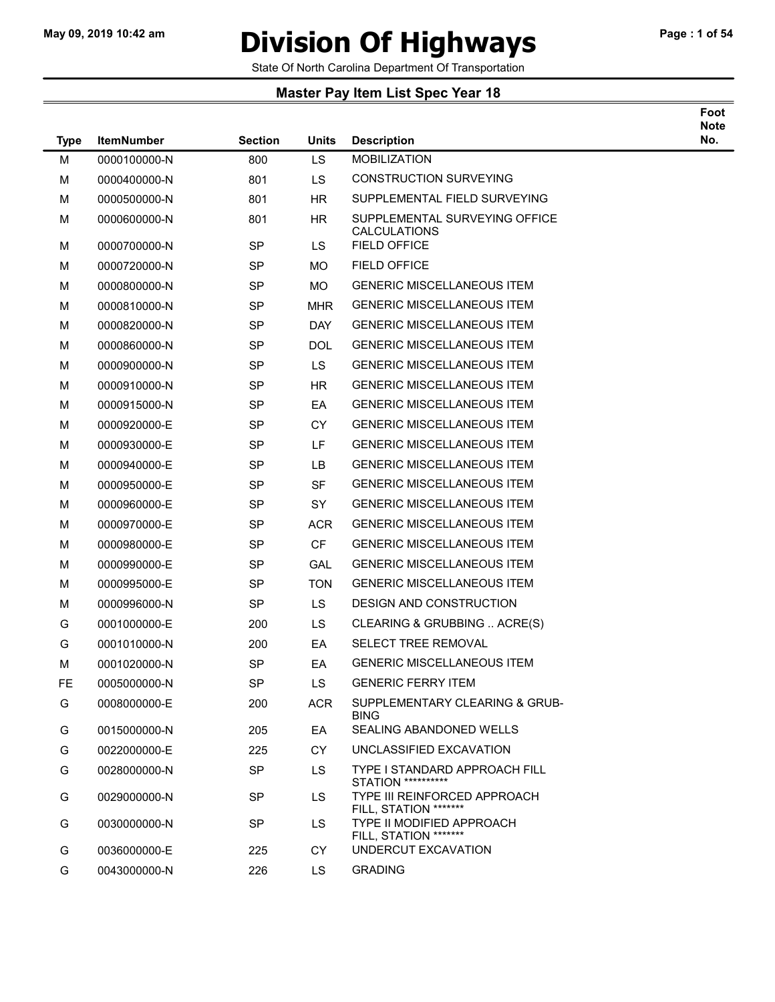### May 09, 2019 10:42 am **Division Of Highways** Page : 1 of 54

State Of North Carolina Department Of Transportation

| Foot |  |
|------|--|
| Note |  |
| ⊾.   |  |

| <b>Type</b> | <b>ItemNumber</b> | <b>Section</b> | <b>Units</b> | <b>Description</b>                                         | No. |
|-------------|-------------------|----------------|--------------|------------------------------------------------------------|-----|
| М           | 0000100000-N      | 800            | LS           | <b>MOBILIZATION</b>                                        |     |
| М           | 0000400000-N      | 801            | LS           | <b>CONSTRUCTION SURVEYING</b>                              |     |
| М           | 0000500000-N      | 801            | <b>HR</b>    | SUPPLEMENTAL FIELD SURVEYING                               |     |
| М           | 0000600000-N      | 801            | HR.          | SUPPLEMENTAL SURVEYING OFFICE<br><b>CALCULATIONS</b>       |     |
| М           | 0000700000-N      | <b>SP</b>      | LS           | <b>FIELD OFFICE</b>                                        |     |
| М           | 0000720000-N      | <b>SP</b>      | MO.          | FIELD OFFICE                                               |     |
| М           | 0000800000-N      | <b>SP</b>      | МO           | <b>GENERIC MISCELLANEOUS ITEM</b>                          |     |
| М           | 0000810000-N      | <b>SP</b>      | <b>MHR</b>   | <b>GENERIC MISCELLANEOUS ITEM</b>                          |     |
| М           | 0000820000-N      | <b>SP</b>      | DAY.         | <b>GENERIC MISCELLANEOUS ITEM</b>                          |     |
| М           | 0000860000-N      | <b>SP</b>      | <b>DOL</b>   | <b>GENERIC MISCELLANEOUS ITEM</b>                          |     |
| М           | 0000900000-N      | <b>SP</b>      | LS.          | <b>GENERIC MISCELLANEOUS ITEM</b>                          |     |
| М           | 0000910000-N      | <b>SP</b>      | <b>HR</b>    | <b>GENERIC MISCELLANEOUS ITEM</b>                          |     |
| М           | 0000915000-N      | <b>SP</b>      | EA           | <b>GENERIC MISCELLANEOUS ITEM</b>                          |     |
| М           | 0000920000-E      | <b>SP</b>      | <b>CY</b>    | <b>GENERIC MISCELLANEOUS ITEM</b>                          |     |
| М           | 0000930000-E      | <b>SP</b>      | LF.          | <b>GENERIC MISCELLANEOUS ITEM</b>                          |     |
| М           | 0000940000-E      | <b>SP</b>      | LB           | <b>GENERIC MISCELLANEOUS ITEM</b>                          |     |
| М           | 0000950000-E      | <b>SP</b>      | <b>SF</b>    | <b>GENERIC MISCELLANEOUS ITEM</b>                          |     |
| М           | 0000960000-E      | <b>SP</b>      | <b>SY</b>    | <b>GENERIC MISCELLANEOUS ITEM</b>                          |     |
| М           | 0000970000-E      | <b>SP</b>      | <b>ACR</b>   | <b>GENERIC MISCELLANEOUS ITEM</b>                          |     |
| М           | 0000980000-E      | <b>SP</b>      | <b>CF</b>    | <b>GENERIC MISCELLANEOUS ITEM</b>                          |     |
| М           | 0000990000-E      | <b>SP</b>      | GAL          | <b>GENERIC MISCELLANEOUS ITEM</b>                          |     |
| М           | 0000995000-E      | <b>SP</b>      | <b>TON</b>   | <b>GENERIC MISCELLANEOUS ITEM</b>                          |     |
| М           | 0000996000-N      | SP             | LS           | DESIGN AND CONSTRUCTION                                    |     |
| G           | 0001000000-E      | 200            | LS           | CLEARING & GRUBBING  ACRE(S)                               |     |
| G           | 0001010000-N      | 200            | EA           | <b>SELECT TREE REMOVAL</b>                                 |     |
| M           | 0001020000-N      | <b>SP</b>      | EA           | <b>GENERIC MISCELLANEOUS ITEM</b>                          |     |
| <b>FE</b>   | 0005000000-N      | <b>SP</b>      | LS           | <b>GENERIC FERRY ITEM</b>                                  |     |
| G           | 0008000000-E      | 200            | <b>ACR</b>   | SUPPLEMENTARY CLEARING & GRUB-<br><b>BING</b>              |     |
| G           | 0015000000-N      | 205            | EA           | SEALING ABANDONED WELLS                                    |     |
| G           | 0022000000-E      | 225            | <b>CY</b>    | UNCLASSIFIED EXCAVATION                                    |     |
| G           | 0028000000-N      | <b>SP</b>      | LS.          | TYPE I STANDARD APPROACH FILL<br><b>STATION **********</b> |     |
| G           | 0029000000-N      | <b>SP</b>      | LS.          | TYPE III REINFORCED APPROACH<br>FILL, STATION *******      |     |
| G           | 0030000000-N      | <b>SP</b>      | LS.          | TYPE II MODIFIED APPROACH<br>FILL, STATION *******         |     |
| G           | 0036000000-E      | 225            | <b>CY</b>    | UNDERCUT EXCAVATION                                        |     |
| G           | 0043000000-N      | 226            | LS.          | <b>GRADING</b>                                             |     |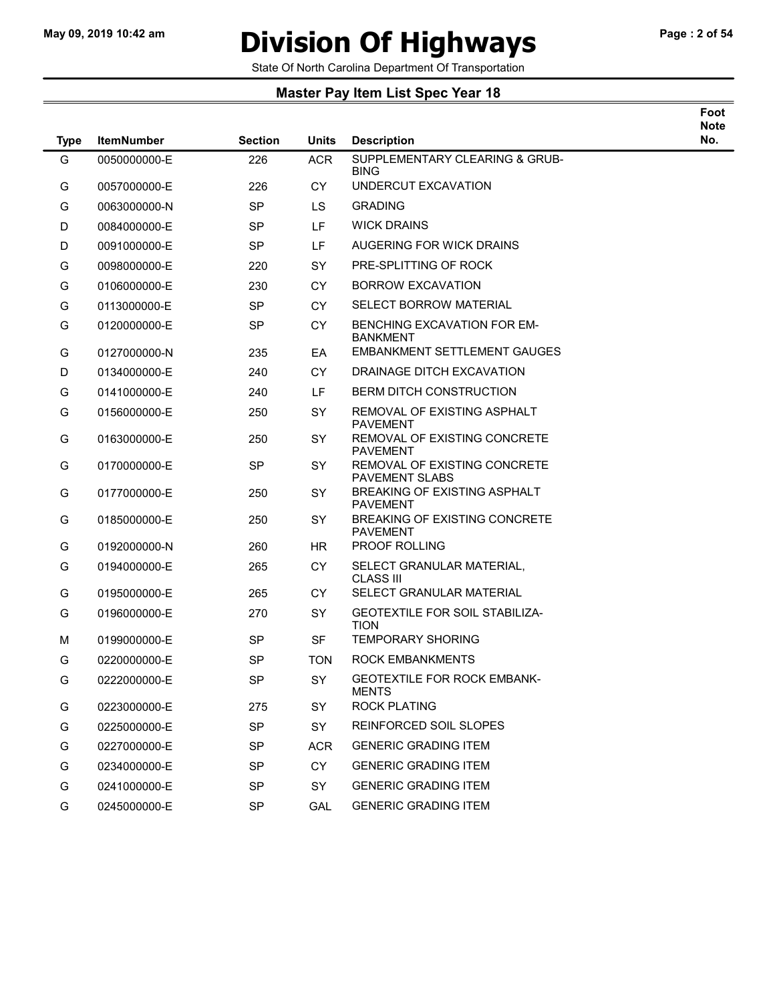# May 09, 2019 10:42 am **Division Of Highways** Page : 2 of 54

Foot

State Of North Carolina Department Of Transportation

| <b>Type</b> | <b>ItemNumber</b> | <b>Section</b> | <b>Units</b> | <b>Description</b>                                      | <b>Note</b><br>No. |
|-------------|-------------------|----------------|--------------|---------------------------------------------------------|--------------------|
| G           | 0050000000-E      | 226            | <b>ACR</b>   | SUPPLEMENTARY CLEARING & GRUB-<br><b>BING</b>           |                    |
| G           | 0057000000-E      | 226            | <b>CY</b>    | UNDERCUT EXCAVATION                                     |                    |
| G           | 0063000000-N      | <b>SP</b>      | LS.          | <b>GRADING</b>                                          |                    |
| D           | 0084000000-E      | <b>SP</b>      | LF           | <b>WICK DRAINS</b>                                      |                    |
| D           | 0091000000-E      | <b>SP</b>      | LF.          | AUGERING FOR WICK DRAINS                                |                    |
| G           | 0098000000-E      | 220            | <b>SY</b>    | PRE-SPLITTING OF ROCK                                   |                    |
| G           | 0106000000-E      | 230            | <b>CY</b>    | <b>BORROW EXCAVATION</b>                                |                    |
| G           | 0113000000-E      | <b>SP</b>      | <b>CY</b>    | <b>SELECT BORROW MATERIAL</b>                           |                    |
| G           | 0120000000-E      | <b>SP</b>      | CY           | BENCHING EXCAVATION FOR EM-<br><b>BANKMENT</b>          |                    |
| G           | 0127000000-N      | 235            | EA           | <b>EMBANKMENT SETTLEMENT GAUGES</b>                     |                    |
| D           | 0134000000-E      | 240            | <b>CY</b>    | DRAINAGE DITCH EXCAVATION                               |                    |
| G           | 0141000000-E      | 240            | LF.          | <b>BERM DITCH CONSTRUCTION</b>                          |                    |
| G           | 0156000000-E      | 250            | <b>SY</b>    | REMOVAL OF EXISTING ASPHALT<br><b>PAVEMENT</b>          |                    |
| G           | 0163000000-E      | 250            | <b>SY</b>    | REMOVAL OF EXISTING CONCRETE<br><b>PAVEMENT</b>         |                    |
| G           | 0170000000-E      | <b>SP</b>      | <b>SY</b>    | REMOVAL OF EXISTING CONCRETE<br>PAVEMENT SLABS          |                    |
| G           | 0177000000-E      | 250            | <b>SY</b>    | BREAKING OF EXISTING ASPHALT<br><b>PAVEMENT</b>         |                    |
| G           | 0185000000-E      | 250            | <b>SY</b>    | <b>BREAKING OF EXISTING CONCRETE</b><br><b>PAVEMENT</b> |                    |
| G           | 0192000000-N      | 260            | <b>HR</b>    | PROOF ROLLING                                           |                    |
| G           | 0194000000-E      | 265            | <b>CY</b>    | SELECT GRANULAR MATERIAL,<br><b>CLASS III</b>           |                    |
| G           | 0195000000-E      | 265            | <b>CY</b>    | SELECT GRANULAR MATERIAL                                |                    |
| G           | 0196000000-E      | 270            | <b>SY</b>    | <b>GEOTEXTILE FOR SOIL STABILIZA-</b><br>tion           |                    |
| M           | 0199000000-E      | <b>SP</b>      | <b>SF</b>    | <b>TEMPORARY SHORING</b>                                |                    |
| G           | 0220000000-E      | <b>SP</b>      | <b>TON</b>   | ROCK EMBANKMENTS                                        |                    |
| G           | 0222000000-E      | <b>SP</b>      | <b>SY</b>    | <b>GEOTEXTILE FOR ROCK EMBANK-</b><br><b>MENTS</b>      |                    |
| G           | 0223000000-E      | 275            | SY           | <b>ROCK PLATING</b>                                     |                    |
| G           | 0225000000-E      | <b>SP</b>      | SY           | REINFORCED SOIL SLOPES                                  |                    |
| G           | 0227000000-E      | <b>SP</b>      | <b>ACR</b>   | <b>GENERIC GRADING ITEM</b>                             |                    |
| G           | 0234000000-E      | <b>SP</b>      | <b>CY</b>    | <b>GENERIC GRADING ITEM</b>                             |                    |
| G           | 0241000000-E      | <b>SP</b>      | SY           | <b>GENERIC GRADING ITEM</b>                             |                    |
| G           | 0245000000-E      | SP             | GAL          | <b>GENERIC GRADING ITEM</b>                             |                    |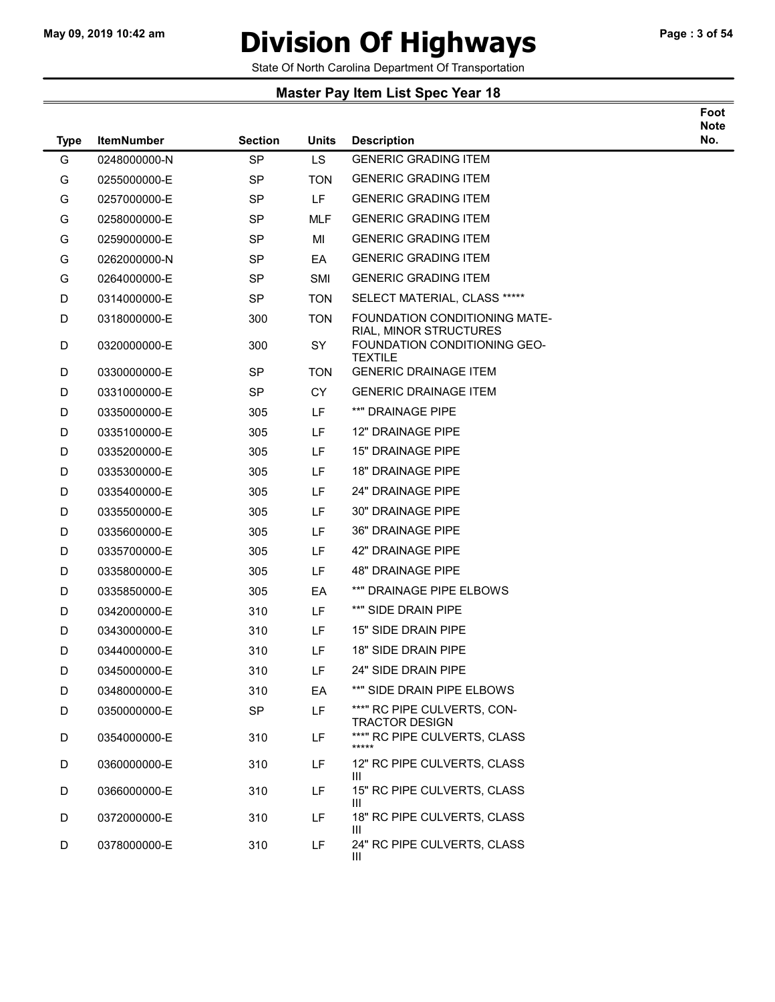### May 09, 2019 10:42 am **Division Of Highways** Page : 3 of 54

Foot

State Of North Carolina Department Of Transportation

| <b>Type</b> | <b>ItemNumber</b> | <b>Section</b> | <b>Units</b> | <b>Description</b>                                                       | <b>Note</b><br>No. |
|-------------|-------------------|----------------|--------------|--------------------------------------------------------------------------|--------------------|
| G           | 0248000000-N      | <b>SP</b>      | <b>LS</b>    | <b>GENERIC GRADING ITEM</b>                                              |                    |
| G           | 0255000000-E      | <b>SP</b>      | <b>TON</b>   | <b>GENERIC GRADING ITEM</b>                                              |                    |
| G           | 0257000000-E      | <b>SP</b>      | LF.          | <b>GENERIC GRADING ITEM</b>                                              |                    |
| G           | 0258000000-E      | <b>SP</b>      | <b>MLF</b>   | <b>GENERIC GRADING ITEM</b>                                              |                    |
| G           | 0259000000-E      | <b>SP</b>      | MI           | <b>GENERIC GRADING ITEM</b>                                              |                    |
| G           | 0262000000-N      | <b>SP</b>      | EA           | <b>GENERIC GRADING ITEM</b>                                              |                    |
| G           | 0264000000-E      | <b>SP</b>      | SMI          | <b>GENERIC GRADING ITEM</b>                                              |                    |
| D           | 0314000000-E      | <b>SP</b>      | <b>TON</b>   | SELECT MATERIAL, CLASS *****                                             |                    |
| D           | 0318000000-E      | 300            | <b>TON</b>   | FOUNDATION CONDITIONING MATE-                                            |                    |
| D           | 0320000000-E      | 300            | SY           | RIAL, MINOR STRUCTURES<br>FOUNDATION CONDITIONING GEO-<br><b>TEXTILE</b> |                    |
| D           | 0330000000-E      | <b>SP</b>      | TON          | <b>GENERIC DRAINAGE ITEM</b>                                             |                    |
| D           | 0331000000-E      | <b>SP</b>      | <b>CY</b>    | <b>GENERIC DRAINAGE ITEM</b>                                             |                    |
| D           | 0335000000-E      | 305            | LF           | **" DRAINAGE PIPE                                                        |                    |
| D           | 0335100000-E      | 305            | LF           | 12" DRAINAGE PIPE                                                        |                    |
| D           | 0335200000-E      | 305            | LF           | <b>15" DRAINAGE PIPE</b>                                                 |                    |
| D           | 0335300000-E      | 305            | LF           | <b>18" DRAINAGE PIPE</b>                                                 |                    |
| D           | 0335400000-E      | 305            | LF           | 24" DRAINAGE PIPE                                                        |                    |
| D           | 0335500000-E      | 305            | LF           | 30" DRAINAGE PIPE                                                        |                    |
| D           | 0335600000-E      | 305            | LF           | <b>36" DRAINAGE PIPE</b>                                                 |                    |
| D           | 0335700000-E      | 305            | LF           | 42" DRAINAGE PIPE                                                        |                    |
| D           | 0335800000-E      | 305            | LF           | 48" DRAINAGE PIPE                                                        |                    |
| D           | 0335850000-E      | 305            | EA           | **" DRAINAGE PIPE ELBOWS                                                 |                    |
| D           | 0342000000-E      | 310            | LF           | **" SIDE DRAIN PIPE                                                      |                    |
| D           | 0343000000-E      | 310            | LF           | 15" SIDE DRAIN PIPE                                                      |                    |
| D           | 0344000000-E      | 310            | LF.          | 18" SIDE DRAIN PIPE                                                      |                    |
| D           | 0345000000-E      | 310            | LF           | 24" SIDE DRAIN PIPE                                                      |                    |
| D           | 0348000000-E      | 310            | EA           | **" SIDE DRAIN PIPE ELBOWS                                               |                    |
| D           | 0350000000-E      | <b>SP</b>      | LF           | ***" RC PIPE CULVERTS, CON-<br><b>TRACTOR DESIGN</b>                     |                    |
| D           | 0354000000-E      | 310            | LF           | ***" RC PIPE CULVERTS, CLASS<br>*****                                    |                    |
| D           | 0360000000-E      | 310            | LF.          | 12" RC PIPE CULVERTS, CLASS<br>Ш                                         |                    |
| D           | 0366000000-E      | 310            | LF           | 15" RC PIPE CULVERTS, CLASS<br>Ш                                         |                    |
| D           | 0372000000-E      | 310            | LF           | 18" RC PIPE CULVERTS, CLASS<br>Ш                                         |                    |
| D           | 0378000000-E      | 310            | LF.          | 24" RC PIPE CULVERTS, CLASS<br>Ш                                         |                    |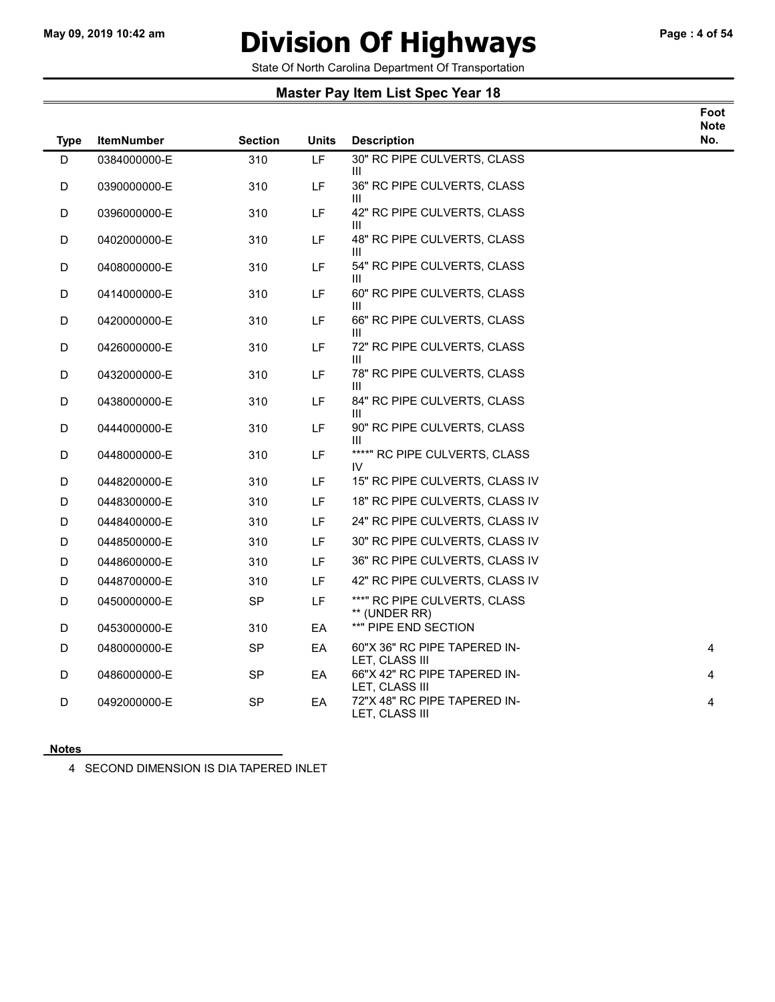# May 09, 2019 10:42 am **Division Of Highways** Page : 4 of 54

Foot

State Of North Carolina Department Of Transportation

### Master Pay Item List Spec Year 18

| <b>Type</b> | <b>ItemNumber</b> | <b>Section</b> | <b>Units</b> | <b>Description</b>                             | <b>Note</b><br>No. |
|-------------|-------------------|----------------|--------------|------------------------------------------------|--------------------|
| D           | 0384000000-E      | 310            | LF           | 30" RC PIPE CULVERTS, CLASS<br>Ш               |                    |
| D           | 0390000000-E      | 310            | LF           | 36" RC PIPE CULVERTS, CLASS<br>Ш               |                    |
| D           | 0396000000-E      | 310            | LF           | 42" RC PIPE CULVERTS, CLASS<br>Ш               |                    |
| D           | 0402000000-E      | 310            | LF           | 48" RC PIPE CULVERTS, CLASS<br>Ш               |                    |
| D           | 0408000000-E      | 310            | LF           | 54" RC PIPE CULVERTS, CLASS<br>Ш               |                    |
| D           | 0414000000-E      | 310            | LF           | 60" RC PIPE CULVERTS, CLASS<br>Ш               |                    |
| D           | 0420000000-E      | 310            | LF           | 66" RC PIPE CULVERTS, CLASS<br>Ш               |                    |
| D           | 0426000000-E      | 310            | LF           | 72" RC PIPE CULVERTS, CLASS<br>Ш               |                    |
| D           | 0432000000-E      | 310            | LF           | 78" RC PIPE CULVERTS, CLASS<br>Ш               |                    |
| D           | 0438000000-E      | 310            | LF.          | 84" RC PIPE CULVERTS, CLASS<br>Ш               |                    |
| D           | 0444000000-E      | 310            | LF           | 90" RC PIPE CULVERTS, CLASS<br>Ш               |                    |
| D           | 0448000000-E      | 310            | LF           | ****" RC PIPE CULVERTS, CLASS<br>IV.           |                    |
| D           | 0448200000-E      | 310            | LF.          | 15" RC PIPE CULVERTS, CLASS IV                 |                    |
| D           | 0448300000-E      | 310            | LF           | 18" RC PIPE CULVERTS, CLASS IV                 |                    |
| D           | 0448400000-E      | 310            | LF           | 24" RC PIPE CULVERTS, CLASS IV                 |                    |
| D           | 0448500000-E      | 310            | LF           | 30" RC PIPE CULVERTS, CLASS IV                 |                    |
| D           | 0448600000-E      | 310            | LF           | 36" RC PIPE CULVERTS, CLASS IV                 |                    |
| D           | 0448700000-E      | 310            | LF           | 42" RC PIPE CULVERTS, CLASS IV                 |                    |
| D           | 0450000000-E      | <b>SP</b>      | LF.          | ***" RC PIPE CULVERTS, CLASS<br>** (UNDER RR)  |                    |
| D           | 0453000000-E      | 310            | EA           | **" PIPE END SECTION                           |                    |
| D           | 0480000000-E      | SP             | EA           | 60"X 36" RC PIPE TAPERED IN-<br>LET, CLASS III | 4                  |
| D           | 0486000000-E      | <b>SP</b>      | EA           | 66"X 42" RC PIPE TAPERED IN-<br>LET, CLASS III | 4                  |
| D           | 0492000000-E      | SP             | EА           | 72"X 48" RC PIPE TAPERED IN-<br>LET, CLASS III | 4                  |

#### Notes

4 SECOND DIMENSION IS DIA TAPERED INLET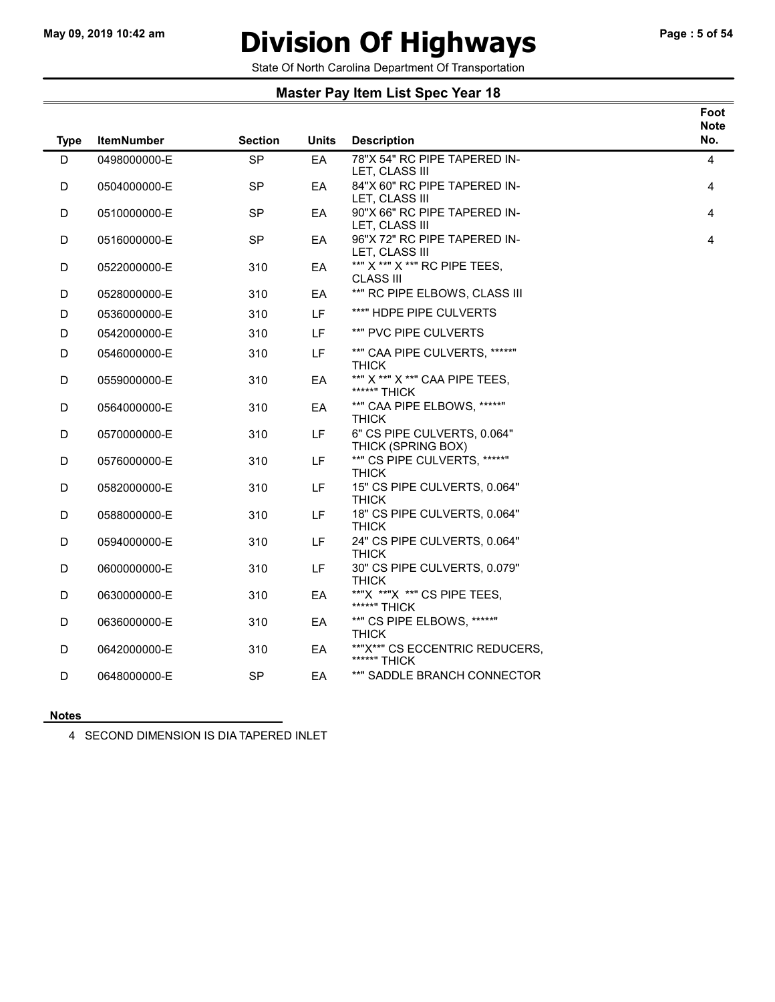# May 09, 2019 10:42 am **Division Of Highways** Page : 5 of 54

#### State Of North Carolina Department Of Transportation

### Master Pay Item List Spec Year 18

|             |                   |                |              |                                                   | Foot<br><b>Note</b> |
|-------------|-------------------|----------------|--------------|---------------------------------------------------|---------------------|
| <b>Type</b> | <b>ItemNumber</b> | <b>Section</b> | <b>Units</b> | <b>Description</b>                                | No.                 |
| D           | 0498000000-E      | <b>SP</b>      | EA           | 78"X 54" RC PIPE TAPERED IN-<br>LET, CLASS III    | 4                   |
| D           | 0504000000-E      | <b>SP</b>      | EA           | 84"X 60" RC PIPE TAPERED IN-<br>LET, CLASS III    | 4                   |
| D           | 0510000000-E      | <b>SP</b>      | EA           | 90"X 66" RC PIPE TAPERED IN-<br>LET, CLASS III    | 4                   |
| D           | 0516000000-E      | <b>SP</b>      | EA           | 96"X 72" RC PIPE TAPERED IN-<br>LET, CLASS III    | 4                   |
| D           | 0522000000-E      | 310            | EA           | **" X **" X **" RC PIPE TEES,<br>CLASS III        |                     |
| D           | 0528000000-E      | 310            | EA           | **" RC PIPE ELBOWS, CLASS III                     |                     |
| D           | 0536000000-E      | 310            | LF.          | ***" HDPE PIPE CULVERTS                           |                     |
| D           | 0542000000-E      | 310            | LF           | **" PVC PIPE CULVERTS                             |                     |
| D           | 0546000000-E      | 310            | <b>LF</b>    | **" CAA PIPE CULVERTS, *****"<br><b>THICK</b>     |                     |
| D           | 0559000000-E      | 310            | EA           | **" X **" X **" CAA PIPE TEES,<br>*****" THICK    |                     |
| D           | 0564000000-E      | 310            | EA           | **" CAA PIPE ELBOWS, *****"<br><b>THICK</b>       |                     |
| D           | 0570000000-E      | 310            | LF           | 6" CS PIPE CULVERTS, 0.064"<br>THICK (SPRING BOX) |                     |
| D           | 0576000000-E      | 310            | LF.          | **" CS PIPE CULVERTS, *****"<br><b>THICK</b>      |                     |
| D           | 0582000000-E      | 310            | LF           | 15" CS PIPE CULVERTS, 0.064"<br><b>THICK</b>      |                     |
| D           | 0588000000-E      | 310            | <b>LF</b>    | 18" CS PIPE CULVERTS, 0.064"<br><b>THICK</b>      |                     |
| D           | 0594000000-E      | 310            | LF           | 24" CS PIPE CULVERTS, 0.064"<br><b>THICK</b>      |                     |
| D           | 0600000000-E      | 310            | LF           | 30" CS PIPE CULVERTS, 0.079"<br><b>THICK</b>      |                     |
| D           | 0630000000-E      | 310            | EA           | **"X **"X **" CS PIPE TEES,<br>*****" THICK       |                     |
| D           | 0636000000-E      | 310            | EA           | **" CS PIPE ELBOWS, *****"<br><b>THICK</b>        |                     |
| D           | 0642000000-E      | 310            | EA           | **"X**" CS ECCENTRIC REDUCERS,<br>*****" THICK    |                     |
| D           | 0648000000-E      | <b>SP</b>      | EA           | **" SADDLE BRANCH CONNECTOR                       |                     |

#### **Notes**

4 SECOND DIMENSION IS DIA TAPERED INLET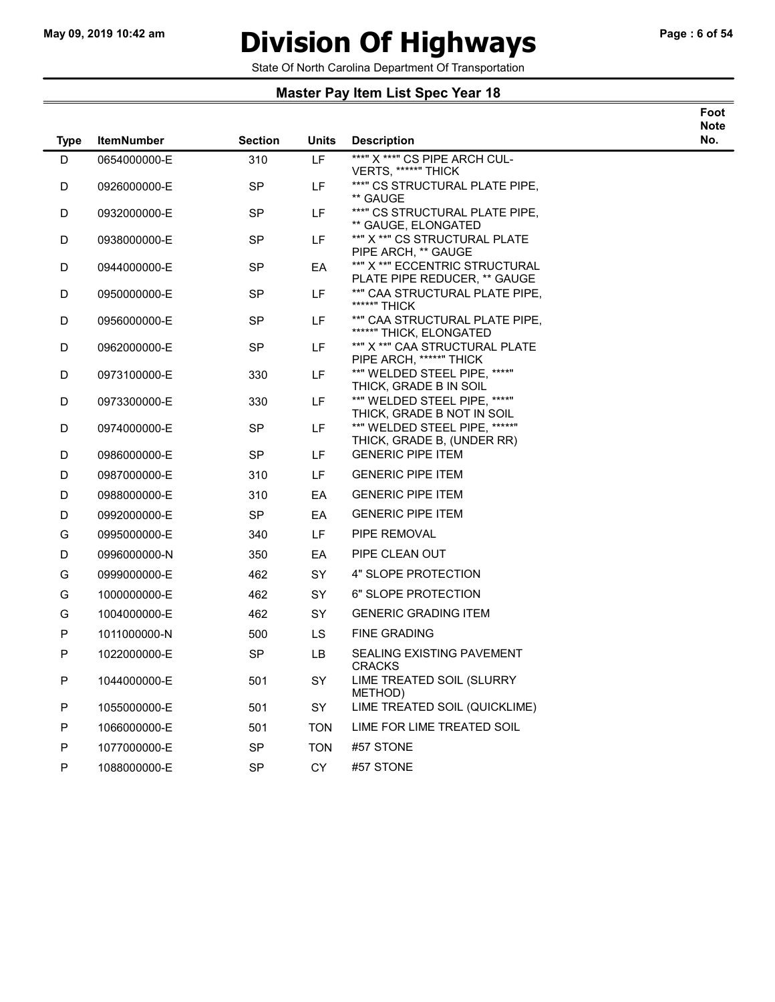$\overline{\phantom{a}}$ 

# May 09, 2019 10:42 am **Division Of Highways** Page : 6 of 54

Foot

State Of North Carolina Department Of Transportation

| <b>Type</b> | <b>ItemNumber</b> | Section   | Units      | <b>Description</b>                                                | <b>Note</b><br>No. |
|-------------|-------------------|-----------|------------|-------------------------------------------------------------------|--------------------|
| D           | 0654000000-E      | 310       | LF         | ***" X ***" CS PIPE ARCH CUL-                                     |                    |
| D           | 0926000000-E      | <b>SP</b> | LF         | VERTS, *****" THICK<br>***" CS STRUCTURAL PLATE PIPE,<br>** GAUGE |                    |
| D           | 0932000000-E      | <b>SP</b> | LF         | ***" CS STRUCTURAL PLATE PIPE.<br>** GAUGE, ELONGATED             |                    |
| D           | 0938000000-E      | <b>SP</b> | LF         | **" X **" CS STRUCTURAL PLATE<br>PIPE ARCH, ** GAUGE              |                    |
| D           | 0944000000-E      | SP        | EA         | **" X **" ECCENTRIC STRUCTURAL<br>PLATE PIPE REDUCER, ** GAUGE    |                    |
| D           | 0950000000-E      | <b>SP</b> | LF.        | **" CAA STRUCTURAL PLATE PIPE,<br>*****" THICK                    |                    |
| D           | 0956000000-E      | <b>SP</b> | LF.        | **" CAA STRUCTURAL PLATE PIPE,<br>*****" THICK, ELONGATED         |                    |
| D           | 0962000000-E      | <b>SP</b> | LF.        | **" X **" CAA STRUCTURAL PLATE<br>PIPE ARCH, *****" THICK         |                    |
| D           | 0973100000-E      | 330       | LF.        | **" WELDED STEEL PIPE, ****"<br>THICK, GRADE B IN SOIL            |                    |
| D           | 0973300000-E      | 330       | LF.        | **" WELDED STEEL PIPE, ****"<br>THICK, GRADE B NOT IN SOIL        |                    |
| D           | 0974000000-E      | <b>SP</b> | LF         | **" WELDED STEEL PIPE. *****"<br>THICK, GRADE B, (UNDER RR)       |                    |
| D           | 0986000000-E      | <b>SP</b> | LF         | <b>GENERIC PIPE ITEM</b>                                          |                    |
| D           | 0987000000-E      | 310       | LF         | <b>GENERIC PIPE ITEM</b>                                          |                    |
| D           | 0988000000-E      | 310       | EA         | <b>GENERIC PIPE ITEM</b>                                          |                    |
| D           | 0992000000-E      | <b>SP</b> | EA         | <b>GENERIC PIPE ITEM</b>                                          |                    |
| G           | 0995000000-E      | 340       | LF.        | PIPE REMOVAL                                                      |                    |
| D           | 0996000000-N      | 350       | EA         | PIPE CLEAN OUT                                                    |                    |
| G           | 0999000000-E      | 462       | SY         | 4" SLOPE PROTECTION                                               |                    |
| G           | 1000000000-E      | 462       | SY         | 6" SLOPE PROTECTION                                               |                    |
| G           | 1004000000-E      | 462       | SY         | <b>GENERIC GRADING ITEM</b>                                       |                    |
| P           | 1011000000-N      | 500       | <b>LS</b>  | <b>FINE GRADING</b>                                               |                    |
| P           | 1022000000-E      | <b>SP</b> | <b>LB</b>  | <b>SEALING EXISTING PAVEMENT</b><br><b>CRACKS</b>                 |                    |
| P           | 1044000000-E      | 501       | SY         | LIME TREATED SOIL (SLURRY<br>METHOD)                              |                    |
| P           | 1055000000-E      | 501       | SY         | LIME TREATED SOIL (QUICKLIME)                                     |                    |
| P           | 1066000000-E      | 501       | <b>TON</b> | LIME FOR LIME TREATED SOIL                                        |                    |
| P           | 1077000000-E      | <b>SP</b> | <b>TON</b> | #57 STONE                                                         |                    |
| P           | 1088000000-E      | <b>SP</b> | <b>CY</b>  | #57 STONE                                                         |                    |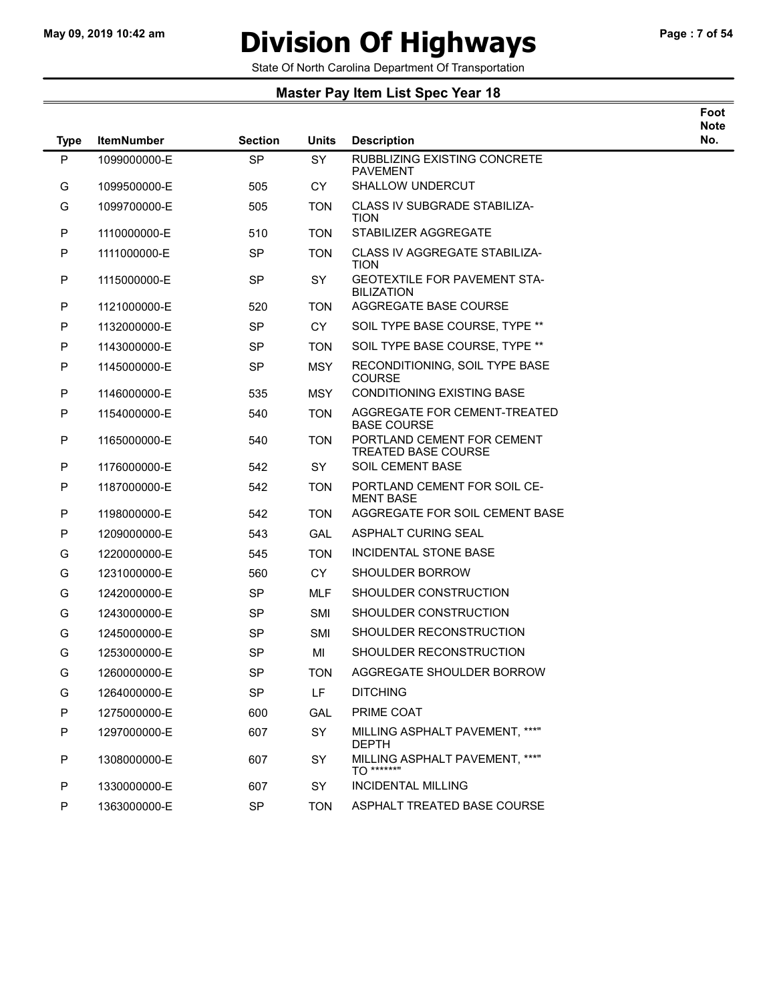# May 09, 2019 10:42 am **Division Of Highways** Page : 7 of 54

Foot

State Of North Carolina Department Of Transportation

| <b>Type</b> | <b>ItemNumber</b> | <b>Section</b> | <b>Units</b>   | <b>Description</b>                                       | Note<br>No. |
|-------------|-------------------|----------------|----------------|----------------------------------------------------------|-------------|
| P           | 1099000000-E      | <b>SP</b>      | <b>SY</b>      | RUBBLIZING EXISTING CONCRETE<br><b>PAVEMENT</b>          |             |
| G           | 1099500000-E      | 505            | <b>CY</b>      | <b>SHALLOW UNDERCUT</b>                                  |             |
| G           | 1099700000-E      | 505            | <b>TON</b>     | <b>CLASS IV SUBGRADE STABILIZA-</b><br><b>TION</b>       |             |
| P           | 1110000000-E      | 510            | <b>TON</b>     | STABILIZER AGGREGATE                                     |             |
| P           | 1111000000-E      | <b>SP</b>      | <b>TON</b>     | <b>CLASS IV AGGREGATE STABILIZA-</b><br><b>TION</b>      |             |
| P           | 1115000000-E      | <b>SP</b>      | <b>SY</b>      | <b>GEOTEXTILE FOR PAVEMENT STA-</b><br><b>BILIZATION</b> |             |
| P           | 1121000000-E      | 520            | <b>TON</b>     | AGGREGATE BASE COURSE                                    |             |
| P           | 1132000000-E      | <b>SP</b>      | CY <sub></sub> | SOIL TYPE BASE COURSE, TYPE **                           |             |
| P           | 1143000000-E      | <b>SP</b>      | <b>TON</b>     | SOIL TYPE BASE COURSE, TYPE **                           |             |
| P           | 1145000000-E      | <b>SP</b>      | <b>MSY</b>     | RECONDITIONING, SOIL TYPE BASE<br><b>COURSE</b>          |             |
| P           | 1146000000-E      | 535            | <b>MSY</b>     | <b>CONDITIONING EXISTING BASE</b>                        |             |
| ${\sf P}$   | 1154000000-E      | 540            | <b>TON</b>     | AGGREGATE FOR CEMENT-TREATED<br><b>BASE COURSE</b>       |             |
| P           | 1165000000-E      | 540            | <b>TON</b>     | PORTLAND CEMENT FOR CEMENT<br><b>TREATED BASE COURSE</b> |             |
| P           | 1176000000-E      | 542            | <b>SY</b>      | SOIL CEMENT BASE                                         |             |
| ${\sf P}$   | 1187000000-E      | 542            | <b>TON</b>     | PORTLAND CEMENT FOR SOIL CE-<br><b>MENT BASE</b>         |             |
| P           | 1198000000-E      | 542            | <b>TON</b>     | AGGREGATE FOR SOIL CEMENT BASE                           |             |
| P           | 1209000000-E      | 543            | <b>GAL</b>     | ASPHALT CURING SEAL                                      |             |
| G           | 1220000000-E      | 545            | <b>TON</b>     | INCIDENTAL STONE BASE                                    |             |
| G           | 1231000000-E      | 560            | <b>CY</b>      | <b>SHOULDER BORROW</b>                                   |             |
| G           | 1242000000-E      | <b>SP</b>      | <b>MLF</b>     | SHOULDER CONSTRUCTION                                    |             |
| G           | 1243000000-E      | SP             | <b>SMI</b>     | SHOULDER CONSTRUCTION                                    |             |
| G           | 1245000000-E      | <b>SP</b>      | SMI            | SHOULDER RECONSTRUCTION                                  |             |
| G           | 1253000000-E      | SP             | MI             | SHOULDER RECONSTRUCTION                                  |             |
| G           | 1260000000-E      | <b>SP</b>      | <b>TON</b>     | AGGREGATE SHOULDER BORROW                                |             |
| G           | 1264000000-E      | <b>SP</b>      | LF             | <b>DITCHING</b>                                          |             |
| P           | 1275000000-E      | 600            | GAL            | PRIME COAT                                               |             |
| P           | 1297000000-E      | 607            | SY             | MILLING ASPHALT PAVEMENT, ***"<br><b>DEPTH</b>           |             |
| P           | 1308000000-E      | 607            | SY             | MILLING ASPHALT PAVEMENT, ***"<br><b>TO ******</b> "     |             |
| P           | 1330000000-E      | 607            | SY             | <b>INCIDENTAL MILLING</b>                                |             |
| P           | 1363000000-E      | SP             | <b>TON</b>     | ASPHALT TREATED BASE COURSE                              |             |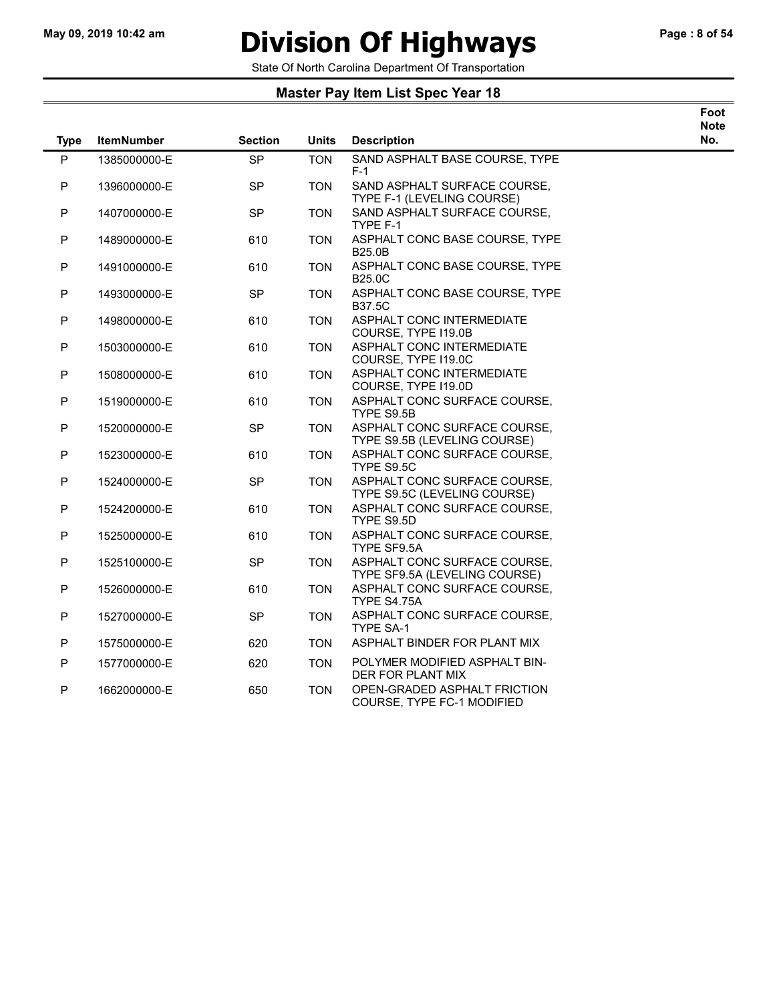# May 09, 2019 10:42 am **Division Of Highways** Page : 8 of 54

Foot

State Of North Carolina Department Of Transportation

| <b>Type</b> | <b>ItemNumber</b> | <b>Section</b> | <b>Units</b> | <b>Description</b>                                            | <b>Note</b><br>No. |
|-------------|-------------------|----------------|--------------|---------------------------------------------------------------|--------------------|
| P           | 1385000000-E      | SP             | <b>TON</b>   | SAND ASPHALT BASE COURSE, TYPE<br>$F-1$                       |                    |
| ${\sf P}$   | 1396000000-E      | <b>SP</b>      | <b>TON</b>   | SAND ASPHALT SURFACE COURSE,<br>TYPE F-1 (LEVELING COURSE)    |                    |
| ${\sf P}$   | 1407000000-E      | <b>SP</b>      | <b>TON</b>   | SAND ASPHALT SURFACE COURSE,<br>TYPE F-1                      |                    |
| ${\sf P}$   | 1489000000-E      | 610            | <b>TON</b>   | ASPHALT CONC BASE COURSE, TYPE<br><b>B25.0B</b>               |                    |
| ${\sf P}$   | 1491000000-E      | 610            | <b>TON</b>   | ASPHALT CONC BASE COURSE, TYPE<br><b>B25.0C</b>               |                    |
| ${\sf P}$   | 1493000000-E      | SP             | <b>TON</b>   | ASPHALT CONC BASE COURSE, TYPE<br><b>B37.5C</b>               |                    |
| ${\sf P}$   | 1498000000-E      | 610            | <b>TON</b>   | ASPHALT CONC INTERMEDIATE<br>COURSE, TYPE I19.0B              |                    |
| ${\sf P}$   | 1503000000-E      | 610            | <b>TON</b>   | ASPHALT CONC INTERMEDIATE<br>COURSE, TYPE I19.0C              |                    |
| P           | 1508000000-E      | 610            | <b>TON</b>   | ASPHALT CONC INTERMEDIATE<br>COURSE, TYPE 119.0D              |                    |
| ${\sf P}$   | 1519000000-E      | 610            | <b>TON</b>   | ASPHALT CONC SURFACE COURSE,<br>TYPE S9.5B                    |                    |
| P           | 1520000000-E      | <b>SP</b>      | <b>TON</b>   | ASPHALT CONC SURFACE COURSE,<br>TYPE S9.5B (LEVELING COURSE)  |                    |
| ${\sf P}$   | 1523000000-E      | 610            | <b>TON</b>   | ASPHALT CONC SURFACE COURSE,<br>TYPE S9.5C                    |                    |
| P           | 1524000000-E      | <b>SP</b>      | <b>TON</b>   | ASPHALT CONC SURFACE COURSE,<br>TYPE S9.5C (LEVELING COURSE)  |                    |
| P           | 1524200000-E      | 610            | <b>TON</b>   | ASPHALT CONC SURFACE COURSE,<br>TYPE S9.5D                    |                    |
| ${\sf P}$   | 1525000000-E      | 610            | <b>TON</b>   | ASPHALT CONC SURFACE COURSE,<br>TYPE SF9.5A                   |                    |
| P           | 1525100000-E      | <b>SP</b>      | <b>TON</b>   | ASPHALT CONC SURFACE COURSE,<br>TYPE SF9.5A (LEVELING COURSE) |                    |
| ${\sf P}$   | 1526000000-E      | 610            | <b>TON</b>   | ASPHALT CONC SURFACE COURSE,<br>TYPE S4.75A                   |                    |
| $\mathsf P$ | 1527000000-E      | <b>SP</b>      | <b>TON</b>   | ASPHALT CONC SURFACE COURSE,<br>TYPE SA-1                     |                    |
| ${\sf P}$   | 1575000000-E      | 620            | <b>TON</b>   | ASPHALT BINDER FOR PLANT MIX                                  |                    |
| ${\sf P}$   | 1577000000-E      | 620            | <b>TON</b>   | POLYMER MODIFIED ASPHALT BIN-<br>DER FOR PLANT MIX            |                    |
| P           | 1662000000-E      | 650            | <b>TON</b>   | OPEN-GRADED ASPHALT FRICTION<br>COURSE, TYPE FC-1 MODIFIED    |                    |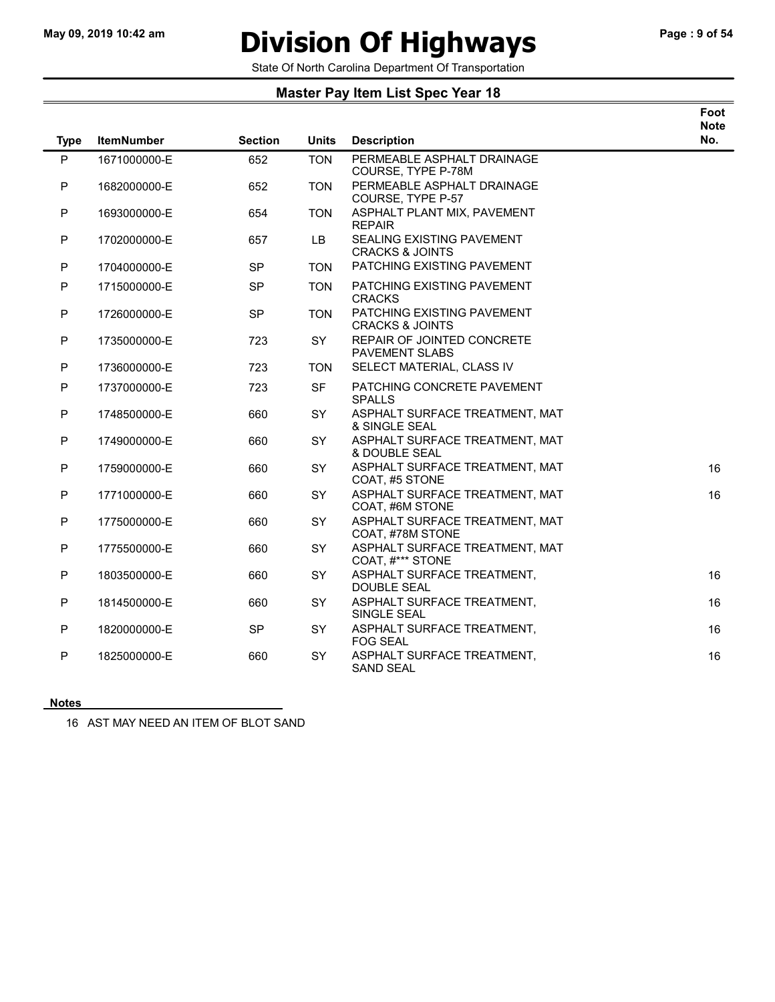$\overline{\phantom{0}}$ 

### May 09, 2019 10:42 am **Division Of Highways** Page : 9 of 54

State Of North Carolina Department Of Transportation

### Master Pay Item List Spec Year 18

| Foot |
|------|
| Note |
|      |

| <b>Type</b> | <b>ItemNumber</b> | <b>Section</b> | <b>Units</b> | <b>Description</b>                                       | No. |
|-------------|-------------------|----------------|--------------|----------------------------------------------------------|-----|
| P           | 1671000000-E      | 652            | <b>TON</b>   | PERMEABLE ASPHALT DRAINAGE<br>COURSE, TYPE P-78M         |     |
| P           | 1682000000-E      | 652            | <b>TON</b>   | PERMEABLE ASPHALT DRAINAGE<br>COURSE, TYPE P-57          |     |
| P           | 1693000000-E      | 654            | <b>TON</b>   | ASPHALT PLANT MIX, PAVEMENT<br><b>REPAIR</b>             |     |
| ${\sf P}$   | 1702000000-E      | 657            | LB.          | SEALING EXISTING PAVEMENT<br><b>CRACKS &amp; JOINTS</b>  |     |
| P           | 1704000000-E      | <b>SP</b>      | <b>TON</b>   | PATCHING EXISTING PAVEMENT                               |     |
| P           | 1715000000-E      | <b>SP</b>      | <b>TON</b>   | PATCHING EXISTING PAVEMENT<br><b>CRACKS</b>              |     |
| ${\sf P}$   | 1726000000-E      | <b>SP</b>      | <b>TON</b>   | PATCHING EXISTING PAVEMENT<br><b>CRACKS &amp; JOINTS</b> |     |
| P           | 1735000000-E      | 723            | SY           | REPAIR OF JOINTED CONCRETE<br><b>PAVEMENT SLABS</b>      |     |
| P           | 1736000000-E      | 723            | <b>TON</b>   | SELECT MATERIAL, CLASS IV                                |     |
| P           | 1737000000-E      | 723            | <b>SF</b>    | PATCHING CONCRETE PAVEMENT<br><b>SPALLS</b>              |     |
| P           | 1748500000-E      | 660            | SY           | ASPHALT SURFACE TREATMENT, MAT<br>& SINGLE SEAL          |     |
| P           | 1749000000-E      | 660            | SY           | ASPHALT SURFACE TREATMENT, MAT<br>& DOUBLE SEAL          |     |
| P           | 1759000000-E      | 660            | SY           | ASPHALT SURFACE TREATMENT, MAT<br>COAT, #5 STONE         | 16  |
| P           | 1771000000-E      | 660            | SY           | ASPHALT SURFACE TREATMENT, MAT<br>COAT, #6M STONE        | 16  |
| P           | 1775000000-E      | 660            | SY           | ASPHALT SURFACE TREATMENT, MAT<br>COAT, #78M STONE       |     |
| P           | 1775500000-E      | 660            | <b>SY</b>    | ASPHALT SURFACE TREATMENT, MAT<br>COAT, #*** STONE       |     |
| P           | 1803500000-E      | 660            | SY           | ASPHALT SURFACE TREATMENT,<br><b>DOUBLE SEAL</b>         | 16  |
| P           | 1814500000-E      | 660            | SY           | ASPHALT SURFACE TREATMENT,<br>SINGLE SEAL                | 16  |
| P           | 1820000000-E      | <b>SP</b>      | <b>SY</b>    | ASPHALT SURFACE TREATMENT,<br><b>FOG SEAL</b>            | 16  |
| P           | 1825000000-E      | 660            | SY           | ASPHALT SURFACE TREATMENT,<br><b>SAND SEAL</b>           | 16  |

#### **Notes**

16 AST MAY NEED AN ITEM OF BLOT SAND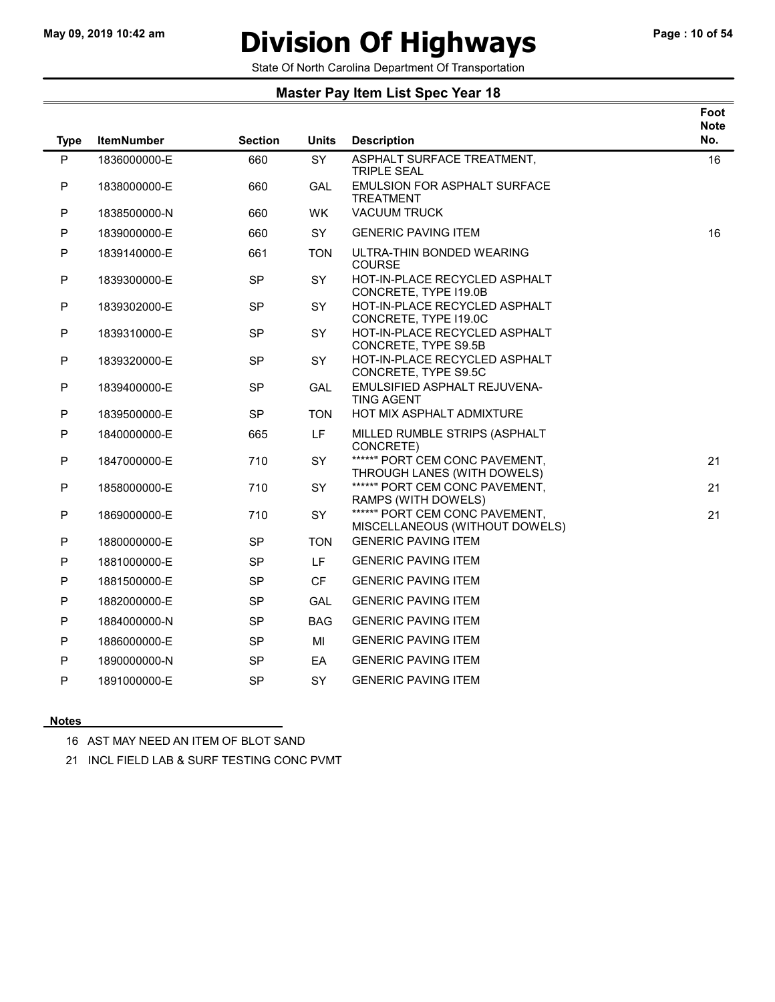# May 09, 2019 10:42 am **Division Of Highways** Page : 10 of 54

State Of North Carolina Department Of Transportation

#### Master Pay Item List Spec Year 18

|             |                   |                |              |                                                                  | Foot<br><b>Note</b> |
|-------------|-------------------|----------------|--------------|------------------------------------------------------------------|---------------------|
| <b>Type</b> | <b>ItemNumber</b> | <b>Section</b> | <b>Units</b> | <b>Description</b>                                               | No.                 |
| P           | 1836000000-E      | 660            | <b>SY</b>    | ASPHALT SURFACE TREATMENT,<br><b>TRIPLE SEAL</b>                 | 16                  |
| P           | 1838000000-E      | 660            | <b>GAL</b>   | <b>EMULSION FOR ASPHALT SURFACE</b><br><b>TREATMENT</b>          |                     |
| P           | 1838500000-N      | 660            | WK.          | <b>VACUUM TRUCK</b>                                              |                     |
| P           | 1839000000-E      | 660            | SY           | <b>GENERIC PAVING ITEM</b>                                       | 16                  |
| P           | 1839140000-E      | 661            | <b>TON</b>   | ULTRA-THIN BONDED WEARING<br><b>COURSE</b>                       |                     |
| P           | 1839300000-E      | <b>SP</b>      | <b>SY</b>    | HOT-IN-PLACE RECYCLED ASPHALT<br>CONCRETE, TYPE I19.0B           |                     |
| P           | 1839302000-E      | <b>SP</b>      | SY           | HOT-IN-PLACE RECYCLED ASPHALT<br>CONCRETE, TYPE I19.0C           |                     |
| P           | 1839310000-E      | <b>SP</b>      | SY           | HOT-IN-PLACE RECYCLED ASPHALT<br>CONCRETE, TYPE S9.5B            |                     |
| P           | 1839320000-E      | <b>SP</b>      | SY           | HOT-IN-PLACE RECYCLED ASPHALT<br>CONCRETE, TYPE S9.5C            |                     |
| P           | 1839400000-E      | <b>SP</b>      | <b>GAL</b>   | EMULSIFIED ASPHALT REJUVENA-<br><b>TING AGENT</b>                |                     |
| P           | 1839500000-E      | <b>SP</b>      | <b>TON</b>   | HOT MIX ASPHALT ADMIXTURE                                        |                     |
| P           | 1840000000-E      | 665            | LF           | MILLED RUMBLE STRIPS (ASPHALT<br>CONCRETE)                       |                     |
| P           | 1847000000-E      | 710            | SY           | *****" PORT CEM CONC PAVEMENT,<br>THROUGH LANES (WITH DOWELS)    | 21                  |
| P           | 1858000000-E      | 710            | SY.          | *****" PORT CEM CONC PAVEMENT,<br>RAMPS (WITH DOWELS)            | 21                  |
| P           | 1869000000-E      | 710            | SY           | *****" PORT CEM CONC PAVEMENT,<br>MISCELLANEOUS (WITHOUT DOWELS) | 21                  |
| P           | 1880000000-E      | <b>SP</b>      | <b>TON</b>   | <b>GENERIC PAVING ITEM</b>                                       |                     |
| P           | 1881000000-E      | <b>SP</b>      | LF.          | <b>GENERIC PAVING ITEM</b>                                       |                     |
| P           | 1881500000-E      | SP             | <b>CF</b>    | <b>GENERIC PAVING ITEM</b>                                       |                     |
| P           | 1882000000-E      | <b>SP</b>      | <b>GAL</b>   | <b>GENERIC PAVING ITEM</b>                                       |                     |
| P           | 1884000000-N      | <b>SP</b>      | <b>BAG</b>   | <b>GENERIC PAVING ITEM</b>                                       |                     |
| P           | 1886000000-E      | <b>SP</b>      | MI           | <b>GENERIC PAVING ITEM</b>                                       |                     |
| P           | 1890000000-N      | SP             | EA           | <b>GENERIC PAVING ITEM</b>                                       |                     |
| P           | 1891000000-E      | <b>SP</b>      | <b>SY</b>    | <b>GENERIC PAVING ITEM</b>                                       |                     |

#### **Notes**

16 AST MAY NEED AN ITEM OF BLOT SAND

21 INCL FIELD LAB & SURF TESTING CONC PVMT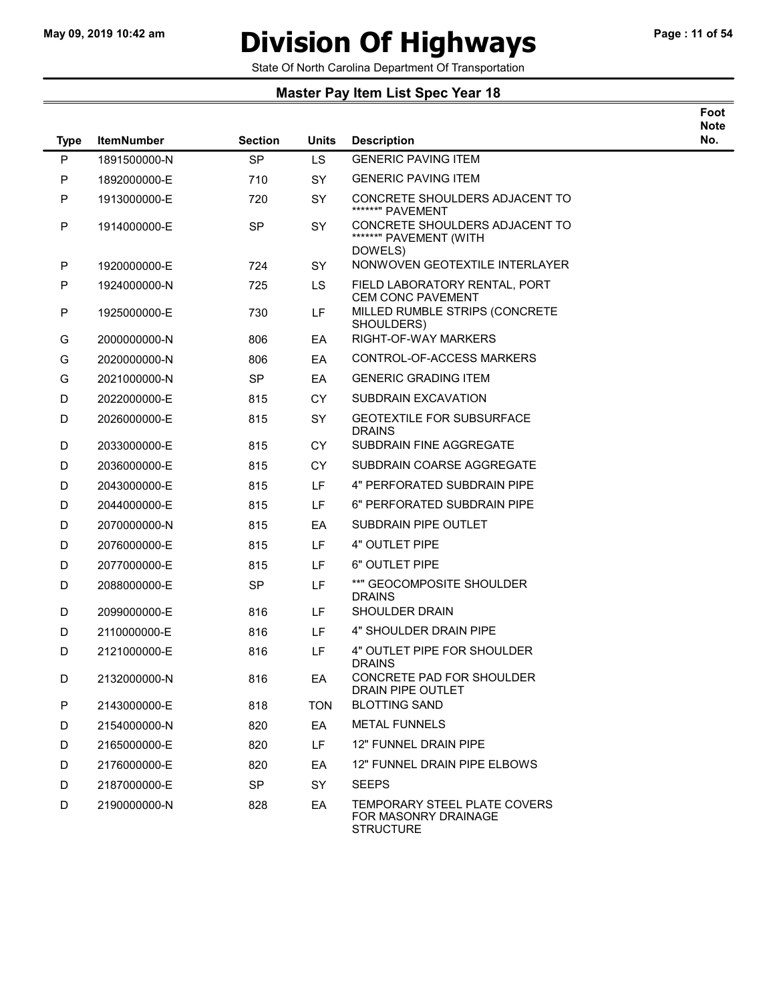$\overline{\phantom{0}}$ 

## May 09, 2019 10:42 am **Division Of Highways** Page : 11 of 54

Foot

State Of North Carolina Department Of Transportation

| <b>Type</b> | <b>ItemNumber</b> | <b>Section</b> | <b>Units</b> | <b>Description</b>                                                       | <b>Note</b><br>No. |
|-------------|-------------------|----------------|--------------|--------------------------------------------------------------------------|--------------------|
| P           | 1891500000-N      | <b>SP</b>      | LS           | <b>GENERIC PAVING ITEM</b>                                               |                    |
| P           | 1892000000-E      | 710            | SY           | <b>GENERIC PAVING ITEM</b>                                               |                    |
| P           | 1913000000-E      | 720            | SY           | CONCRETE SHOULDERS ADJACENT TO<br>******" PAVEMENT                       |                    |
| P           | 1914000000-E      | <b>SP</b>      | <b>SY</b>    | CONCRETE SHOULDERS ADJACENT TO<br>******" PAVEMENT (WITH<br>DOWELS)      |                    |
| P           | 1920000000-E      | 724            | <b>SY</b>    | NONWOVEN GEOTEXTILE INTERLAYER                                           |                    |
| P           | 1924000000-N      | 725            | <b>LS</b>    | FIELD LABORATORY RENTAL, PORT<br><b>CEM CONC PAVEMENT</b>                |                    |
| P           | 1925000000-E      | 730            | LF           | MILLED RUMBLE STRIPS (CONCRETE<br>SHOULDERS)                             |                    |
| G           | 2000000000-N      | 806            | EA           | RIGHT-OF-WAY MARKERS                                                     |                    |
| G           | 2020000000-N      | 806            | EA           | CONTROL-OF-ACCESS MARKERS                                                |                    |
| G           | 2021000000-N      | <b>SP</b>      | EA           | <b>GENERIC GRADING ITEM</b>                                              |                    |
| D           | 2022000000-E      | 815            | <b>CY</b>    | SUBDRAIN EXCAVATION                                                      |                    |
| D           | 2026000000-E      | 815            | <b>SY</b>    | <b>GEOTEXTILE FOR SUBSURFACE</b><br><b>DRAINS</b>                        |                    |
| D           | 2033000000-E      | 815            | <b>CY</b>    | SUBDRAIN FINE AGGREGATE                                                  |                    |
| D           | 2036000000-E      | 815            | <b>CY</b>    | SUBDRAIN COARSE AGGREGATE                                                |                    |
| D           | 2043000000-E      | 815            | LF.          | 4" PERFORATED SUBDRAIN PIPE                                              |                    |
| D           | 2044000000-E      | 815            | LF.          | 6" PERFORATED SUBDRAIN PIPE                                              |                    |
| D           | 2070000000-N      | 815            | EA           | SUBDRAIN PIPE OUTLET                                                     |                    |
| D           | 2076000000-E      | 815            | LF           | 4" OUTLET PIPE                                                           |                    |
| D           | 2077000000-E      | 815            | LF           | 6" OUTLET PIPE                                                           |                    |
| D           | 2088000000-E      | <b>SP</b>      | LF           | **" GEOCOMPOSITE SHOULDER<br><b>DRAINS</b>                               |                    |
| D           | 2099000000-E      | 816            | LF.          | SHOULDER DRAIN                                                           |                    |
| D           | 2110000000-E      | 816            | LF           | 4" SHOULDER DRAIN PIPE                                                   |                    |
| D           | 2121000000-E      | 816            | LF           | 4" OUTLET PIPE FOR SHOULDER<br><b>DRAINS</b>                             |                    |
| D           | 2132000000-N      | 816            | EA           | CONCRETE PAD FOR SHOULDER<br>DRAIN PIPE OUTLET                           |                    |
| P           | 2143000000-E      | 818            | <b>TON</b>   | <b>BLOTTING SAND</b>                                                     |                    |
| D           | 2154000000-N      | 820            | EA           | <b>METAL FUNNELS</b>                                                     |                    |
| D           | 2165000000-E      | 820            | LF.          | 12" FUNNEL DRAIN PIPE                                                    |                    |
| D           | 2176000000-E      | 820            | EA.          | 12" FUNNEL DRAIN PIPE ELBOWS                                             |                    |
| D           | 2187000000-E      | <b>SP</b>      | <b>SY</b>    | <b>SEEPS</b>                                                             |                    |
| D           | 2190000000-N      | 828            | EA           | TEMPORARY STEEL PLATE COVERS<br>FOR MASONRY DRAINAGE<br><b>STRUCTURE</b> |                    |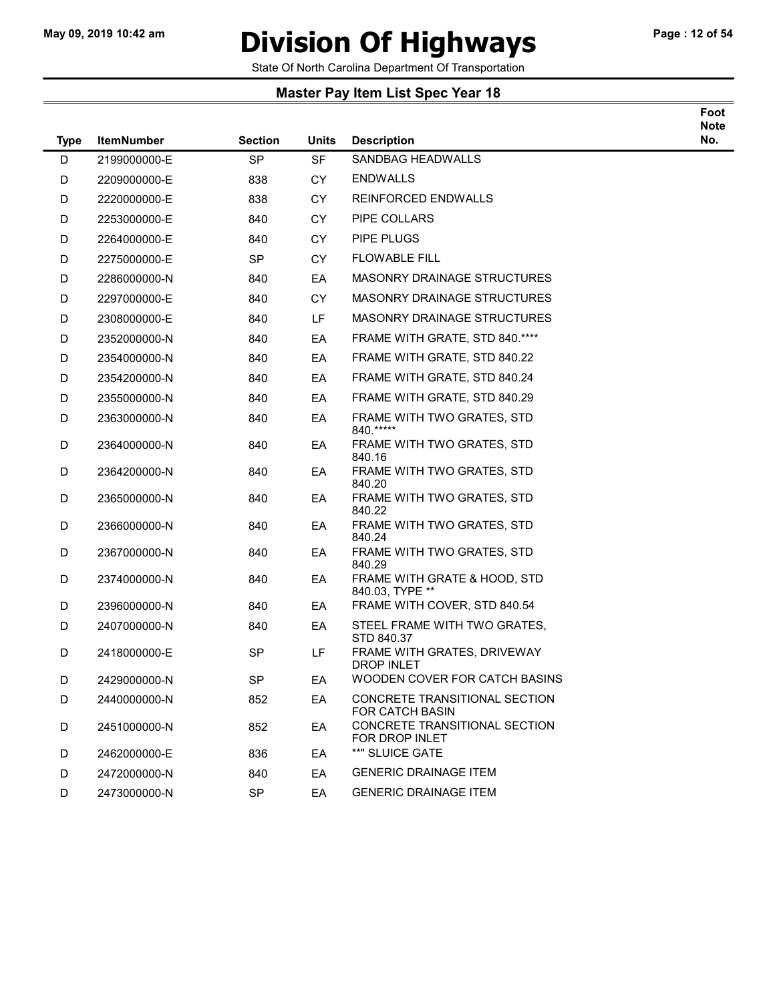### May 09, 2019 10:42 am **Division Of Highways** Page : 12 of 54

State Of North Carolina Department Of Transportation

#### Master Pay Item List Spec Year 18

| <b>Type</b> | <b>ItemNumber</b> | <b>Section</b> | <b>Units</b> | <b>Description</b>                              | Foot<br><b>Note</b><br>No. |
|-------------|-------------------|----------------|--------------|-------------------------------------------------|----------------------------|
| D           | 2199000000-E      | <b>SP</b>      | <b>SF</b>    | <b>SANDBAG HEADWALLS</b>                        |                            |
| D           | 2209000000-E      | 838            | <b>CY</b>    | <b>ENDWALLS</b>                                 |                            |
| D           | 2220000000-E      | 838            | <b>CY</b>    | <b>REINFORCED ENDWALLS</b>                      |                            |
| D           | 2253000000-E      | 840            | <b>CY</b>    | <b>PIPE COLLARS</b>                             |                            |
| D           | 2264000000-E      | 840            | <b>CY</b>    | PIPE PLUGS                                      |                            |
| D           | 2275000000-E      | <b>SP</b>      | <b>CY</b>    | <b>FLOWABLE FILL</b>                            |                            |
| D           | 2286000000-N      | 840            | EA           | <b>MASONRY DRAINAGE STRUCTURES</b>              |                            |
| D           | 2297000000-E      | 840            | CY.          | <b>MASONRY DRAINAGE STRUCTURES</b>              |                            |
| D           | 2308000000-E      | 840            | LF.          | <b>MASONRY DRAINAGE STRUCTURES</b>              |                            |
| D           | 2352000000-N      | 840            | EA           | FRAME WITH GRATE, STD 840.****                  |                            |
| D           | 2354000000-N      | 840            | EA           | FRAME WITH GRATE, STD 840.22                    |                            |
| D           | 2354200000-N      | 840            | EA           | FRAME WITH GRATE, STD 840.24                    |                            |
| D           | 2355000000-N      | 840            | EA           | FRAME WITH GRATE, STD 840.29                    |                            |
| D           | 2363000000-N      | 840            | EA           | FRAME WITH TWO GRATES, STD<br>840.*****         |                            |
| D           | 2364000000-N      | 840            | EA           | FRAME WITH TWO GRATES, STD<br>840.16            |                            |
| D           | 2364200000-N      | 840            | EA           | FRAME WITH TWO GRATES, STD<br>840.20            |                            |
| D           | 2365000000-N      | 840            | EA           | FRAME WITH TWO GRATES, STD<br>840.22            |                            |
| D           | 2366000000-N      | 840            | EA           | FRAME WITH TWO GRATES, STD<br>840.24            |                            |
| D           | 2367000000-N      | 840            | EA           | FRAME WITH TWO GRATES, STD<br>840.29            |                            |
| D           | 2374000000-N      | 840            | EA           | FRAME WITH GRATE & HOOD, STD<br>840.03, TYPE ** |                            |
| D           | 2396000000-N      | 840            | EA           | FRAME WITH COVER, STD 840.54                    |                            |
| D           | 2407000000-N      | 840            | EA           | STEEL FRAME WITH TWO GRATES.<br>STD 840.37      |                            |

D 2418000000-E SP LF FRAME WITH GRATES, DRIVEWAY

D 2429000000-N SP EA WOODEN COVER FOR CATCH BASINS D 2440000000-N 852 EA CONCRETE TRANSITIONAL SECTION

D 2451000000-N 852 EA CONCRETE TRANSITIONAL SECTION

D 2462000000-E 836 EA \*\*" SLUICE GATE

D 2472000000-N 840 EA GENERIC DRAINAGE ITEM D 2473000000-N SP EA GENERIC DRAINAGE ITEM

DROP INLET

FOR CATCH BASIN

FOR DROP INLET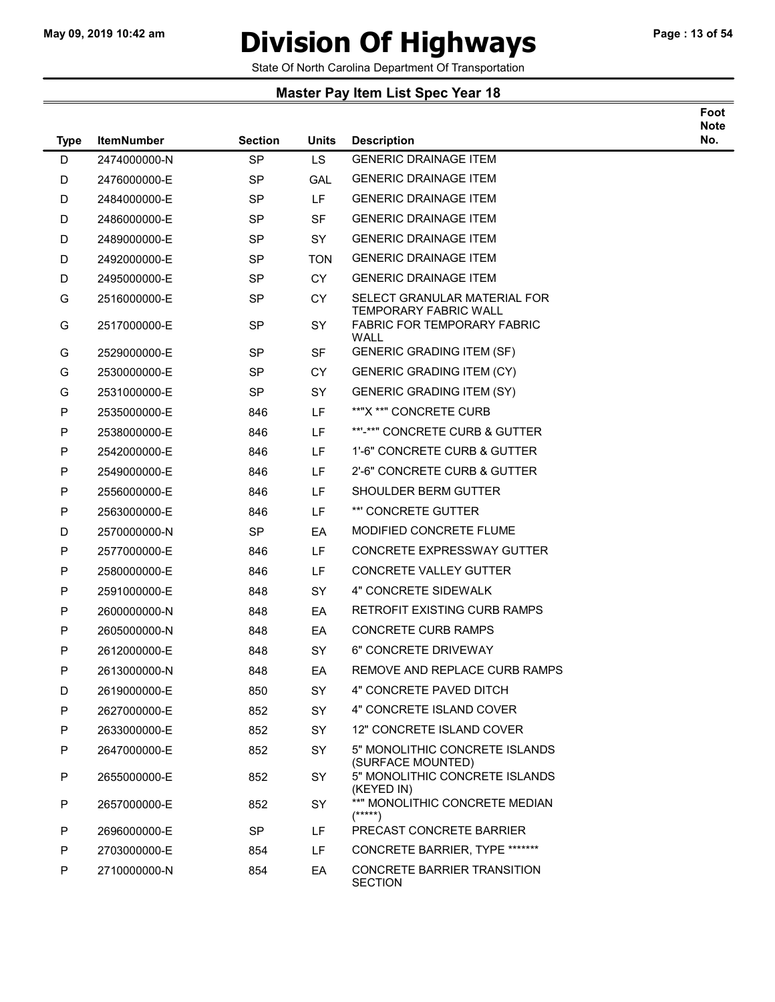### May 09, 2019 10:42 am **Division Of Highways** Page : 13 of 54

Foot

State Of North Carolina Department Of Transportation

| <b>Type</b> | <b>ItemNumber</b> | <b>Section</b> | Units      | <b>Description</b>                                                  | <b>Note</b><br>No. |
|-------------|-------------------|----------------|------------|---------------------------------------------------------------------|--------------------|
| D           | 2474000000-N      | <b>SP</b>      | LS         | <b>GENERIC DRAINAGE ITEM</b>                                        |                    |
| D           | 2476000000-E      | <b>SP</b>      | GAL        | <b>GENERIC DRAINAGE ITEM</b>                                        |                    |
| D           | 2484000000-E      | <b>SP</b>      | LF.        | <b>GENERIC DRAINAGE ITEM</b>                                        |                    |
| D           | 2486000000-E      | <b>SP</b>      | <b>SF</b>  | <b>GENERIC DRAINAGE ITEM</b>                                        |                    |
| D           | 2489000000-E      | SP             | SY         | <b>GENERIC DRAINAGE ITEM</b>                                        |                    |
| D           | 2492000000-E      | <b>SP</b>      | <b>TON</b> | <b>GENERIC DRAINAGE ITEM</b>                                        |                    |
| D           | 2495000000-E      | SP             | CY.        | <b>GENERIC DRAINAGE ITEM</b>                                        |                    |
| G           | 2516000000-E      | <b>SP</b>      | <b>CY</b>  | SELECT GRANULAR MATERIAL FOR                                        |                    |
| G           | 2517000000-E      | <b>SP</b>      | <b>SY</b>  | TEMPORARY FABRIC WALL<br><b>FABRIC FOR TEMPORARY FABRIC</b><br>WALL |                    |
| G           | 2529000000-E      | SP             | SF         | <b>GENERIC GRADING ITEM (SF)</b>                                    |                    |
| G           | 2530000000-E      | <b>SP</b>      | CY.        | <b>GENERIC GRADING ITEM (CY)</b>                                    |                    |
| G           | 2531000000-E      | SP             | <b>SY</b>  | <b>GENERIC GRADING ITEM (SY)</b>                                    |                    |
| P           | 2535000000-E      | 846            | LF.        | **"X **" CONCRETE CURB                                              |                    |
| P           | 2538000000-E      | 846            | LF         | **'-**" CONCRETE CURB & GUTTER                                      |                    |
| P           | 2542000000-E      | 846            | LF.        | 1'-6" CONCRETE CURB & GUTTER                                        |                    |
| P           | 2549000000-E      | 846            | LF         | 2'-6" CONCRETE CURB & GUTTER                                        |                    |
| P           | 2556000000-E      | 846            | LF         | SHOULDER BERM GUTTER                                                |                    |
| P           | 2563000000-E      | 846            | <b>LF</b>  | **' CONCRETE GUTTER                                                 |                    |
| D           | 2570000000-N      | <b>SP</b>      | EA         | <b>MODIFIED CONCRETE FLUME</b>                                      |                    |
| P           | 2577000000-E      | 846            | <b>LF</b>  | CONCRETE EXPRESSWAY GUTTER                                          |                    |
| P           | 2580000000-E      | 846            | LF         | <b>CONCRETE VALLEY GUTTER</b>                                       |                    |
| P           | 2591000000-E      | 848            | <b>SY</b>  | <b>4" CONCRETE SIDEWALK</b>                                         |                    |
| P           | 2600000000-N      | 848            | EA         | <b>RETROFIT EXISTING CURB RAMPS</b>                                 |                    |
| P           | 2605000000-N      | 848            | EA         | <b>CONCRETE CURB RAMPS</b>                                          |                    |
| P           | 2612000000-E      | 848            | SY         | 6" CONCRETE DRIVEWAY                                                |                    |
| P           | 2613000000-N      | 848            | EA         | REMOVE AND REPLACE CURB RAMPS                                       |                    |
| D           | 2619000000-E      | 850            | SY         | 4" CONCRETE PAVED DITCH                                             |                    |
| P           | 2627000000-E      | 852            | SY         | 4" CONCRETE ISLAND COVER                                            |                    |
| P           | 2633000000-E      | 852            | SY         | 12" CONCRETE ISLAND COVER                                           |                    |
| P           | 2647000000-E      | 852            | SY         | 5" MONOLITHIC CONCRETE ISLANDS<br>(SURFACE MOUNTED)                 |                    |
| P           | 2655000000-E      | 852            | SY         | 5" MONOLITHIC CONCRETE ISLANDS<br>(KEYED IN)                        |                    |
| P           | 2657000000-E      | 852            | SY         | **" MONOLITHIC CONCRETE MEDIAN<br>$(****)$                          |                    |
| P           | 2696000000-E      | <b>SP</b>      | LF         | PRECAST CONCRETE BARRIER                                            |                    |
| P           | 2703000000-E      | 854            | LF.        | CONCRETE BARRIER, TYPE *******                                      |                    |
| P           | 2710000000-N      | 854            | EA         | <b>CONCRETE BARRIER TRANSITION</b><br><b>SECTION</b>                |                    |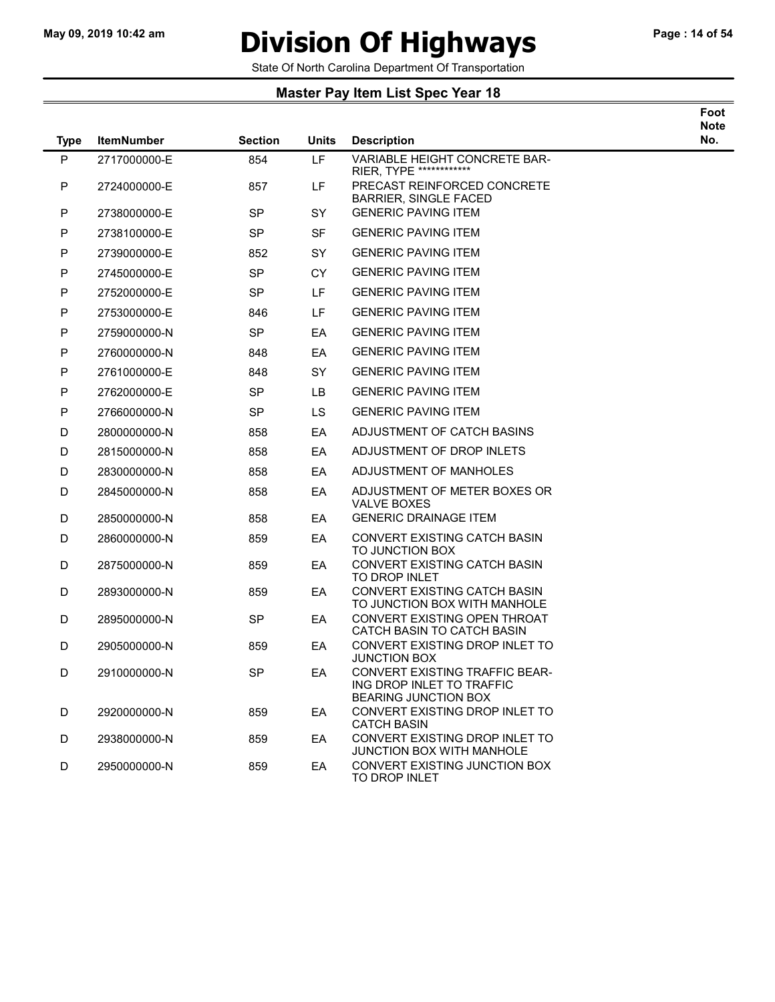$\overline{\phantom{a}}$ 

### May 09, 2019 10:42 am **Division Of Highways** Page : 14 of 54

Foot

State Of North Carolina Department Of Transportation

| <b>Type</b> | <b>ItemNumber</b> | <b>Section</b> | <b>Units</b> | <b>Description</b>                                                                         | <b>Note</b><br>No. |
|-------------|-------------------|----------------|--------------|--------------------------------------------------------------------------------------------|--------------------|
| P           | 2717000000-E      | 854            | <b>LF</b>    | VARIABLE HEIGHT CONCRETE BAR-<br>RIER, TYPE *************                                  |                    |
| P           | 2724000000-E      | 857            | LF.          | PRECAST REINFORCED CONCRETE<br><b>BARRIER, SINGLE FACED</b>                                |                    |
| P           | 2738000000-E      | SP             | <b>SY</b>    | <b>GENERIC PAVING ITEM</b>                                                                 |                    |
| P           | 2738100000-E      | <b>SP</b>      | <b>SF</b>    | <b>GENERIC PAVING ITEM</b>                                                                 |                    |
| P           | 2739000000-E      | 852            | <b>SY</b>    | <b>GENERIC PAVING ITEM</b>                                                                 |                    |
| P           | 2745000000-E      | <b>SP</b>      | <b>CY</b>    | <b>GENERIC PAVING ITEM</b>                                                                 |                    |
| P           | 2752000000-E      | <b>SP</b>      | LF.          | <b>GENERIC PAVING ITEM</b>                                                                 |                    |
| P           | 2753000000-E      | 846            | LF.          | <b>GENERIC PAVING ITEM</b>                                                                 |                    |
| P           | 2759000000-N      | <b>SP</b>      | EA           | <b>GENERIC PAVING ITEM</b>                                                                 |                    |
| P           | 2760000000-N      | 848            | EA           | <b>GENERIC PAVING ITEM</b>                                                                 |                    |
| P           | 2761000000-E      | 848            | <b>SY</b>    | <b>GENERIC PAVING ITEM</b>                                                                 |                    |
| P           | 2762000000-E      | <b>SP</b>      | LВ           | <b>GENERIC PAVING ITEM</b>                                                                 |                    |
| P           | 2766000000-N      | <b>SP</b>      | LS.          | <b>GENERIC PAVING ITEM</b>                                                                 |                    |
| D           | 2800000000-N      | 858            | EA           | ADJUSTMENT OF CATCH BASINS                                                                 |                    |
| D           | 2815000000-N      | 858            | EA           | ADJUSTMENT OF DROP INLETS                                                                  |                    |
| D           | 2830000000-N      | 858            | EA           | ADJUSTMENT OF MANHOLES                                                                     |                    |
| D           | 2845000000-N      | 858            | EA           | ADJUSTMENT OF METER BOXES OR<br><b>VALVE BOXES</b>                                         |                    |
| D           | 2850000000-N      | 858            | EA           | <b>GENERIC DRAINAGE ITEM</b>                                                               |                    |
| D           | 2860000000-N      | 859            | EA           | CONVERT EXISTING CATCH BASIN<br>TO JUNCTION BOX                                            |                    |
| D           | 2875000000-N      | 859            | EA           | CONVERT EXISTING CATCH BASIN<br>TO DROP INLET                                              |                    |
| D           | 2893000000-N      | 859            | EA           | <b>CONVERT EXISTING CATCH BASIN</b><br>TO JUNCTION BOX WITH MANHOLE                        |                    |
| D           | 2895000000-N      | <b>SP</b>      | EA           | CONVERT EXISTING OPEN THROAT<br>CATCH BASIN TO CATCH BASIN                                 |                    |
| D           | 2905000000-N      | 859            | EA           | CONVERT EXISTING DROP INLET TO<br><b>JUNCTION BOX</b>                                      |                    |
| D           | 2910000000-N      | <b>SP</b>      | EA           | CONVERT EXISTING TRAFFIC BEAR-<br>ING DROP INLET TO TRAFFIC<br><b>BEARING JUNCTION BOX</b> |                    |
| D           | 2920000000-N      | 859            | EA           | CONVERT EXISTING DROP INLET TO<br><b>CATCH BASIN</b>                                       |                    |
| D           | 2938000000-N      | 859            | EA           | CONVERT EXISTING DROP INLET TO<br>JUNCTION BOX WITH MANHOLE                                |                    |
| D           | 2950000000-N      | 859            | EA           | CONVERT EXISTING JUNCTION BOX<br>TO DROP INLET                                             |                    |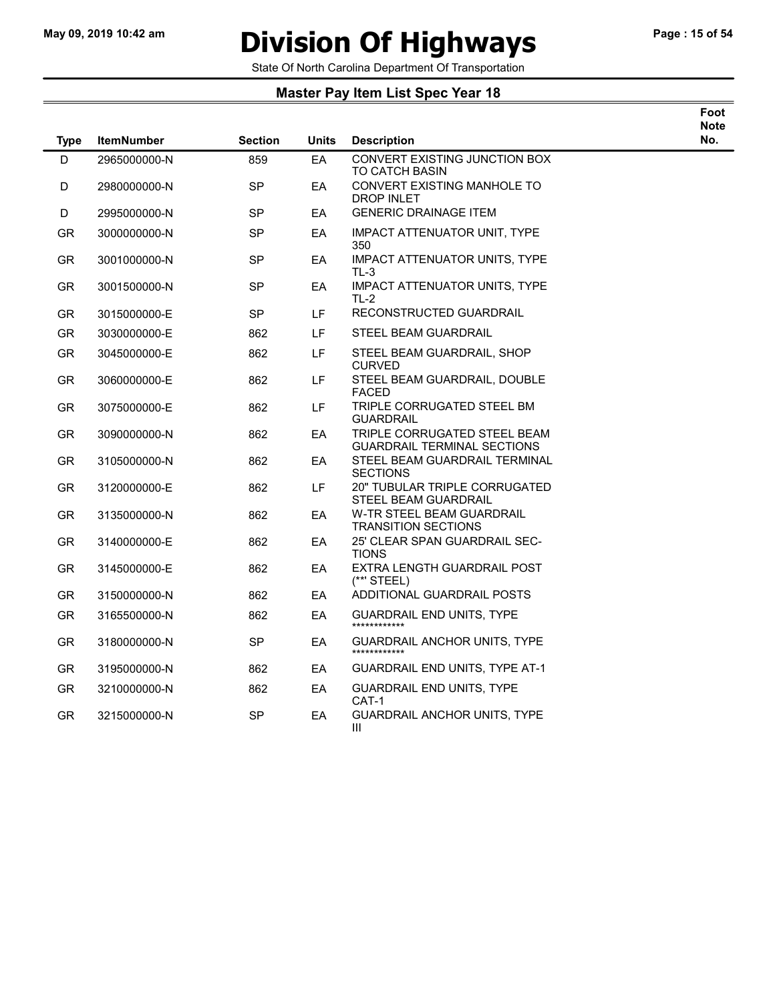### May 09, 2019 10:42 am **Division Of Highways** Page : 15 of 54

Foot

State Of North Carolina Department Of Transportation

| <b>Type</b> | <b>ItemNumber</b> | <b>Section</b> | <b>Units</b> | <b>Description</b>                                                 | <b>Note</b><br>No. |
|-------------|-------------------|----------------|--------------|--------------------------------------------------------------------|--------------------|
| D           | 2965000000-N      | 859            | EA           | CONVERT EXISTING JUNCTION BOX<br><b>TO CATCH BASIN</b>             |                    |
| D           | 2980000000-N      | <b>SP</b>      | EA           | CONVERT EXISTING MANHOLE TO<br><b>DROP INLET</b>                   |                    |
| D           | 2995000000-N      | SP             | EA           | <b>GENERIC DRAINAGE ITEM</b>                                       |                    |
| <b>GR</b>   | 3000000000-N      | SP             | EA           | <b>IMPACT ATTENUATOR UNIT, TYPE</b><br>350                         |                    |
| <b>GR</b>   | 3001000000-N      | <b>SP</b>      | EA           | IMPACT ATTENUATOR UNITS, TYPE<br>TL-3                              |                    |
| GR.         | 3001500000-N      | SP             | EA           | IMPACT ATTENUATOR UNITS, TYPE<br>TL-2                              |                    |
| GR.         | 3015000000-E      | <b>SP</b>      | LF.          | RECONSTRUCTED GUARDRAIL                                            |                    |
| GR.         | 3030000000-E      | 862            | LF           | STEEL BEAM GUARDRAIL                                               |                    |
| <b>GR</b>   | 3045000000-E      | 862            | LF           | STEEL BEAM GUARDRAIL, SHOP<br><b>CURVED</b>                        |                    |
| <b>GR</b>   | 3060000000-E      | 862            | LF           | STEEL BEAM GUARDRAIL, DOUBLE<br><b>FACED</b>                       |                    |
| GR.         | 3075000000-E      | 862            | LF           | TRIPLE CORRUGATED STEEL BM<br><b>GUARDRAIL</b>                     |                    |
| GR.         | 3090000000-N      | 862            | EA           | TRIPLE CORRUGATED STEEL BEAM<br><b>GUARDRAIL TERMINAL SECTIONS</b> |                    |
| GR.         | 3105000000-N      | 862            | EA           | STEEL BEAM GUARDRAIL TERMINAL<br><b>SECTIONS</b>                   |                    |
| GR.         | 3120000000-E      | 862            | LF           | 20" TUBULAR TRIPLE CORRUGATED<br><b>STEEL BEAM GUARDRAIL</b>       |                    |
| <b>GR</b>   | 3135000000-N      | 862            | EA           | W-TR STEEL BEAM GUARDRAIL<br><b>TRANSITION SECTIONS</b>            |                    |
| <b>GR</b>   | 3140000000-E      | 862            | EA           | 25' CLEAR SPAN GUARDRAIL SEC-<br><b>TIONS</b>                      |                    |
| <b>GR</b>   | 3145000000-E      | 862            | ЕA           | EXTRA LENGTH GUARDRAIL POST<br>$(**"$ STEEL)                       |                    |
| GR.         | 3150000000-N      | 862            | EA           | ADDITIONAL GUARDRAIL POSTS                                         |                    |
| <b>GR</b>   | 3165500000-N      | 862            | EA           | <b>GUARDRAIL END UNITS, TYPE</b><br>************                   |                    |
| GR.         | 3180000000-N      | <b>SP</b>      | EA           | <b>GUARDRAIL ANCHOR UNITS, TYPE</b><br>************                |                    |
| GR.         | 3195000000-N      | 862            | EA           | <b>GUARDRAIL END UNITS, TYPE AT-1</b>                              |                    |
| GR          | 3210000000-N      | 862            | EA           | <b>GUARDRAIL END UNITS, TYPE</b><br>CAT-1                          |                    |
| GR          | 3215000000-N      | <b>SP</b>      | EA           | <b>GUARDRAIL ANCHOR UNITS, TYPE</b><br>$\mathbf{III}$              |                    |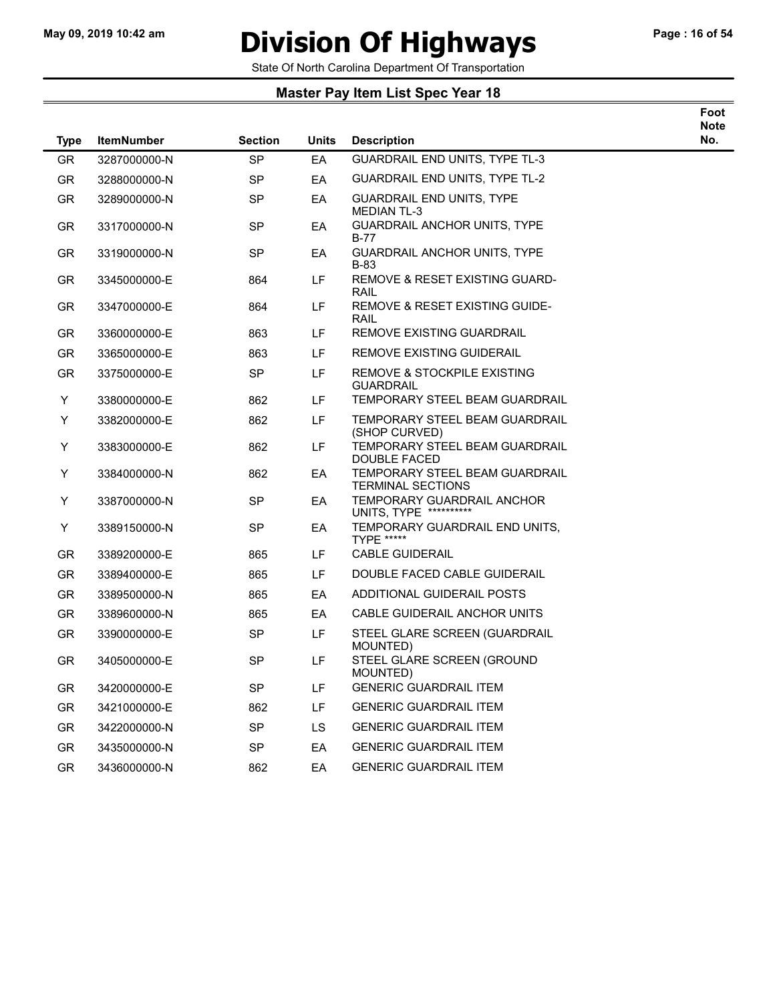$\overline{\phantom{a}}$ 

# May 09, 2019 10:42 am **Division Of Highways** Page : 16 of 54

Foot

State Of North Carolina Department Of Transportation

| <b>Type</b> | <b>ItemNumber</b> | <b>Section</b> | <b>Units</b> | <b>Description</b>                                         | <b>Note</b><br>No. |
|-------------|-------------------|----------------|--------------|------------------------------------------------------------|--------------------|
| <b>GR</b>   | 3287000000-N      | <b>SP</b>      | EA           | <b>GUARDRAIL END UNITS, TYPE TL-3</b>                      |                    |
| GR          | 3288000000-N      | <b>SP</b>      | EA           | GUARDRAIL END UNITS, TYPE TL-2                             |                    |
| GR          | 3289000000-N      | <b>SP</b>      | EA           | <b>GUARDRAIL END UNITS, TYPE</b><br><b>MEDIAN TL-3</b>     |                    |
| GR          | 3317000000-N      | SP             | EA           | <b>GUARDRAIL ANCHOR UNITS, TYPE</b><br><b>B-77</b>         |                    |
| GR          | 3319000000-N      | <b>SP</b>      | EA           | GUARDRAIL ANCHOR UNITS, TYPE<br><b>B-83</b>                |                    |
| GR          | 3345000000-E      | 864            | LF.          | REMOVE & RESET EXISTING GUARD-<br><b>RAIL</b>              |                    |
| GR          | 3347000000-E      | 864            | LF.          | REMOVE & RESET EXISTING GUIDE-<br>RAIL                     |                    |
| GR          | 3360000000-E      | 863            | LF.          | <b>REMOVE EXISTING GUARDRAIL</b>                           |                    |
| <b>GR</b>   | 3365000000-E      | 863            | LF.          | <b>REMOVE EXISTING GUIDERAIL</b>                           |                    |
| GR          | 3375000000-E      | <b>SP</b>      | LF           | REMOVE & STOCKPILE EXISTING<br><b>GUARDRAIL</b>            |                    |
| Y           | 3380000000-E      | 862            | LF.          | TEMPORARY STEEL BEAM GUARDRAIL                             |                    |
| Y           | 3382000000-E      | 862            | LF.          | TEMPORARY STEEL BEAM GUARDRAIL<br>(SHOP CURVED)            |                    |
| Y           | 3383000000-E      | 862            | LF.          | TEMPORARY STEEL BEAM GUARDRAIL<br><b>DOUBLE FACED</b>      |                    |
| Y           | 3384000000-N      | 862            | EA           | TEMPORARY STEEL BEAM GUARDRAIL<br><b>TERMINAL SECTIONS</b> |                    |
| Y           | 3387000000-N      | <b>SP</b>      | EA           | TEMPORARY GUARDRAIL ANCHOR<br>UNITS, TYPE **********       |                    |
| Y           | 3389150000-N      | <b>SP</b>      | EA           | TEMPORARY GUARDRAIL END UNITS,<br>TYPE *****               |                    |
| GR          | 3389200000-E      | 865            | LF           | <b>CABLE GUIDERAIL</b>                                     |                    |
| GR          | 3389400000-E      | 865            | LF.          | DOUBLE FACED CABLE GUIDERAIL                               |                    |
| GR          | 3389500000-N      | 865            | EA           | ADDITIONAL GUIDERAIL POSTS                                 |                    |
| GR          | 3389600000-N      | 865            | EA           | CABLE GUIDERAIL ANCHOR UNITS                               |                    |
| GR          | 3390000000-E      | <b>SP</b>      | LF.          | STEEL GLARE SCREEN (GUARDRAIL<br>MOUNTED)                  |                    |
| GR          | 3405000000-E      | <b>SP</b>      | LF.          | STEEL GLARE SCREEN (GROUND<br>MOUNTED)                     |                    |
| GR          | 3420000000-E      | <b>SP</b>      | LF           | <b>GENERIC GUARDRAIL ITEM</b>                              |                    |
| GR          | 3421000000-E      | 862            | LF.          | <b>GENERIC GUARDRAIL ITEM</b>                              |                    |
| <b>GR</b>   | 3422000000-N      | <b>SP</b>      | LS.          | <b>GENERIC GUARDRAIL ITEM</b>                              |                    |
| GR.         | 3435000000-N      | SP             | EA           | <b>GENERIC GUARDRAIL ITEM</b>                              |                    |
| GR.         | 3436000000-N      | 862            | EA           | <b>GENERIC GUARDRAIL ITEM</b>                              |                    |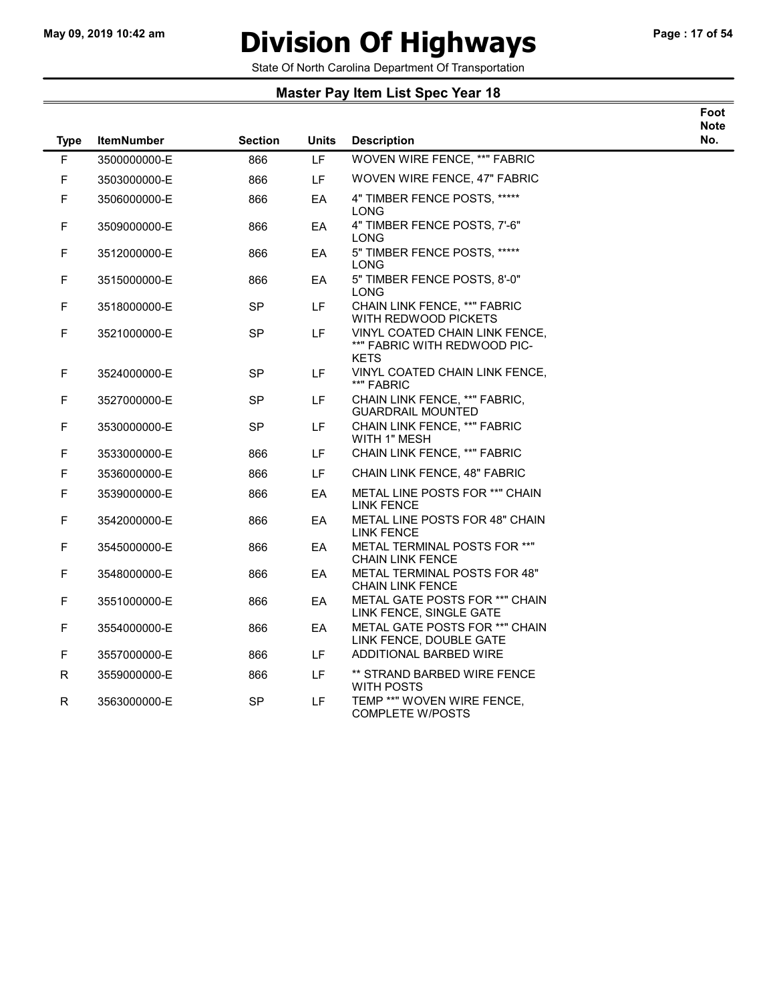$\overline{\phantom{0}}$ 

# May 09, 2019 10:42 am **Division Of Highways** Page : 17 of 54

Foot

State Of North Carolina Department Of Transportation

| <b>Type</b> | <b>ItemNumber</b> | <b>Section</b> | <b>Units</b> | <b>Description</b>                                                            | <b>Note</b><br>No. |
|-------------|-------------------|----------------|--------------|-------------------------------------------------------------------------------|--------------------|
| F           | 3500000000-E      | 866            | <b>LF</b>    | <b>WOVEN WIRE FENCE, **" FABRIC</b>                                           |                    |
| $\mathsf F$ | 3503000000-E      | 866            | LF.          | WOVEN WIRE FENCE, 47" FABRIC                                                  |                    |
| F           | 3506000000-E      | 866            | EA           | 4" TIMBER FENCE POSTS, *****<br>LONG                                          |                    |
| F           | 3509000000-E      | 866            | EA           | 4" TIMBER FENCE POSTS, 7'-6"<br><b>LONG</b>                                   |                    |
| F           | 3512000000-E      | 866            | EA           | 5" TIMBER FENCE POSTS, *****<br>LONG                                          |                    |
| $\mathsf F$ | 3515000000-E      | 866            | EA           | 5" TIMBER FENCE POSTS, 8'-0"<br>LONG                                          |                    |
| F           | 3518000000-E      | <b>SP</b>      | LF.          | CHAIN LINK FENCE, **" FABRIC<br>WITH REDWOOD PICKETS                          |                    |
| $\mathsf F$ | 3521000000-E      | <b>SP</b>      | LF           | VINYL COATED CHAIN LINK FENCE,<br>**" FABRIC WITH REDWOOD PIC-<br><b>KETS</b> |                    |
| F           | 3524000000-E      | <b>SP</b>      | LF           | VINYL COATED CHAIN LINK FENCE,<br>**" FABRIC                                  |                    |
| F           | 3527000000-E      | <b>SP</b>      | LF           | CHAIN LINK FENCE, **" FABRIC,<br><b>GUARDRAIL MOUNTED</b>                     |                    |
| $\mathsf F$ | 3530000000-E      | <b>SP</b>      | LF           | CHAIN LINK FENCE, **" FABRIC<br>WITH 1" MESH                                  |                    |
| F           | 3533000000-E      | 866            | LF           | CHAIN LINK FENCE, **" FABRIC                                                  |                    |
| F           | 3536000000-E      | 866            | LF.          | CHAIN LINK FENCE, 48" FABRIC                                                  |                    |
| $\mathsf F$ | 3539000000-E      | 866            | EA           | METAL LINE POSTS FOR **" CHAIN<br><b>LINK FENCE</b>                           |                    |
| $\mathsf F$ | 3542000000-E      | 866            | EA           | METAL LINE POSTS FOR 48" CHAIN<br><b>LINK FENCE</b>                           |                    |
| F           | 3545000000-E      | 866            | EA           | METAL TERMINAL POSTS FOR **"<br><b>CHAIN LINK FENCE</b>                       |                    |
| $\mathsf F$ | 3548000000-E      | 866            | EA           | METAL TERMINAL POSTS FOR 48"<br><b>CHAIN LINK FENCE</b>                       |                    |
| $\mathsf F$ | 3551000000-E      | 866            | EA.          | METAL GATE POSTS FOR **" CHAIN<br>LINK FENCE, SINGLE GATE                     |                    |
| $\mathsf F$ | 3554000000-E      | 866            | EA           | METAL GATE POSTS FOR **" CHAIN<br>LINK FENCE, DOUBLE GATE                     |                    |
| $\mathsf F$ | 3557000000-E      | 866            | LF.          | ADDITIONAL BARBED WIRE                                                        |                    |
| R           | 3559000000-E      | 866            | LF           | ** STRAND BARBED WIRE FENCE<br>WITH POSTS                                     |                    |
| R           | 3563000000-E      | SP             | LF           | TEMP **" WOVEN WIRE FENCE,<br><b>COMPLETE W/POSTS</b>                         |                    |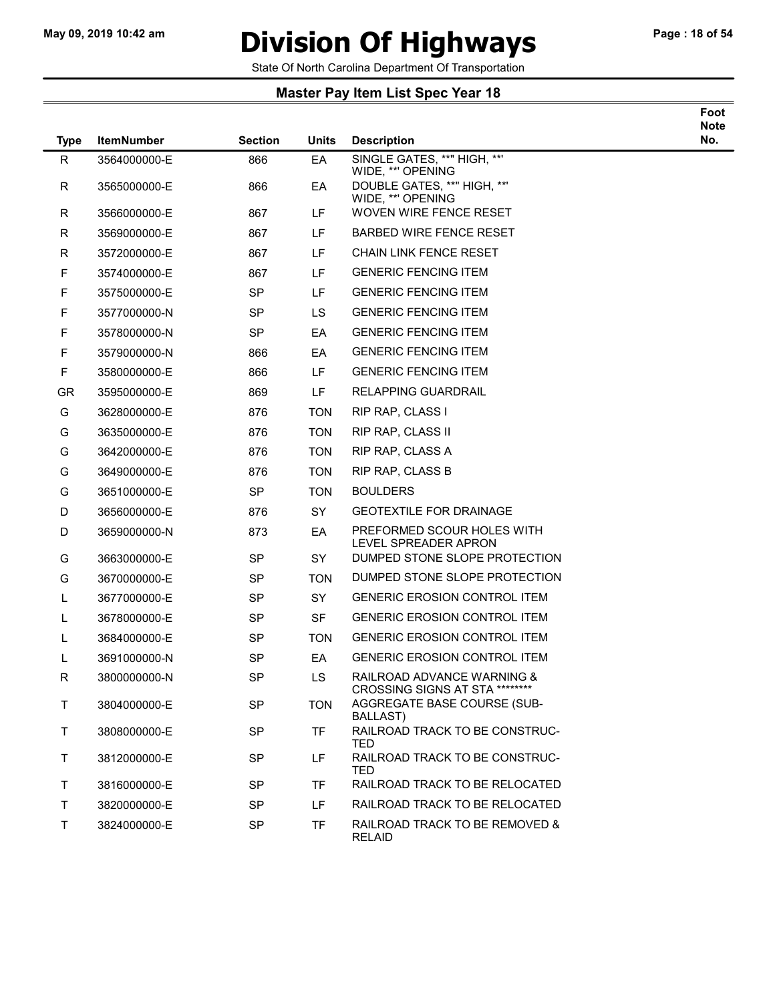### May 09, 2019 10:42 am **Division Of Highways** Page : 18 of 54

Foot

State Of North Carolina Department Of Transportation

| <b>Type</b> | <b>ItemNumber</b> | <b>Section</b> | <b>Units</b> | <b>Description</b>                                           | <b>Note</b><br>No. |
|-------------|-------------------|----------------|--------------|--------------------------------------------------------------|--------------------|
| R           | 3564000000-E      | 866            | EA           | SINGLE GATES, **" HIGH, **'<br>WIDE, **' OPENING             |                    |
| $\mathsf R$ | 3565000000-E      | 866            | EA           | DOUBLE GATES, **" HIGH, **'<br>WIDE, **' OPENING             |                    |
| $\mathsf R$ | 3566000000-E      | 867            | LF           | WOVEN WIRE FENCE RESET                                       |                    |
| R           | 3569000000-E      | 867            | LF.          | <b>BARBED WIRE FENCE RESET</b>                               |                    |
| R           | 3572000000-E      | 867            | LF           | <b>CHAIN LINK FENCE RESET</b>                                |                    |
| F           | 3574000000-E      | 867            | LF           | <b>GENERIC FENCING ITEM</b>                                  |                    |
| F           | 3575000000-E      | <b>SP</b>      | LF           | <b>GENERIC FENCING ITEM</b>                                  |                    |
| F           | 3577000000-N      | <b>SP</b>      | LS           | <b>GENERIC FENCING ITEM</b>                                  |                    |
| F           | 3578000000-N      | <b>SP</b>      | EA           | <b>GENERIC FENCING ITEM</b>                                  |                    |
| F           | 3579000000-N      | 866            | EA           | <b>GENERIC FENCING ITEM</b>                                  |                    |
| F           | 3580000000-E      | 866            | LF           | <b>GENERIC FENCING ITEM</b>                                  |                    |
| <b>GR</b>   | 3595000000-E      | 869            | LF.          | <b>RELAPPING GUARDRAIL</b>                                   |                    |
| G           | 3628000000-E      | 876            | <b>TON</b>   | RIP RAP, CLASS I                                             |                    |
| G           | 3635000000-E      | 876            | <b>TON</b>   | RIP RAP, CLASS II                                            |                    |
| G           | 3642000000-E      | 876            | <b>TON</b>   | RIP RAP, CLASS A                                             |                    |
| G           | 3649000000-E      | 876            | <b>TON</b>   | RIP RAP, CLASS B                                             |                    |
| G           | 3651000000-E      | <b>SP</b>      | <b>TON</b>   | <b>BOULDERS</b>                                              |                    |
| D           | 3656000000-E      | 876            | <b>SY</b>    | <b>GEOTEXTILE FOR DRAINAGE</b>                               |                    |
| D           | 3659000000-N      | 873            | EA           | PREFORMED SCOUR HOLES WITH<br>LEVEL SPREADER APRON           |                    |
| G           | 3663000000-E      | <b>SP</b>      | <b>SY</b>    | DUMPED STONE SLOPE PROTECTION                                |                    |
| G           | 3670000000-E      | <b>SP</b>      | <b>TON</b>   | DUMPED STONE SLOPE PROTECTION                                |                    |
| L           | 3677000000-E      | <b>SP</b>      | <b>SY</b>    | <b>GENERIC EROSION CONTROL ITEM</b>                          |                    |
| L           | 3678000000-E      | SP             | <b>SF</b>    | <b>GENERIC EROSION CONTROL ITEM</b>                          |                    |
| L           | 3684000000-E      | SP             | <b>TON</b>   | <b>GENERIC EROSION CONTROL ITEM</b>                          |                    |
| L           | 3691000000-N      | <b>SP</b>      | EA           | <b>GENERIC EROSION CONTROL ITEM</b>                          |                    |
| R           | 3800000000-N      | <b>SP</b>      | <b>LS</b>    | RAILROAD ADVANCE WARNING &<br>CROSSING SIGNS AT STA ******** |                    |
| T           | 3804000000-E      | <b>SP</b>      | <b>TON</b>   | AGGREGATE BASE COURSE (SUB-<br>BALLAST)                      |                    |
| T           | 3808000000-E      | SP             | <b>TF</b>    | RAILROAD TRACK TO BE CONSTRUC-<br>TED                        |                    |
| T           | 3812000000-E      | <b>SP</b>      | LF           | RAILROAD TRACK TO BE CONSTRUC-<br>TED                        |                    |
| T.          | 3816000000-E      | <b>SP</b>      | <b>TF</b>    | RAILROAD TRACK TO BE RELOCATED                               |                    |
| T.          | 3820000000-E      | <b>SP</b>      | LF.          | RAILROAD TRACK TO BE RELOCATED                               |                    |
| $\top$      | 3824000000-E      | <b>SP</b>      | <b>TF</b>    | RAILROAD TRACK TO BE REMOVED &<br><b>RELAID</b>              |                    |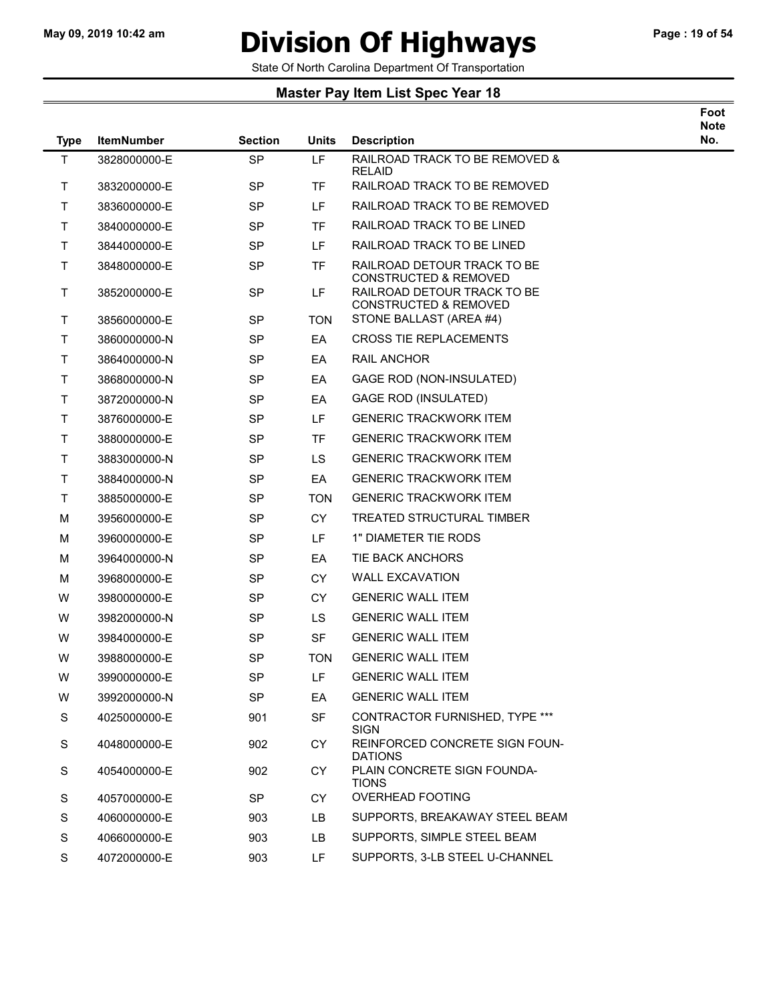### May 09, 2019 10:42 am **Division Of Highways** Page : 19 of 54

Foot

State Of North Carolina Department Of Transportation

| <b>Type</b>  | <b>ItemNumber</b> | <b>Section</b> | <b>Units</b> | <b>Description</b>                                                                                  | <b>Note</b><br>No. |
|--------------|-------------------|----------------|--------------|-----------------------------------------------------------------------------------------------------|--------------------|
| $\mathsf T$  | 3828000000-E      | <b>SP</b>      | LF           | RAILROAD TRACK TO BE REMOVED &                                                                      |                    |
| T            | 3832000000-E      | <b>SP</b>      | <b>TF</b>    | <b>RELAID</b><br>RAILROAD TRACK TO BE REMOVED                                                       |                    |
| T            | 3836000000-E      | <b>SP</b>      | LF.          | RAILROAD TRACK TO BE REMOVED                                                                        |                    |
| T            | 3840000000-E      | <b>SP</b>      | TF           | RAILROAD TRACK TO BE LINED                                                                          |                    |
| T.           | 3844000000-E      | <b>SP</b>      | LF.          | RAILROAD TRACK TO BE LINED                                                                          |                    |
| T            | 3848000000-E      | <b>SP</b>      | TF           | RAILROAD DETOUR TRACK TO BE                                                                         |                    |
| T            | 3852000000-E      | <b>SP</b>      | LF           | <b>CONSTRUCTED &amp; REMOVED</b><br>RAILROAD DETOUR TRACK TO BE<br><b>CONSTRUCTED &amp; REMOVED</b> |                    |
| T            | 3856000000-E      | <b>SP</b>      | <b>TON</b>   | STONE BALLAST (AREA #4)                                                                             |                    |
| T            | 3860000000-N      | SP             | EA           | <b>CROSS TIE REPLACEMENTS</b>                                                                       |                    |
| T.           | 3864000000-N      | <b>SP</b>      | EA           | RAIL ANCHOR                                                                                         |                    |
| $\mathsf{T}$ | 3868000000-N      | SP             | EA           | GAGE ROD (NON-INSULATED)                                                                            |                    |
| T            | 3872000000-N      | <b>SP</b>      | EA           | GAGE ROD (INSULATED)                                                                                |                    |
| T            | 3876000000-E      | <b>SP</b>      | LF           | <b>GENERIC TRACKWORK ITEM</b>                                                                       |                    |
| $\mathsf T$  | 3880000000-E      | <b>SP</b>      | <b>TF</b>    | <b>GENERIC TRACKWORK ITEM</b>                                                                       |                    |
| T.           | 3883000000-N      | <b>SP</b>      | <b>LS</b>    | <b>GENERIC TRACKWORK ITEM</b>                                                                       |                    |
| T.           | 3884000000-N      | <b>SP</b>      | EA           | <b>GENERIC TRACKWORK ITEM</b>                                                                       |                    |
| $\mathsf{T}$ | 3885000000-E      | SP             | <b>TON</b>   | <b>GENERIC TRACKWORK ITEM</b>                                                                       |                    |
| M            | 3956000000-E      | <b>SP</b>      | <b>CY</b>    | TREATED STRUCTURAL TIMBER                                                                           |                    |
| M            | 3960000000-E      | <b>SP</b>      | LF.          | 1" DIAMETER TIE RODS                                                                                |                    |
| M            | 3964000000-N      | <b>SP</b>      | EA           | TIE BACK ANCHORS                                                                                    |                    |
| M            | 3968000000-E      | <b>SP</b>      | <b>CY</b>    | <b>WALL EXCAVATION</b>                                                                              |                    |
| W            | 3980000000-E      | <b>SP</b>      | <b>CY</b>    | <b>GENERIC WALL ITEM</b>                                                                            |                    |
| W            | 3982000000-N      | <b>SP</b>      | <b>LS</b>    | <b>GENERIC WALL ITEM</b>                                                                            |                    |
| W            | 3984000000-E      | <b>SP</b>      | <b>SF</b>    | <b>GENERIC WALL ITEM</b>                                                                            |                    |
| W            | 3988000000-E      | <b>SP</b>      | <b>TON</b>   | <b>GENERIC WALL ITEM</b>                                                                            |                    |
| W            | 3990000000-E      | <b>SP</b>      | LF           | <b>GENERIC WALL ITEM</b>                                                                            |                    |
| W            | 3992000000-N      | <b>SP</b>      | EA           | <b>GENERIC WALL ITEM</b>                                                                            |                    |
| S            | 4025000000-E      | 901            | <b>SF</b>    | CONTRACTOR FURNISHED, TYPE ***                                                                      |                    |
| S            | 4048000000-E      | 902            | <b>CY</b>    | <b>SIGN</b><br>REINFORCED CONCRETE SIGN FOUN-<br><b>DATIONS</b>                                     |                    |
| S            | 4054000000-E      | 902            | <b>CY</b>    | PLAIN CONCRETE SIGN FOUNDA-<br><b>TIONS</b>                                                         |                    |
| S            | 4057000000-E      | SP             | <b>CY</b>    | <b>OVERHEAD FOOTING</b>                                                                             |                    |
| S            | 4060000000-E      | 903            | LB           | SUPPORTS, BREAKAWAY STEEL BEAM                                                                      |                    |
| S            | 4066000000-E      | 903            | LB.          | SUPPORTS, SIMPLE STEEL BEAM                                                                         |                    |
| S            | 4072000000-E      | 903            | LF.          | SUPPORTS, 3-LB STEEL U-CHANNEL                                                                      |                    |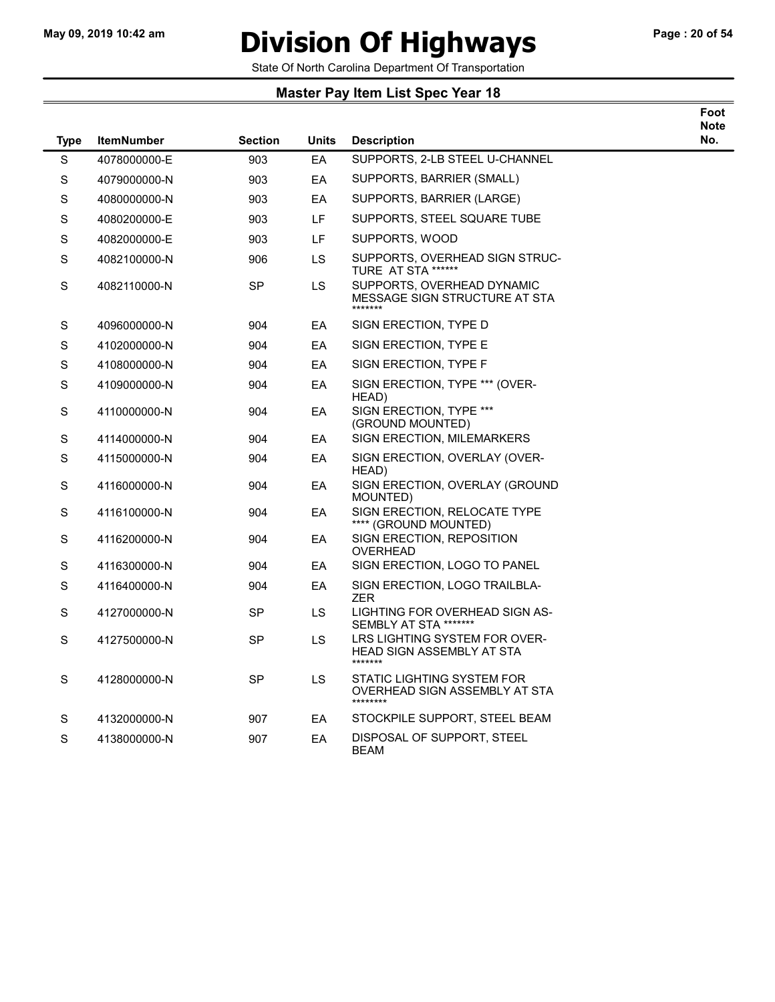$\overline{\phantom{a}}$ 

# May 09, 2019 10:42 am **Division Of Highways** Page : 20 of 54

Foot

State Of North Carolina Department Of Transportation

| <b>Type</b> | <b>ItemNumber</b> | <b>Section</b> | <b>Units</b> | <b>Description</b>                                                           | <b>Note</b><br>No. |
|-------------|-------------------|----------------|--------------|------------------------------------------------------------------------------|--------------------|
| $\mathbf S$ | 4078000000-E      | 903            | EA           | SUPPORTS, 2-LB STEEL U-CHANNEL                                               |                    |
| $\mathbf S$ | 4079000000-N      | 903            | EA           | SUPPORTS, BARRIER (SMALL)                                                    |                    |
| $\mathbf S$ | 4080000000-N      | 903            | EA           | SUPPORTS, BARRIER (LARGE)                                                    |                    |
| $\mathbf S$ | 4080200000-E      | 903            | LF           | SUPPORTS, STEEL SQUARE TUBE                                                  |                    |
| $\mathbf S$ | 4082000000-E      | 903            | LF.          | SUPPORTS, WOOD                                                               |                    |
| $\mathbf S$ | 4082100000-N      | 906            | LS           | SUPPORTS, OVERHEAD SIGN STRUC-<br>TURE AT STA ******                         |                    |
| $\mathbf S$ | 4082110000-N      | <b>SP</b>      | LS           | SUPPORTS, OVERHEAD DYNAMIC<br>MESSAGE SIGN STRUCTURE AT STA<br>*******       |                    |
| $\mathbb S$ | 4096000000-N      | 904            | EA           | SIGN ERECTION, TYPE D                                                        |                    |
| $\mathbf S$ | 4102000000-N      | 904            | EA           | SIGN ERECTION, TYPE E                                                        |                    |
| $\mathbf S$ | 4108000000-N      | 904            | EA           | SIGN ERECTION, TYPE F                                                        |                    |
| S           | 4109000000-N      | 904            | EA           | SIGN ERECTION, TYPE *** (OVER-<br>HEAD)                                      |                    |
| $\mathbf S$ | 4110000000-N      | 904            | EA           | SIGN ERECTION, TYPE ***<br>(GROUND MOUNTED)                                  |                    |
| $\mathbf S$ | 4114000000-N      | 904            | EA           | <b>SIGN ERECTION, MILEMARKERS</b>                                            |                    |
| $\mathbf S$ | 4115000000-N      | 904            | EA           | SIGN ERECTION, OVERLAY (OVER-<br>HEAD)                                       |                    |
| $\mathbf S$ | 4116000000-N      | 904            | EA           | SIGN ERECTION, OVERLAY (GROUND<br>MOUNTED)                                   |                    |
| S           | 4116100000-N      | 904            | EA           | SIGN ERECTION, RELOCATE TYPE<br>**** (GROUND MOUNTED)                        |                    |
| $\mathbf S$ | 4116200000-N      | 904            | EA           | SIGN ERECTION, REPOSITION<br><b>OVERHEAD</b>                                 |                    |
| $\mathbf S$ | 4116300000-N      | 904            | EA           | SIGN ERECTION, LOGO TO PANEL                                                 |                    |
| $\mathbf S$ | 4116400000-N      | 904            | EA           | SIGN ERECTION, LOGO TRAILBLA-<br>ZER                                         |                    |
| S           | 4127000000-N      | <b>SP</b>      | <b>LS</b>    | LIGHTING FOR OVERHEAD SIGN AS-<br>SEMBLY AT STA *******                      |                    |
| $\mathbf S$ | 4127500000-N      | <b>SP</b>      | LS           | LRS LIGHTING SYSTEM FOR OVER-<br><b>HEAD SIGN ASSEMBLY AT STA</b><br>******* |                    |
| S           | 4128000000-N      | SP             | <b>LS</b>    | STATIC LIGHTING SYSTEM FOR<br>OVERHEAD SIGN ASSEMBLY AT STA<br>********      |                    |
| $\mathbf S$ | 4132000000-N      | 907            | EA           | STOCKPILE SUPPORT, STEEL BEAM                                                |                    |
| S           | 4138000000-N      | 907            | EA           | DISPOSAL OF SUPPORT, STEEL<br><b>BEAM</b>                                    |                    |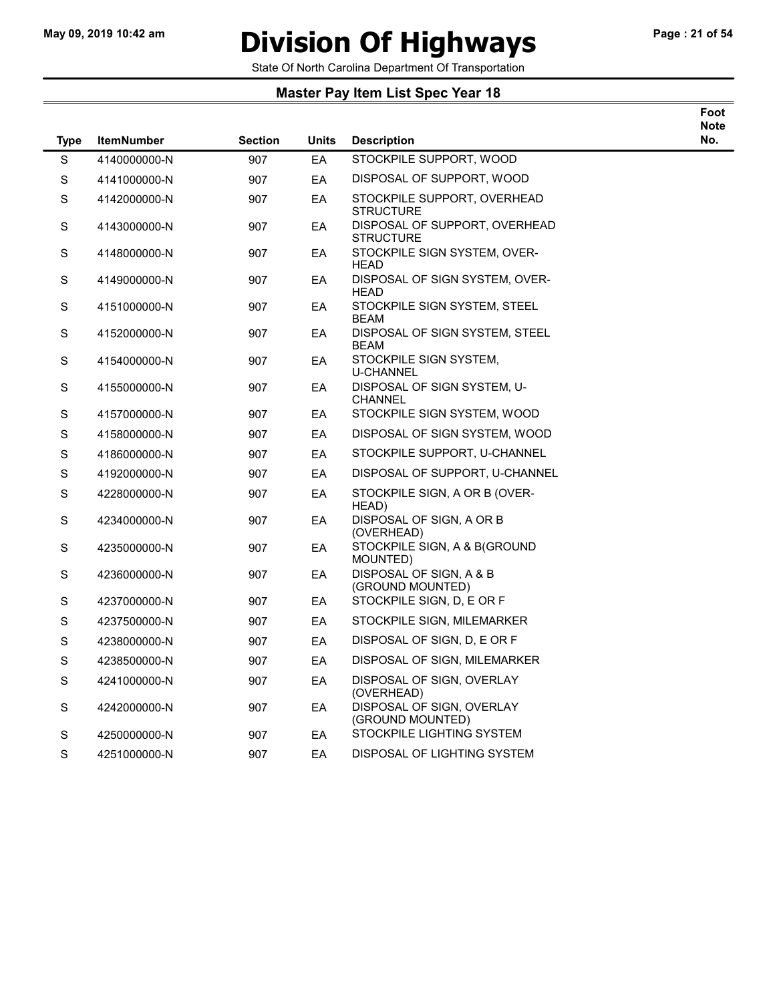# May 09, 2019 10:42 am **Division Of Highways** Page : 21 of 54

Foot Note No.

State Of North Carolina Department Of Transportation

| <b>Type</b> | <b>ItemNumber</b> | <b>Section</b> | <b>Units</b> | <b>Description</b>                            | N)<br>N <sub>o</sub> |
|-------------|-------------------|----------------|--------------|-----------------------------------------------|----------------------|
| S           | 4140000000-N      | 907            | EA           | STOCKPILE SUPPORT, WOOD                       |                      |
| S           | 4141000000-N      | 907            | EA           | DISPOSAL OF SUPPORT, WOOD                     |                      |
| $\mathbb S$ | 4142000000-N      | 907            | EA           | STOCKPILE SUPPORT, OVERHEAD<br>STRUCTURE      |                      |
| $\mathbb S$ | 4143000000-N      | 907            | EA           | DISPOSAL OF SUPPORT, OVERHEAD<br>STRUCTURE    |                      |
| S           | 4148000000-N      | 907            | EA           | STOCKPILE SIGN SYSTEM, OVER-<br><b>HEAD</b>   |                      |
| $\mathbb S$ | 4149000000-N      | 907            | EA           | DISPOSAL OF SIGN SYSTEM, OVER-<br>HEAD        |                      |
| $\mathbb S$ | 4151000000-N      | 907            | EA           | STOCKPILE SIGN SYSTEM, STEEL<br><b>BEAM</b>   |                      |
| S           | 4152000000-N      | 907            | EA           | DISPOSAL OF SIGN SYSTEM, STEEL<br>BEAM        |                      |
| $\mathbf S$ | 4154000000-N      | 907            | EA           | STOCKPILE SIGN SYSTEM,<br><b>U-CHANNEL</b>    |                      |
| $\mathbb S$ | 4155000000-N      | 907            | EA           | DISPOSAL OF SIGN SYSTEM, U-<br>CHANNEL        |                      |
| $\mathbb S$ | 4157000000-N      | 907            | EA           | STOCKPILE SIGN SYSTEM, WOOD                   |                      |
| $\mathbb S$ | 4158000000-N      | 907            | EA           | DISPOSAL OF SIGN SYSTEM, WOOD                 |                      |
| $\mathbb S$ | 4186000000-N      | 907            | EA           | STOCKPILE SUPPORT, U-CHANNEL                  |                      |
| $\mathbb S$ | 4192000000-N      | 907            | EA           | DISPOSAL OF SUPPORT, U-CHANNEL                |                      |
| S           | 4228000000-N      | 907            | EA           | STOCKPILE SIGN, A OR B (OVER-<br>HEAD)        |                      |
| $\mathbb S$ | 4234000000-N      | 907            | EA           | DISPOSAL OF SIGN, A OR B<br>(OVERHEAD)        |                      |
| S           | 4235000000-N      | 907            | EA           | STOCKPILE SIGN, A & B(GROUND<br>MOUNTED)      |                      |
| $\mathbb S$ | 4236000000-N      | 907            | EA           | DISPOSAL OF SIGN, A & B<br>(GROUND MOUNTED)   |                      |
| $\mathbb S$ | 4237000000-N      | 907            | EA           | STOCKPILE SIGN, D, E OR F                     |                      |
| $\mathbb S$ | 4237500000-N      | 907            | EA           | STOCKPILE SIGN, MILEMARKER                    |                      |
| $\mathbb S$ | 4238000000-N      | 907            | EA           | DISPOSAL OF SIGN, D, E OR F                   |                      |
| $\mathbb S$ | 4238500000-N      | 907            | EA           | DISPOSAL OF SIGN, MILEMARKER                  |                      |
| S           | 4241000000-N      | 907            | EA           | DISPOSAL OF SIGN, OVERLAY<br>(OVERHEAD)       |                      |
| $\mathbb S$ | 4242000000-N      | 907            | EA           | DISPOSAL OF SIGN, OVERLAY<br>(GROUND MOUNTED) |                      |
| S           | 4250000000-N      | 907            | EA           | STOCKPILE LIGHTING SYSTEM                     |                      |
| $\mathbb S$ | 4251000000-N      | 907            | EA           | DISPOSAL OF LIGHTING SYSTEM                   |                      |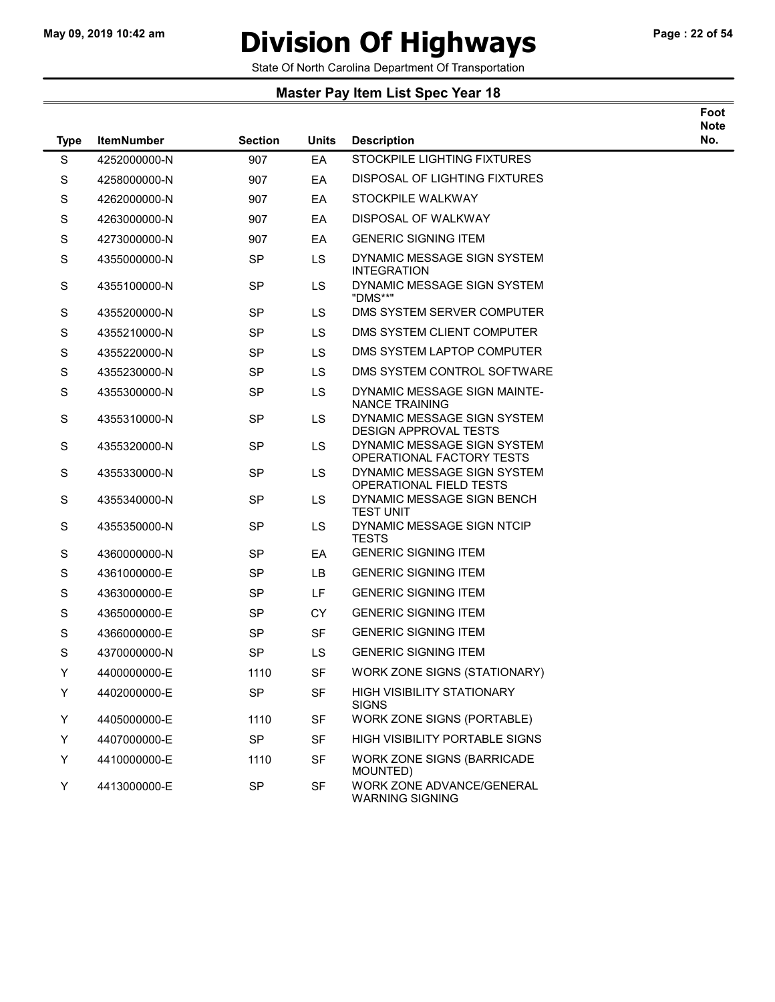### May 09, 2019 10:42 am **Division Of Highways** Page : 22 of 54

State Of North Carolina Department Of Transportation

| <b>Type</b> | <b>ItemNumber</b> | <b>Section</b> | Units     | <b>Description</b>                                            | Foot<br><b>Note</b><br>No. |
|-------------|-------------------|----------------|-----------|---------------------------------------------------------------|----------------------------|
| S           | 4252000000-N      | 907            | EA        | STOCKPILE LIGHTING FIXTURES                                   |                            |
| S           | 4258000000-N      | 907            | EA        | DISPOSAL OF LIGHTING FIXTURES                                 |                            |
| S           | 4262000000-N      | 907            | EA        | STOCKPILE WALKWAY                                             |                            |
| S           | 4263000000-N      | 907            | EA        | DISPOSAL OF WALKWAY                                           |                            |
| S           | 4273000000-N      | 907            | EA        | <b>GENERIC SIGNING ITEM</b>                                   |                            |
| S           | 4355000000-N      | <b>SP</b>      | <b>LS</b> | DYNAMIC MESSAGE SIGN SYSTEM<br><b>INTEGRATION</b>             |                            |
| S           | 4355100000-N      | <b>SP</b>      | <b>LS</b> | DYNAMIC MESSAGE SIGN SYSTEM<br>"DMS**"                        |                            |
| S           | 4355200000-N      | <b>SP</b>      | LS        | DMS SYSTEM SERVER COMPUTER                                    |                            |
| S           | 4355210000-N      | SP             | <b>LS</b> | DMS SYSTEM CLIENT COMPUTER                                    |                            |
| S           | 4355220000-N      | <b>SP</b>      | <b>LS</b> | DMS SYSTEM LAPTOP COMPUTER                                    |                            |
| S           | 4355230000-N      | <b>SP</b>      | <b>LS</b> | DMS SYSTEM CONTROL SOFTWARE                                   |                            |
| S           | 4355300000-N      | <b>SP</b>      | <b>LS</b> | DYNAMIC MESSAGE SIGN MAINTE-<br><b>NANCE TRAINING</b>         |                            |
| S           | 4355310000-N      | <b>SP</b>      | LS        | DYNAMIC MESSAGE SIGN SYSTEM<br><b>DESIGN APPROVAL TESTS</b>   |                            |
| S           | 4355320000-N      | <b>SP</b>      | <b>LS</b> | DYNAMIC MESSAGE SIGN SYSTEM<br>OPERATIONAL FACTORY TESTS      |                            |
| S           | 4355330000-N      | SP             | <b>LS</b> | DYNAMIC MESSAGE SIGN SYSTEM<br><b>OPERATIONAL FIELD TESTS</b> |                            |
| S           | 4355340000-N      | <b>SP</b>      | <b>LS</b> | DYNAMIC MESSAGE SIGN BENCH<br><b>TEST UNIT</b>                |                            |
| S           | 4355350000-N      | <b>SP</b>      | <b>LS</b> | DYNAMIC MESSAGE SIGN NTCIP<br><b>TESTS</b>                    |                            |
| S           | 4360000000-N      | <b>SP</b>      | EA        | <b>GENERIC SIGNING ITEM</b>                                   |                            |
| S           | 4361000000-E      | <b>SP</b>      | LВ        | <b>GENERIC SIGNING ITEM</b>                                   |                            |
| S           | 4363000000-E      | <b>SP</b>      | LF.       | <b>GENERIC SIGNING ITEM</b>                                   |                            |
| S           | 4365000000-E      | SP             | <b>CY</b> | <b>GENERIC SIGNING ITEM</b>                                   |                            |
| S           | 4366000000-E      | <b>SP</b>      | <b>SF</b> | <b>GENERIC SIGNING ITEM</b>                                   |                            |
| S           | 4370000000-N      | <b>SP</b>      | <b>LS</b> | <b>GENERIC SIGNING ITEM</b>                                   |                            |
| Y           | 4400000000-E      | 1110           | <b>SF</b> | WORK ZONE SIGNS (STATIONARY)                                  |                            |
| Y           | 4402000000-E      | <b>SP</b>      | SF        | <b>HIGH VISIBILITY STATIONARY</b><br><b>SIGNS</b>             |                            |
| Y           | 4405000000-E      | 1110           | SF        | WORK ZONE SIGNS (PORTABLE)                                    |                            |
| Y           | 4407000000-E      | <b>SP</b>      | <b>SF</b> | HIGH VISIBILITY PORTABLE SIGNS                                |                            |
| Y           | 4410000000-E      | 1110           | SF        | WORK ZONE SIGNS (BARRICADE<br>MOUNTED)                        |                            |
| Y           | 4413000000-E      | <b>SP</b>      | SF        | WORK ZONE ADVANCE/GENERAL<br><b>WARNING SIGNING</b>           |                            |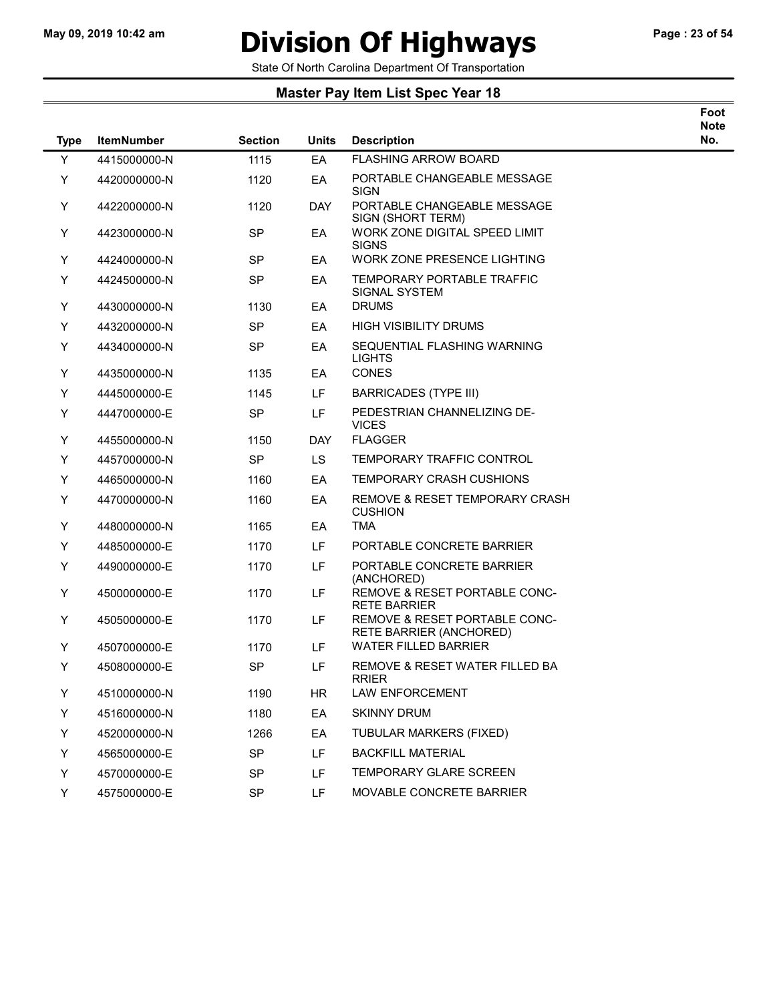# May 09, 2019 10:42 am **Division Of Highways** Page : 23 of 54

State Of North Carolina Department Of Transportation

| Foot |
|------|
| Note |
| . .  |

| <b>Type</b> | <b>ItemNumber</b> | <b>Section</b> | <b>Units</b> | <b>Description</b>                                          | No. |
|-------------|-------------------|----------------|--------------|-------------------------------------------------------------|-----|
| Y           | 4415000000-N      | 1115           | EA           | <b>FLASHING ARROW BOARD</b>                                 |     |
| Υ           | 4420000000-N      | 1120           | EA           | PORTABLE CHANGEABLE MESSAGE<br><b>SIGN</b>                  |     |
| Y           | 4422000000-N      | 1120           | <b>DAY</b>   | PORTABLE CHANGEABLE MESSAGE<br>SIGN (SHORT TERM)            |     |
| Υ           | 4423000000-N      | <b>SP</b>      | EA           | WORK ZONE DIGITAL SPEED LIMIT<br><b>SIGNS</b>               |     |
| Y           | 4424000000-N      | <b>SP</b>      | EA           | WORK ZONE PRESENCE LIGHTING                                 |     |
| Y           | 4424500000-N      | <b>SP</b>      | EA           | TEMPORARY PORTABLE TRAFFIC<br>SIGNAL SYSTEM                 |     |
| Υ           | 4430000000-N      | 1130           | EA           | <b>DRUMS</b>                                                |     |
| Y           | 4432000000-N      | SP             | EA           | <b>HIGH VISIBILITY DRUMS</b>                                |     |
| Y           | 4434000000-N      | <b>SP</b>      | EA           | SEQUENTIAL FLASHING WARNING<br><b>LIGHTS</b>                |     |
| Y           | 4435000000-N      | 1135           | EA           | CONES                                                       |     |
| Y           | 4445000000-E      | 1145           | LF.          | <b>BARRICADES (TYPE III)</b>                                |     |
| Υ           | 4447000000-E      | <b>SP</b>      | LF           | PEDESTRIAN CHANNELIZING DE-<br><b>VICES</b>                 |     |
| Y           | 4455000000-N      | 1150           | <b>DAY</b>   | <b>FLAGGER</b>                                              |     |
| Y           | 4457000000-N      | <b>SP</b>      | LS.          | TEMPORARY TRAFFIC CONTROL                                   |     |
| Υ           | 4465000000-N      | 1160           | EA           | <b>TEMPORARY CRASH CUSHIONS</b>                             |     |
| Y           | 4470000000-N      | 1160           | EA           | <b>REMOVE &amp; RESET TEMPORARY CRASH</b><br><b>CUSHION</b> |     |
| Υ           | 4480000000-N      | 1165           | EA           | <b>TMA</b>                                                  |     |
| Y           | 4485000000-E      | 1170           | LF.          | PORTABLE CONCRETE BARRIER                                   |     |
| Υ           | 4490000000-E      | 1170           | LF           | PORTABLE CONCRETE BARRIER<br>(ANCHORED)                     |     |
| Υ           | 4500000000-E      | 1170           | LF           | REMOVE & RESET PORTABLE CONC-<br><b>RETE BARRIER</b>        |     |
| Υ           | 4505000000-E      | 1170           | LF           | REMOVE & RESET PORTABLE CONC-<br>RETE BARRIER (ANCHORED)    |     |
| Y           | 4507000000-E      | 1170           | LF           | WATER FILLED BARRIER                                        |     |
| Υ           | 4508000000-E      | <b>SP</b>      | LF           | REMOVE & RESET WATER FILLED BA<br><b>RRIER</b>              |     |
| Υ           | 4510000000-N      | 1190           | HR.          | <b>LAW ENFORCEMENT</b>                                      |     |
| Y           | 4516000000-N      | 1180           | EA           | <b>SKINNY DRUM</b>                                          |     |
| Υ           | 4520000000-N      | 1266           | EA           | TUBULAR MARKERS (FIXED)                                     |     |
| Y           | 4565000000-E      | <b>SP</b>      | LF           | <b>BACKFILL MATERIAL</b>                                    |     |
| Y           | 4570000000-E      | <b>SP</b>      | LF           | <b>TEMPORARY GLARE SCREEN</b>                               |     |
| Y           | 4575000000-E      | SP             | LF.          | MOVABLE CONCRETE BARRIER                                    |     |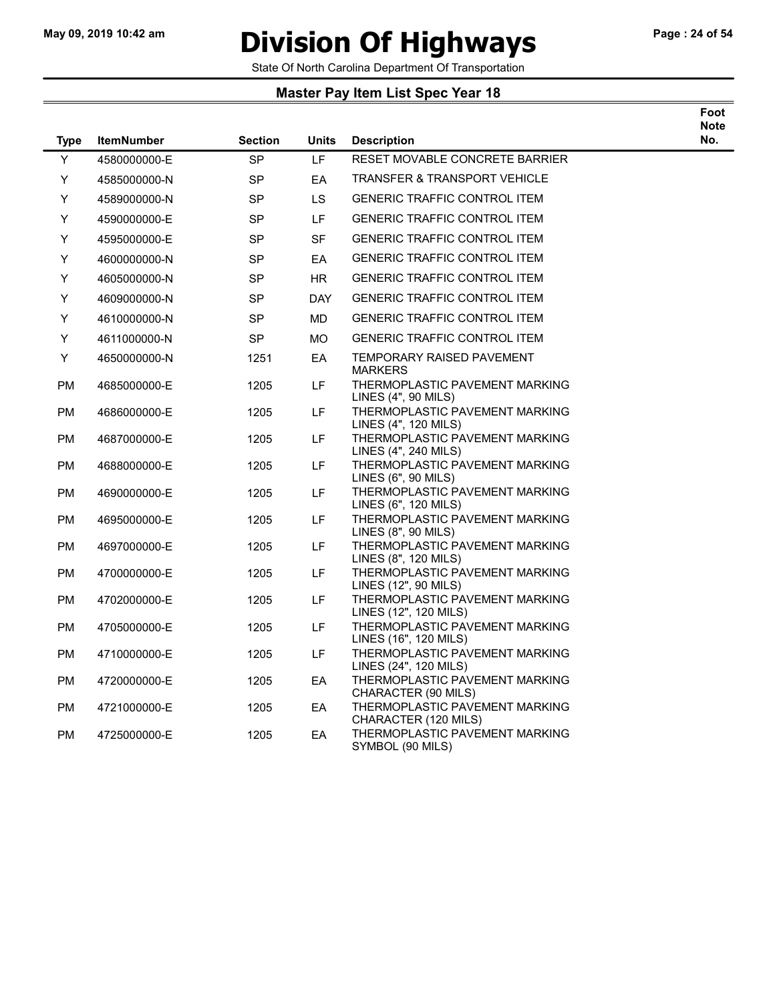$\overline{\phantom{0}}$ 

### May 09, 2019 10:42 am **Division Of Highways** Page : 24 of 54

Foot

State Of North Carolina Department Of Transportation

| <b>Type</b>     | <b>ItemNumber</b>            | <b>Section</b> | <b>Units</b> | <b>Description</b>                                                                       | <b>Note</b><br>No. |
|-----------------|------------------------------|----------------|--------------|------------------------------------------------------------------------------------------|--------------------|
| Y               | 4580000000-E                 | <b>SP</b>      | LF           | RESET MOVABLE CONCRETE BARRIER                                                           |                    |
| Y               | 4585000000-N                 | <b>SP</b>      | EA           | <b>TRANSFER &amp; TRANSPORT VEHICLE</b>                                                  |                    |
| Y               | 4589000000-N                 | <b>SP</b>      | LS.          | <b>GENERIC TRAFFIC CONTROL ITEM</b>                                                      |                    |
| Y               | 4590000000-E                 | <b>SP</b>      | LF.          | <b>GENERIC TRAFFIC CONTROL ITEM</b>                                                      |                    |
| Y               | 4595000000-E                 | <b>SP</b>      | <b>SF</b>    | <b>GENERIC TRAFFIC CONTROL ITEM</b>                                                      |                    |
| Y               | 4600000000-N                 | <b>SP</b>      | EA           | <b>GENERIC TRAFFIC CONTROL ITEM</b>                                                      |                    |
| Y               | 4605000000-N                 | SP             | <b>HR</b>    | <b>GENERIC TRAFFIC CONTROL ITEM</b>                                                      |                    |
| Y               | 4609000000-N                 | <b>SP</b>      | <b>DAY</b>   | <b>GENERIC TRAFFIC CONTROL ITEM</b>                                                      |                    |
| Y               | 4610000000-N                 | <b>SP</b>      | <b>MD</b>    | <b>GENERIC TRAFFIC CONTROL ITEM</b>                                                      |                    |
| Y               | 4611000000-N                 | <b>SP</b>      | <b>MO</b>    | <b>GENERIC TRAFFIC CONTROL ITEM</b>                                                      |                    |
| Y               | 4650000000-N                 | 1251           | EA           | <b>TEMPORARY RAISED PAVEMENT</b><br><b>MARKERS</b>                                       |                    |
| РM              | 4685000000-E                 | 1205           | LF.          | THERMOPLASTIC PAVEMENT MARKING<br>LINES (4", 90 MILS)                                    |                    |
| PM              | 4686000000-E                 | 1205           | LF           | THERMOPLASTIC PAVEMENT MARKING<br>LINES (4", 120 MILS)                                   |                    |
| PM              | 4687000000-E                 | 1205           | LF           | THERMOPLASTIC PAVEMENT MARKING<br>LINES (4", 240 MILS)                                   |                    |
| PM              | 4688000000-E                 | 1205           | LF.          | THERMOPLASTIC PAVEMENT MARKING<br>LINES (6", 90 MILS)                                    |                    |
| РM              | 4690000000-E                 | 1205           | LF.          | THERMOPLASTIC PAVEMENT MARKING<br>LINES (6", 120 MILS)                                   |                    |
| PM              | 4695000000-E                 | 1205           | LF           | THERMOPLASTIC PAVEMENT MARKING<br>LINES (8", 90 MILS)                                    |                    |
| PM              | 4697000000-E                 | 1205           | LF           | THERMOPLASTIC PAVEMENT MARKING<br>LINES (8", 120 MILS)<br>THERMOPLASTIC PAVEMENT MARKING |                    |
| PM<br><b>PM</b> | 4700000000-E<br>4702000000-E | 1205<br>1205   | LF.<br>LF.   | LINES (12", 90 MILS)<br>THERMOPLASTIC PAVEMENT MARKING                                   |                    |
| PM              | 4705000000-E                 | 1205           | LF.          | LINES (12", 120 MILS)<br>THERMOPLASTIC PAVEMENT MARKING                                  |                    |
|                 |                              |                |              | LINES (16", 120 MILS)                                                                    |                    |
| РM              | 4710000000-E                 | 1205           | LF           | THERMOPLASTIC PAVEMENT MARKING<br>LINES (24", 120 MILS)                                  |                    |
| <b>PM</b>       | 4720000000-E                 | 1205           | EA           | THERMOPLASTIC PAVEMENT MARKING<br>CHARACTER (90 MILS)                                    |                    |
| РM              | 4721000000-E                 | 1205           | EA           | THERMOPLASTIC PAVEMENT MARKING<br>CHARACTER (120 MILS)                                   |                    |
| PM              | 4725000000-E                 | 1205           | EA           | THERMOPLASTIC PAVEMENT MARKING<br>SYMBOL (90 MILS)                                       |                    |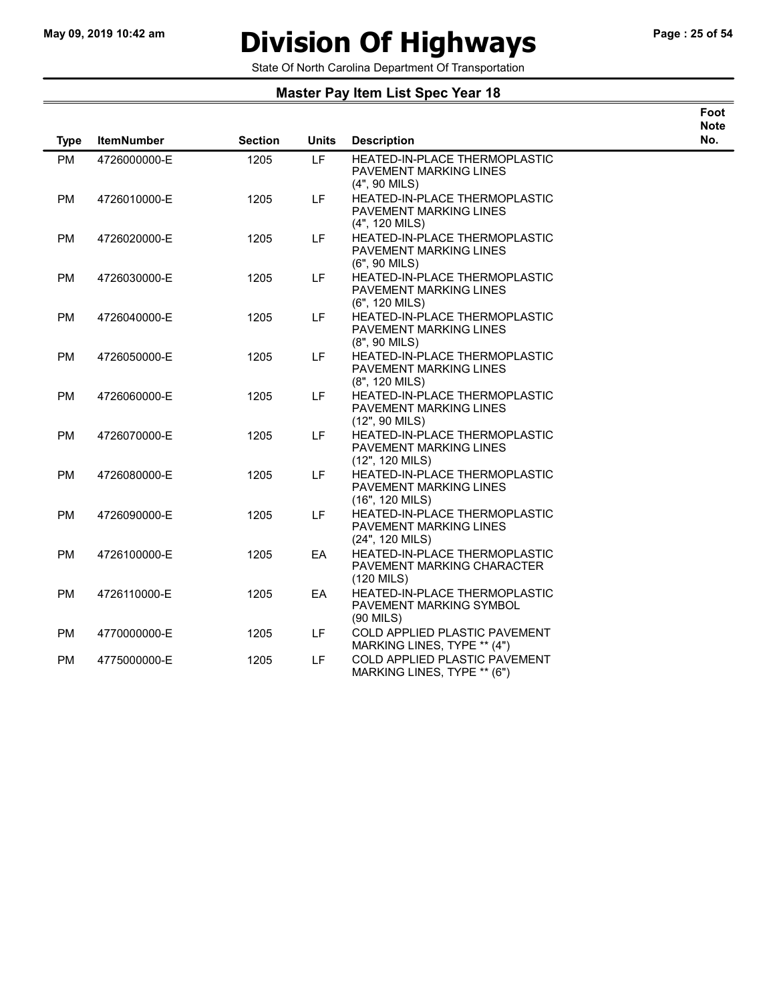# May 09, 2019 10:42 am **Division Of Highways** Page : 25 of 54

Foot

State Of North Carolina Department Of Transportation

| <b>Type</b> | <b>ItemNumber</b> | <b>Section</b> | <b>Units</b> | <b>Description</b>                                                                       | <b>Note</b><br>No. |
|-------------|-------------------|----------------|--------------|------------------------------------------------------------------------------------------|--------------------|
| <b>PM</b>   | 4726000000-E      | 1205           | LF.          | <b>HEATED-IN-PLACE THERMOPLASTIC</b><br>PAVEMENT MARKING LINES<br>$(4", 90$ MILS)        |                    |
| <b>PM</b>   | 4726010000-E      | 1205           | LF.          | <b>HEATED-IN-PLACE THERMOPLASTIC</b><br>PAVEMENT MARKING LINES<br>(4", 120 MILS)         |                    |
| PM          | 4726020000-E      | 1205           | LF.          | <b>HEATED-IN-PLACE THERMOPLASTIC</b><br>PAVEMENT MARKING LINES<br>$(6", 90$ MILS)        |                    |
| <b>PM</b>   | 4726030000-E      | 1205           | LF.          | <b>HEATED-IN-PLACE THERMOPLASTIC</b><br>PAVEMENT MARKING LINES<br>$(6", 120$ MILS)       |                    |
| <b>PM</b>   | 4726040000-E      | 1205           | LF.          | <b>HEATED-IN-PLACE THERMOPLASTIC</b><br><b>PAVEMENT MARKING LINES</b><br>$(8", 90$ MILS) |                    |
| PM          | 4726050000-E      | 1205           | LF.          | HEATED-IN-PLACE THERMOPLASTIC<br>PAVEMENT MARKING LINES<br>$(8", 120$ MILS)              |                    |
| <b>PM</b>   | 4726060000-E      | 1205           | LF.          | <b>HEATED-IN-PLACE THERMOPLASTIC</b><br>PAVEMENT MARKING LINES<br>(12", 90 MILS)         |                    |
| <b>PM</b>   | 4726070000-E      | 1205           | LF.          | <b>HEATED-IN-PLACE THERMOPLASTIC</b><br>PAVEMENT MARKING LINES<br>$(12", 120$ MILS)      |                    |
| <b>PM</b>   | 4726080000-E      | 1205           | LF.          | HEATED-IN-PLACE THERMOPLASTIC<br>PAVEMENT MARKING LINES<br>(16", 120 MILS)               |                    |
| <b>PM</b>   | 4726090000-E      | 1205           | LF.          | HEATED-IN-PLACE THERMOPLASTIC<br>PAVEMENT MARKING LINES<br>(24", 120 MILS)               |                    |
| <b>PM</b>   | 4726100000-E      | 1205           | EA           | <b>HEATED-IN-PLACE THERMOPLASTIC</b><br>PAVEMENT MARKING CHARACTER<br>$(120$ MILS)       |                    |
| <b>PM</b>   | 4726110000-E      | 1205           | EA           | <b>HEATED-IN-PLACE THERMOPLASTIC</b><br>PAVEMENT MARKING SYMBOL<br>$(90$ MILS)           |                    |
| PM          | 4770000000-E      | 1205           | LF           | COLD APPLIED PLASTIC PAVEMENT<br>MARKING LINES, TYPE ** (4")                             |                    |
| <b>PM</b>   | 4775000000-E      | 1205           | <b>LF</b>    | COLD APPLIED PLASTIC PAVEMENT<br>MARKING LINES, TYPE ** (6")                             |                    |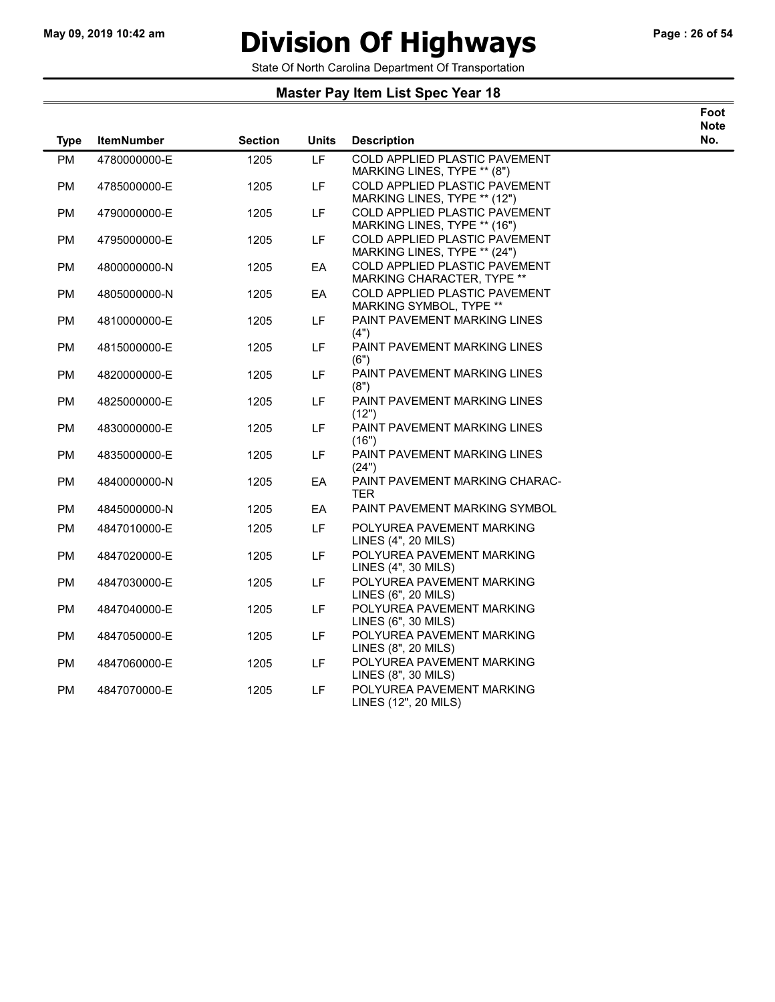$\overline{\phantom{0}}$ 

### May 09, 2019 10:42 am **Division Of Highways** Page : 26 of 54

Foot

State Of North Carolina Department Of Transportation

| <b>Type</b> | <b>ItemNumber</b> | <b>Section</b> | <b>Units</b> | <b>Description</b>                                                   | <b>Note</b><br>No. |
|-------------|-------------------|----------------|--------------|----------------------------------------------------------------------|--------------------|
| <b>PM</b>   | 4780000000-E      | 1205           | LF           | COLD APPLIED PLASTIC PAVEMENT<br>MARKING LINES, TYPE ** (8")         |                    |
| <b>PM</b>   | 4785000000-E      | 1205           | LF.          | COLD APPLIED PLASTIC PAVEMENT<br>MARKING LINES, TYPE ** (12")        |                    |
| <b>PM</b>   | 4790000000-E      | 1205           | <b>LF</b>    | <b>COLD APPLIED PLASTIC PAVEMENT</b><br>MARKING LINES, TYPE ** (16") |                    |
| <b>PM</b>   | 4795000000-E      | 1205           | LF           | COLD APPLIED PLASTIC PAVEMENT<br>MARKING LINES, TYPE ** (24")        |                    |
| <b>PM</b>   | 4800000000-N      | 1205           | EA           | COLD APPLIED PLASTIC PAVEMENT<br>MARKING CHARACTER, TYPE **          |                    |
| <b>PM</b>   | 4805000000-N      | 1205           | EA           | COLD APPLIED PLASTIC PAVEMENT<br>MARKING SYMBOL, TYPE **             |                    |
| PM          | 4810000000-E      | 1205           | LF.          | PAINT PAVEMENT MARKING LINES<br>(4")                                 |                    |
| <b>PM</b>   | 4815000000-E      | 1205           | LF           | PAINT PAVEMENT MARKING LINES<br>(6")                                 |                    |
| PM          | 4820000000-E      | 1205           | LF           | PAINT PAVEMENT MARKING LINES<br>(8")                                 |                    |
| <b>PM</b>   | 4825000000-E      | 1205           | LF.          | PAINT PAVEMENT MARKING LINES<br>(12")                                |                    |
| <b>PM</b>   | 4830000000-E      | 1205           | LF           | PAINT PAVEMENT MARKING LINES<br>(16")                                |                    |
| <b>PM</b>   | 4835000000-E      | 1205           | LF.          | PAINT PAVEMENT MARKING LINES<br>(24")                                |                    |
| <b>PM</b>   | 4840000000-N      | 1205           | EA           | PAINT PAVEMENT MARKING CHARAC-<br><b>TER</b>                         |                    |
| PM          | 4845000000-N      | 1205           | EA           | PAINT PAVEMENT MARKING SYMBOL                                        |                    |
| PM          | 4847010000-E      | 1205           | LF.          | POLYUREA PAVEMENT MARKING<br>LINES (4", 20 MILS)                     |                    |
| <b>PM</b>   | 4847020000-E      | 1205           | LF           | POLYUREA PAVEMENT MARKING<br>LINES (4", 30 MILS)                     |                    |
| PM          | 4847030000-E      | 1205           | LF.          | POLYUREA PAVEMENT MARKING<br>LINES (6", 20 MILS)                     |                    |
| PM          | 4847040000-E      | 1205           | LF           | POLYUREA PAVEMENT MARKING<br>LINES (6", 30 MILS)                     |                    |
| <b>PM</b>   | 4847050000-E      | 1205           | LF.          | POLYUREA PAVEMENT MARKING<br>LINES (8", 20 MILS)                     |                    |
| <b>PM</b>   | 4847060000-E      | 1205           | LF           | POLYUREA PAVEMENT MARKING<br>LINES (8", 30 MILS)                     |                    |
| <b>PM</b>   | 4847070000-E      | 1205           | LF.          | POLYUREA PAVEMENT MARKING<br>LINES (12", 20 MILS)                    |                    |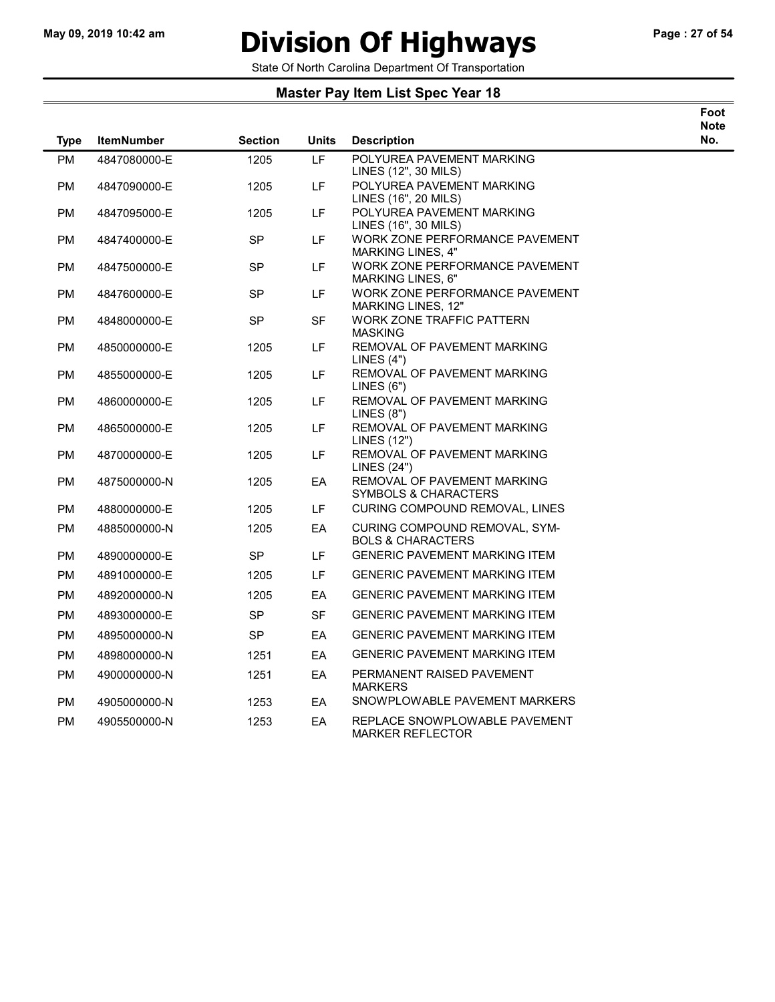# May 09, 2019 10:42 am **Division Of Highways** Page : 27 of 54

Foot Note No.

State Of North Carolina Department Of Transportation

| <b>Type</b> | <b>ItemNumber</b> | <b>Section</b> | Units     | <b>Description</b>                                            | <b>IAC</b><br>N <sub>o</sub> |
|-------------|-------------------|----------------|-----------|---------------------------------------------------------------|------------------------------|
| <b>PM</b>   | 4847080000-E      | 1205           | LF        | POLYUREA PAVEMENT MARKING<br>LINES (12", 30 MILS)             |                              |
| PM          | 4847090000-E      | 1205           | LF        | POLYUREA PAVEMENT MARKING<br>LINES (16", 20 MILS)             |                              |
| <b>PM</b>   | 4847095000-E      | 1205           | LF        | POLYUREA PAVEMENT MARKING<br>LINES (16", 30 MILS)             |                              |
| <b>PM</b>   | 4847400000-E      | <b>SP</b>      | LF.       | WORK ZONE PERFORMANCE PAVEMENT<br>MARKING LINES, 4"           |                              |
| PM          | 4847500000-E      | <b>SP</b>      | LF        | WORK ZONE PERFORMANCE PAVEMENT<br>MARKING LINES, 6"           |                              |
| PM          | 4847600000-E      | <b>SP</b>      | LF.       | WORK ZONE PERFORMANCE PAVEMENT<br>MARKING LINES, 12"          |                              |
| <b>PM</b>   | 4848000000-E      | <b>SP</b>      | <b>SF</b> | <b>WORK ZONE TRAFFIC PATTERN</b><br><b>MASKING</b>            |                              |
| <b>PM</b>   | 4850000000-E      | 1205           | LF        | REMOVAL OF PAVEMENT MARKING<br>LINES $(4")$                   |                              |
| <b>PM</b>   | 4855000000-E      | 1205           | LF        | REMOVAL OF PAVEMENT MARKING<br>LINES (6")                     |                              |
| РM          | 4860000000-E      | 1205           | LF.       | REMOVAL OF PAVEMENT MARKING<br>LINES (8")                     |                              |
| <b>PM</b>   | 4865000000-E      | 1205           | LF.       | REMOVAL OF PAVEMENT MARKING<br>LINES (12")                    |                              |
| <b>PM</b>   | 4870000000-E      | 1205           | LF        | REMOVAL OF PAVEMENT MARKING<br><b>LINES (24")</b>             |                              |
| PM          | 4875000000-N      | 1205           | EA        | REMOVAL OF PAVEMENT MARKING<br>SYMBOLS & CHARACTERS           |                              |
| <b>PM</b>   | 4880000000-E      | 1205           | LF.       | CURING COMPOUND REMOVAL, LINES                                |                              |
| <b>PM</b>   | 4885000000-N      | 1205           | EA        | CURING COMPOUND REMOVAL, SYM-<br><b>BOLS &amp; CHARACTERS</b> |                              |
| PM          | 4890000000-E      | <b>SP</b>      | LF.       | <b>GENERIC PAVEMENT MARKING ITEM</b>                          |                              |
| <b>PM</b>   | 4891000000-E      | 1205           | LF        | <b>GENERIC PAVEMENT MARKING ITEM</b>                          |                              |
| PM          | 4892000000-N      | 1205           | EA        | <b>GENERIC PAVEMENT MARKING ITEM</b>                          |                              |
| <b>PM</b>   | 4893000000-E      | <b>SP</b>      | SF        | <b>GENERIC PAVEMENT MARKING ITEM</b>                          |                              |
| <b>PM</b>   | 4895000000-N      | <b>SP</b>      | EA        | <b>GENERIC PAVEMENT MARKING ITEM</b>                          |                              |
| PM          | 4898000000-N      | 1251           | EA        | <b>GENERIC PAVEMENT MARKING ITEM</b>                          |                              |
| PM          | 4900000000-N      | 1251           | EA        | PERMANENT RAISED PAVEMENT<br><b>MARKERS</b>                   |                              |
| PM          | 4905000000-N      | 1253           | EA        | SNOWPLOWABLE PAVEMENT MARKERS                                 |                              |
| <b>PM</b>   | 4905500000-N      | 1253           | EA        | REPLACE SNOWPLOWABLE PAVEMENT<br>MARKER REFLECTOR             |                              |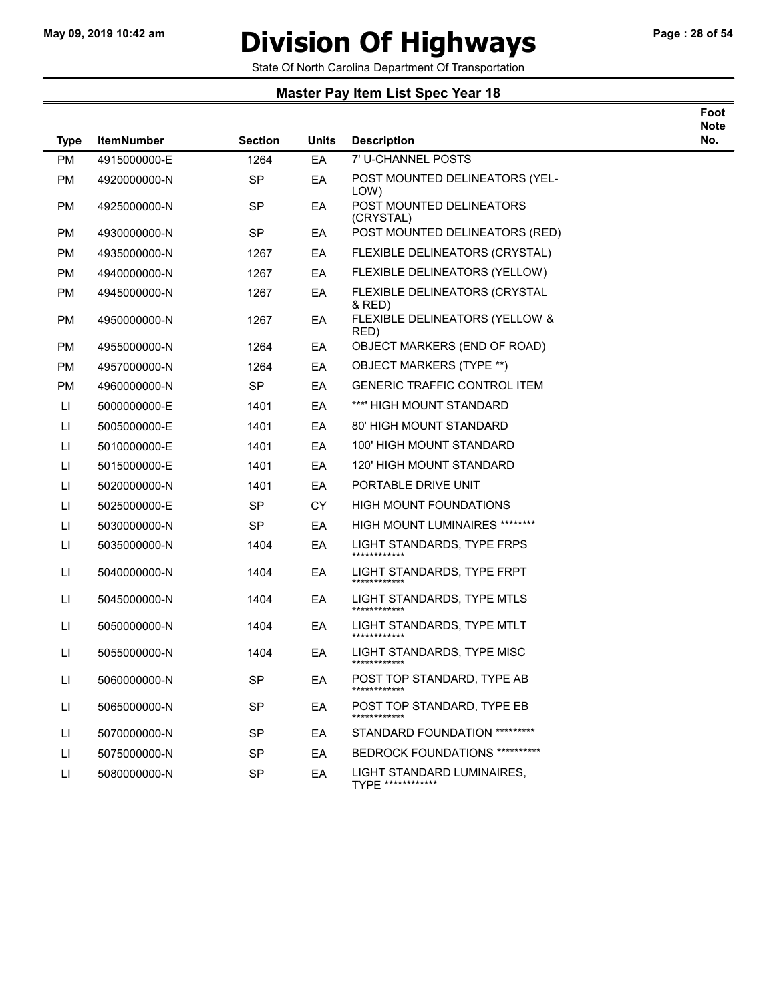### May 09, 2019 10:42 am **Division Of Highways** Page : 28 of 54

Foot Note No.

State Of North Carolina Department Of Transportation

| <b>Type</b>            | <b>ItemNumber</b> | <b>Section</b> | <b>Units</b> | <b>Description</b>                              | N <sub>o</sub> |
|------------------------|-------------------|----------------|--------------|-------------------------------------------------|----------------|
| <b>PM</b>              | 4915000000-E      | 1264           | EA           | 7' U-CHANNEL POSTS                              |                |
| <b>PM</b>              | 4920000000-N      | SP             | EA           | POST MOUNTED DELINEATORS (YEL-<br>LOW)          |                |
| <b>PM</b>              | 4925000000-N      | <b>SP</b>      | EA           | POST MOUNTED DELINEATORS<br>(CRYSTAL)           |                |
| <b>PM</b>              | 4930000000-N      | SP             | EA           | POST MOUNTED DELINEATORS (RED)                  |                |
| <b>PM</b>              | 4935000000-N      | 1267           | EA           | FLEXIBLE DELINEATORS (CRYSTAL)                  |                |
| <b>PM</b>              | 4940000000-N      | 1267           | EA           | FLEXIBLE DELINEATORS (YELLOW)                   |                |
| PM                     | 4945000000-N      | 1267           | EA           | FLEXIBLE DELINEATORS (CRYSTAL<br>& RED)         |                |
| <b>PM</b>              | 4950000000-N      | 1267           | EA           | FLEXIBLE DELINEATORS (YELLOW &<br>RED)          |                |
| <b>PM</b>              | 4955000000-N      | 1264           | EA           | OBJECT MARKERS (END OF ROAD)                    |                |
| <b>PM</b>              | 4957000000-N      | 1264           | EA           | <b>OBJECT MARKERS (TYPE **)</b>                 |                |
| <b>PM</b>              | 4960000000-N      | SP             | EA           | <b>GENERIC TRAFFIC CONTROL ITEM</b>             |                |
| LI                     | 5000000000-E      | 1401           | EA           | ***' HIGH MOUNT STANDARD                        |                |
| LI.                    | 5005000000-E      | 1401           | EA           | 80' HIGH MOUNT STANDARD                         |                |
| П                      | 5010000000-E      | 1401           | EA           | 100' HIGH MOUNT STANDARD                        |                |
| LI                     | 5015000000-E      | 1401           | EA           | <b>120' HIGH MOUNT STANDARD</b>                 |                |
| П                      | 5020000000-N      | 1401           | EA           | PORTABLE DRIVE UNIT                             |                |
| П                      | 5025000000-E      | SP             | <b>CY</b>    | HIGH MOUNT FOUNDATIONS                          |                |
| П                      | 5030000000-N      | <b>SP</b>      | EA           | HIGH MOUNT LUMINAIRES ********                  |                |
| LI                     | 5035000000-N      | 1404           | EA           | LIGHT STANDARDS, TYPE FRPS<br>************      |                |
| LI                     | 5040000000-N      | 1404           | EA           | LIGHT STANDARDS, TYPE FRPT<br>************      |                |
| LI                     | 5045000000-N      | 1404           | EA           | LIGHT STANDARDS, TYPE MTLS<br>************      |                |
| LI                     | 5050000000-N      | 1404           | EA           | LIGHT STANDARDS, TYPE MTLT                      |                |
| LI.                    | 5055000000-N      | 1404           | EA           | LIGHT STANDARDS, TYPE MISC                      |                |
| Ш                      | 5060000000-N      | <b>SP</b>      | EA           | POST TOP STANDARD, TYPE AB<br>************      |                |
| $\mathsf{L}\mathsf{I}$ | 5065000000-N      | <b>SP</b>      | EA           | POST TOP STANDARD, TYPE EB<br>************      |                |
| LI                     | 5070000000-N      | SP             | EA           | STANDARD FOUNDATION *********                   |                |
| П                      | 5075000000-N      | <b>SP</b>      | EA           | BEDROCK FOUNDATIONS **********                  |                |
| $\mathsf{L}\mathsf{I}$ | 5080000000-N      | <b>SP</b>      | EA           | LIGHT STANDARD LUMINAIRES,<br>TYPE ************ |                |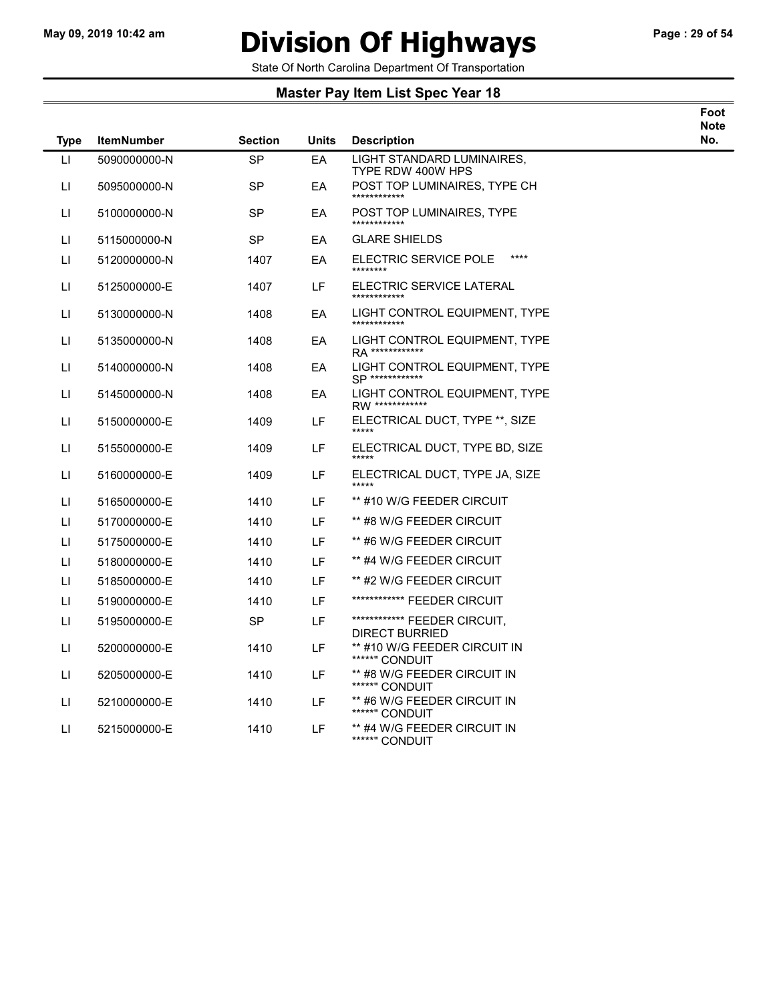## May 09, 2019 10:42 am **Division Of Highways** Page : 29 of 54

State Of North Carolina Department Of Transportation

| Foot |  |
|------|--|
| Note |  |
| No.  |  |

| <b>Type</b> | <b>ItemNumber</b> | <b>Section</b> | <b>Units</b> | <b>Description</b>                                      | N |
|-------------|-------------------|----------------|--------------|---------------------------------------------------------|---|
| LI.         | 5090000000-N      | <b>SP</b>      | EA           | LIGHT STANDARD LUMINAIRES,<br>TYPE RDW 400W HPS         |   |
| П           | 5095000000-N      | <b>SP</b>      | EA           | POST TOP LUMINAIRES, TYPE CH<br>************            |   |
| П           | 5100000000-N      | SP             | EA           | POST TOP LUMINAIRES, TYPE<br>************               |   |
| LI          | 5115000000-N      | <b>SP</b>      | EA           | <b>GLARE SHIELDS</b>                                    |   |
| LI          | 5120000000-N      | 1407           | EA           | $***$<br>ELECTRIC SERVICE POLE<br>********              |   |
| LI          | 5125000000-E      | 1407           | LF           | ELECTRIC SERVICE LATERAL<br>************                |   |
| LI          | 5130000000-N      | 1408           | EA           | LIGHT CONTROL EQUIPMENT, TYPE                           |   |
| LI.         | 5135000000-N      | 1408           | EA           | LIGHT CONTROL EQUIPMENT, TYPE<br><b>RA ************</b> |   |
| П           | 5140000000-N      | 1408           | EA           | LIGHT CONTROL EQUIPMENT. TYPE<br><b>SP ************</b> |   |
| П           | 5145000000-N      | 1408           | EA           | LIGHT CONTROL EQUIPMENT, TYPE<br>RW *************       |   |
| ш           | 5150000000-E      | 1409           | LF           | ELECTRICAL DUCT, TYPE **, SIZE<br>*****                 |   |
| LI.         | 5155000000-E      | 1409           | LF           | ELECTRICAL DUCT, TYPE BD, SIZE                          |   |
| LI.         | 5160000000-E      | 1409           | LF           | ELECTRICAL DUCT, TYPE JA, SIZE<br>*****                 |   |
| LI          | 5165000000-E      | 1410           | LF           | ** #10 W/G FEEDER CIRCUIT                               |   |
| LI          | 5170000000-E      | 1410           | LF           | ** #8 W/G FEEDER CIRCUIT                                |   |
| П           | 5175000000-E      | 1410           | LF           | ** #6 W/G FEEDER CIRCUIT                                |   |
| LI          | 5180000000-E      | 1410           | LF           | ** #4 W/G FEEDER CIRCUIT                                |   |
| LI          | 5185000000-E      | 1410           | LF           | ** #2 W/G FEEDER CIRCUIT                                |   |
| П           | 5190000000-E      | 1410           | LF           | ************* FEEDER CIRCUIT                            |   |
| LI          | 5195000000-E      | <b>SP</b>      | LF           | ************* FEEDER CIRCUIT,<br><b>DIRECT BURRIED</b>  |   |
| LI          | 5200000000-E      | 1410           | LF           | ** #10 W/G FEEDER CIRCUIT IN<br>*****" CONDUIT          |   |
| LI.         | 5205000000-E      | 1410           | LF           | ** #8 W/G FEEDER CIRCUIT IN<br>*****" CONDUIT           |   |
| LI.         | 5210000000-E      | 1410           | LF           | ** #6 W/G FEEDER CIRCUIT IN<br>*****" CONDUIT           |   |
| LI.         | 5215000000-E      | 1410           | LF           | ** #4 W/G FEEDER CIRCUIT IN<br>*****" CONDUIT           |   |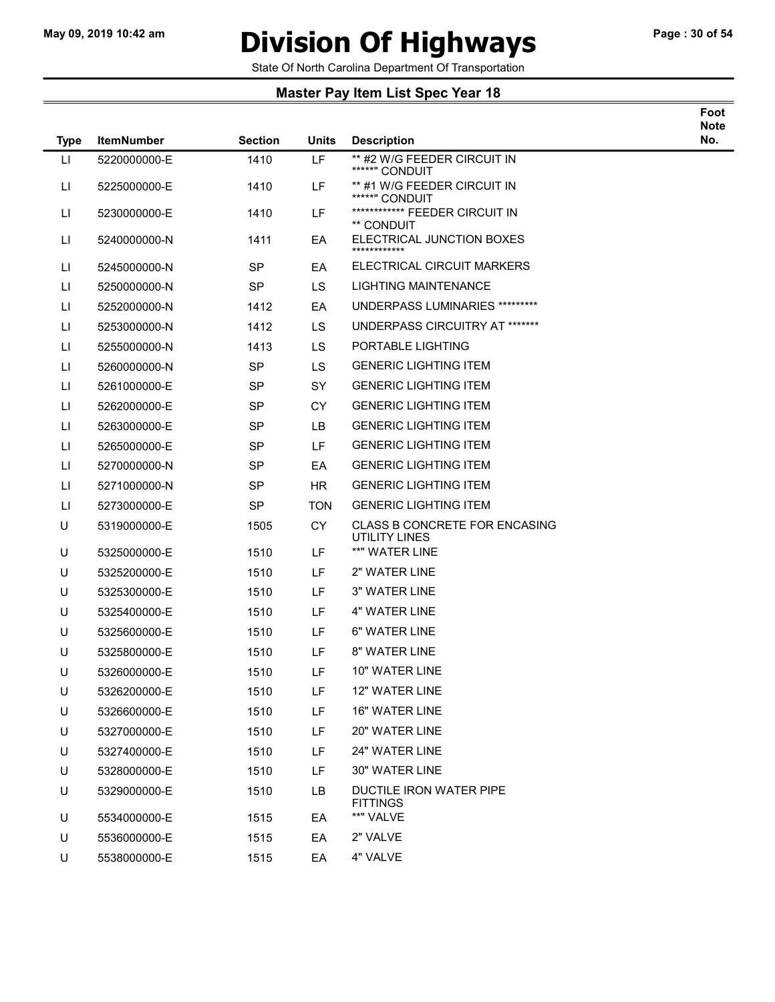### May 09, 2019 10:42 am **Division Of Highways** Page : 30 of 54

Foot

State Of North Carolina Department Of Transportation

| <b>Type</b>            | <b>ItemNumber</b> | <b>Section</b> | <b>Units</b> | <b>Description</b>                             | Note<br>No. |
|------------------------|-------------------|----------------|--------------|------------------------------------------------|-------------|
| $\mathsf{L}$           | 5220000000-E      | 1410           | LF           | ** #2 W/G FEEDER CIRCUIT IN<br>*****" CONDUIT  |             |
| $\mathsf{L}\mathsf{I}$ | 5225000000-E      | 1410           | LF           | ** #1 W/G FEEDER CIRCUIT IN<br>*****" CONDUIT  |             |
| П                      | 5230000000-E      | 1410           | LF           | ************* FEEDER CIRCUIT IN<br>** CONDUIT  |             |
| П                      | 5240000000-N      | 1411           | EA           | ELECTRICAL JUNCTION BOXES<br>************      |             |
| П                      | 5245000000-N      | <b>SP</b>      | ЕA           | ELECTRICAL CIRCUIT MARKERS                     |             |
| П                      | 5250000000-N      | <b>SP</b>      | LS           | LIGHTING MAINTENANCE                           |             |
| П                      | 5252000000-N      | 1412           | EA           | UNDERPASS LUMINARIES *********                 |             |
| П                      | 5253000000-N      | 1412           | <b>LS</b>    | UNDERPASS CIRCUITRY AT *******                 |             |
| П                      | 5255000000-N      | 1413           | <b>LS</b>    | PORTABLE LIGHTING                              |             |
| П                      | 5260000000-N      | <b>SP</b>      | LS.          | <b>GENERIC LIGHTING ITEM</b>                   |             |
| П                      | 5261000000-E      | <b>SP</b>      | SY           | <b>GENERIC LIGHTING ITEM</b>                   |             |
| П                      | 5262000000-E      | SP.            | CY           | <b>GENERIC LIGHTING ITEM</b>                   |             |
| П                      | 5263000000-E      | <b>SP</b>      | LB           | <b>GENERIC LIGHTING ITEM</b>                   |             |
| П                      | 5265000000-E      | SP             | LF           | <b>GENERIC LIGHTING ITEM</b>                   |             |
| П                      | 5270000000-N      | <b>SP</b>      | EA           | <b>GENERIC LIGHTING ITEM</b>                   |             |
| П                      | 5271000000-N      | SP             | HR.          | <b>GENERIC LIGHTING ITEM</b>                   |             |
| П                      | 5273000000-E      | <b>SP</b>      | <b>TON</b>   | <b>GENERIC LIGHTING ITEM</b>                   |             |
| U                      | 5319000000-E      | 1505           | <b>CY</b>    | CLASS B CONCRETE FOR ENCASING<br>UTILITY LINES |             |
| U                      | 5325000000-E      | 1510           | LF           | **" WATER LINE                                 |             |
| U                      | 5325200000-E      | 1510           | LF           | 2" WATER LINE                                  |             |
| U                      | 5325300000-E      | 1510           | <b>LF</b>    | 3" WATER LINE                                  |             |
| U                      | 5325400000-E      | 1510           | LF           | <b>4" WATER LINE</b>                           |             |
| U                      | 5325600000-E      | 1510           | LF           | 6" WATER LINE                                  |             |
| U                      | 5325800000-E      | 1510           | LF           | 8" WATER LINE                                  |             |
| U                      | 5326000000-E      | 1510           | LF           | 10" WATER LINE                                 |             |
| U                      | 5326200000-E      | 1510           | LF           | 12" WATER LINE                                 |             |
| U                      | 5326600000-E      | 1510           | LF           | 16" WATER LINE                                 |             |
| U                      | 5327000000-E      | 1510           | LF           | 20" WATER LINE                                 |             |
| U                      | 5327400000-E      | 1510           | LF           | 24" WATER LINE                                 |             |
| U                      | 5328000000-E      | 1510           | LF           | 30" WATER LINE                                 |             |
| U                      | 5329000000-E      | 1510           | LB           | DUCTILE IRON WATER PIPE<br><b>FITTINGS</b>     |             |
| U                      | 5534000000-E      | 1515           | EA           | **" VALVE                                      |             |
| U                      | 5536000000-E      | 1515           | EA           | 2" VALVE                                       |             |
| U                      | 5538000000-E      | 1515           | EA           | 4" VALVE                                       |             |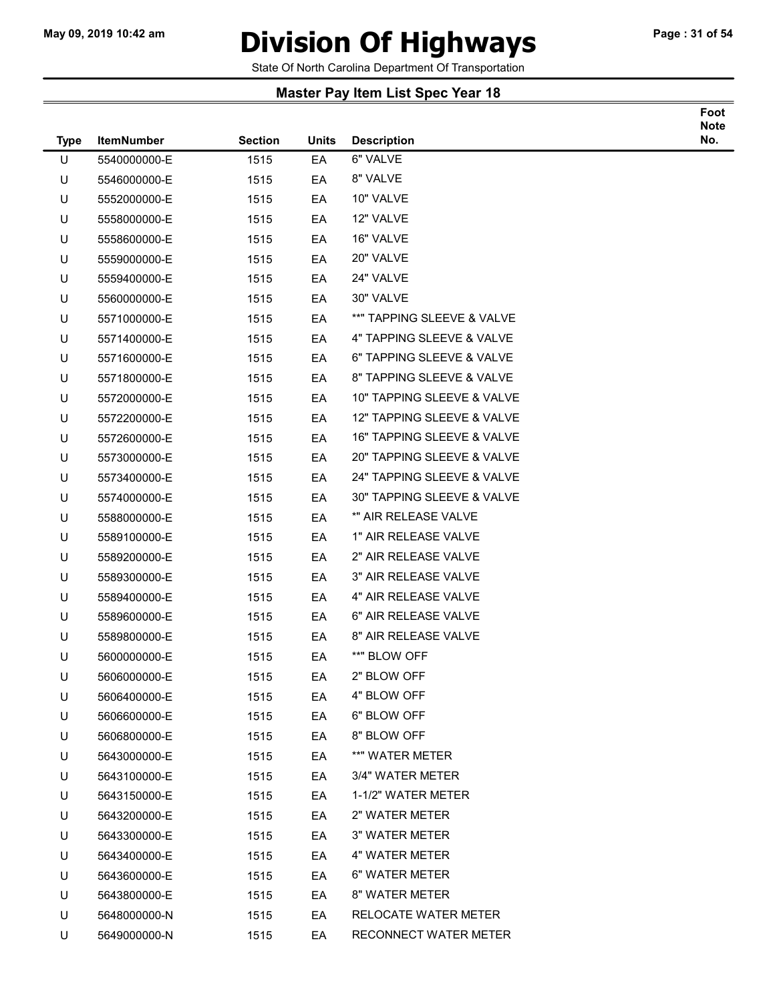### May 09, 2019 10:42 am **Division Of Highways** Page : 31 of 54

Foot

State Of North Carolina Department Of Transportation

| <b>Type</b> | <b>ItemNumber</b> | <b>Section</b> | <b>Units</b> | <b>Description</b>         | <b>Note</b><br>No. |
|-------------|-------------------|----------------|--------------|----------------------------|--------------------|
| U           | 5540000000-E      | 1515           | EA           | 6" VALVE                   |                    |
| U           | 5546000000-E      | 1515           | EA           | 8" VALVE                   |                    |
| U           | 5552000000-E      | 1515           | EA           | 10" VALVE                  |                    |
| U           | 5558000000-E      | 1515           | EA           | 12" VALVE                  |                    |
| U           | 5558600000-E      | 1515           | EA           | 16" VALVE                  |                    |
| U           | 5559000000-E      | 1515           | EA           | 20" VALVE                  |                    |
| U           | 5559400000-E      | 1515           | EA           | 24" VALVE                  |                    |
| U           | 5560000000-E      | 1515           | EA           | 30" VALVE                  |                    |
| U           | 5571000000-E      | 1515           | EA           | **" TAPPING SLEEVE & VALVE |                    |
| U           | 5571400000-E      | 1515           | EA           | 4" TAPPING SLEEVE & VALVE  |                    |
| U           | 5571600000-E      | 1515           | EA           | 6" TAPPING SLEEVE & VALVE  |                    |
| U           | 5571800000-E      | 1515           | EA           | 8" TAPPING SLEEVE & VALVE  |                    |
| U           | 5572000000-E      | 1515           | EA           | 10" TAPPING SLEEVE & VALVE |                    |
| U           | 5572200000-E      | 1515           | EA           | 12" TAPPING SLEEVE & VALVE |                    |
| U           | 5572600000-E      | 1515           | EA           | 16" TAPPING SLEEVE & VALVE |                    |
| U           | 5573000000-E      | 1515           | EA           | 20" TAPPING SLEEVE & VALVE |                    |
| U           | 5573400000-E      | 1515           | EA           | 24" TAPPING SLEEVE & VALVE |                    |
| U           | 5574000000-E      | 1515           | EA           | 30" TAPPING SLEEVE & VALVE |                    |
| U           | 5588000000-E      | 1515           | EA           | *" AIR RELEASE VALVE       |                    |
| U           | 5589100000-E      | 1515           | EA           | 1" AIR RELEASE VALVE       |                    |
| U           | 5589200000-E      | 1515           | EA           | 2" AIR RELEASE VALVE       |                    |
| U           | 5589300000-E      | 1515           | EA           | 3" AIR RELEASE VALVE       |                    |
| U           | 5589400000-E      | 1515           | EA           | 4" AIR RELEASE VALVE       |                    |
| U           | 5589600000-E      | 1515           | EA           | 6" AIR RELEASE VALVE       |                    |
| U           | 5589800000-E      | 1515           | EA           | 8" AIR RELEASE VALVE       |                    |
| U           | 5600000000-E      | 1515           | EA           | **" BLOW OFF               |                    |
| U           | 5606000000-E      | 1515           | EA           | 2" BLOW OFF                |                    |
| U           | 5606400000-E      | 1515           | EA           | 4" BLOW OFF                |                    |
| U           | 5606600000-E      | 1515           | EA           | 6" BLOW OFF                |                    |
| U           | 5606800000-E      | 1515           | EA           | 8" BLOW OFF                |                    |
| U           | 5643000000-E      | 1515           | EA           | **" WATER METER            |                    |
| U           | 5643100000-E      | 1515           | EA           | 3/4" WATER METER           |                    |
| U           | 5643150000-E      | 1515           | EA           | 1-1/2" WATER METER         |                    |
| U           | 5643200000-E      | 1515           | EA           | 2" WATER METER             |                    |
| U           | 5643300000-E      | 1515           | EA           | <b>3" WATER METER</b>      |                    |
| U           | 5643400000-E      | 1515           | EA           | 4" WATER METER             |                    |
| U           | 5643600000-E      | 1515           | EA           | 6" WATER METER             |                    |
| U           | 5643800000-E      | 1515           | EA           | 8" WATER METER             |                    |
| U           | 5648000000-N      | 1515           | EA           | RELOCATE WATER METER       |                    |
| U           | 5649000000-N      | 1515           | EA           | RECONNECT WATER METER      |                    |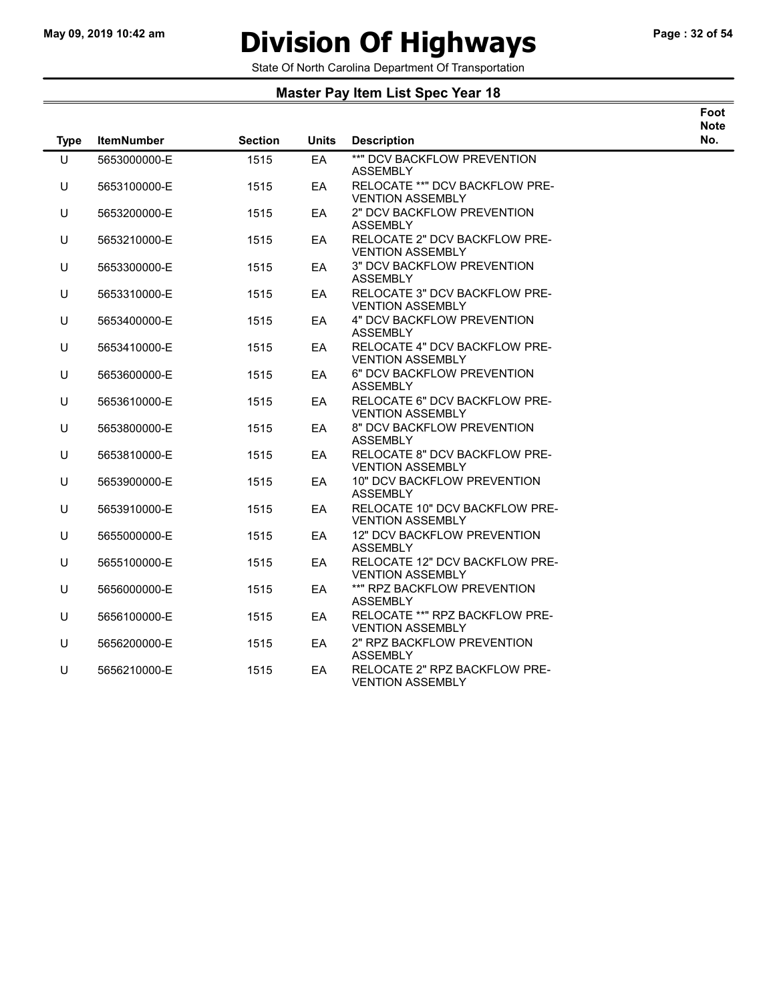# May 09, 2019 10:42 am **Division Of Highways** Page : 32 of 54

Foot

State Of North Carolina Department Of Transportation

| <b>Type</b> | <b>ItemNumber</b> | <b>Section</b> | <b>Units</b> | <b>Description</b>                                        | <b>Note</b><br>No. |
|-------------|-------------------|----------------|--------------|-----------------------------------------------------------|--------------------|
| U           | 5653000000-E      | 1515           | EA           | **" DCV BACKFLOW PREVENTION<br><b>ASSEMBLY</b>            |                    |
| U           | 5653100000-E      | 1515           | EA           | RELOCATE **" DCV BACKFLOW PRE-<br><b>VENTION ASSEMBLY</b> |                    |
| U           | 5653200000-E      | 1515           | EA           | 2" DCV BACKFLOW PREVENTION<br><b>ASSEMBLY</b>             |                    |
| U           | 5653210000-E      | 1515           | EA           | RELOCATE 2" DCV BACKFLOW PRE-<br><b>VENTION ASSEMBLY</b>  |                    |
| U           | 5653300000-E      | 1515           | EA           | 3" DCV BACKFLOW PREVENTION<br><b>ASSEMBLY</b>             |                    |
| U           | 5653310000-E      | 1515           | EA           | RELOCATE 3" DCV BACKFLOW PRE-<br><b>VENTION ASSEMBLY</b>  |                    |
| U           | 5653400000-E      | 1515           | EA           | <b>4" DCV BACKFLOW PREVENTION</b><br><b>ASSEMBLY</b>      |                    |
| U           | 5653410000-E      | 1515           | EA           | RELOCATE 4" DCV BACKFLOW PRE-<br><b>VENTION ASSEMBLY</b>  |                    |
| U           | 5653600000-E      | 1515           | EA           | 6" DCV BACKFLOW PREVENTION<br><b>ASSEMBLY</b>             |                    |
| U           | 5653610000-E      | 1515           | EA           | RELOCATE 6" DCV BACKFLOW PRE-<br><b>VENTION ASSEMBLY</b>  |                    |
| U           | 5653800000-E      | 1515           | EA           | 8" DCV BACKFLOW PREVENTION<br><b>ASSEMBLY</b>             |                    |
| U           | 5653810000-E      | 1515           | EA           | RELOCATE 8" DCV BACKFLOW PRE-<br><b>VENTION ASSEMBLY</b>  |                    |
| U           | 5653900000-E      | 1515           | EA           | 10" DCV BACKFLOW PREVENTION<br><b>ASSEMBLY</b>            |                    |
| U           | 5653910000-E      | 1515           | EA.          | RELOCATE 10" DCV BACKFLOW PRE-<br><b>VENTION ASSEMBLY</b> |                    |
| U           | 5655000000-E      | 1515           | EA           | 12" DCV BACKFLOW PREVENTION<br><b>ASSEMBLY</b>            |                    |
| U           | 5655100000-E      | 1515           | EA           | RELOCATE 12" DCV BACKFLOW PRE-<br><b>VENTION ASSEMBLY</b> |                    |
| U           | 5656000000-E      | 1515           | EA           | **" RPZ BACKFLOW PREVENTION<br><b>ASSEMBLY</b>            |                    |
| U           | 5656100000-E      | 1515           | EA           | RELOCATE **" RPZ BACKFLOW PRE-<br><b>VENTION ASSEMBLY</b> |                    |
| U           | 5656200000-E      | 1515           | EA           | 2" RPZ BACKFLOW PREVENTION<br><b>ASSEMBLY</b>             |                    |
| U           | 5656210000-E      | 1515           | EA           | RELOCATE 2" RPZ BACKFLOW PRE-<br><b>VENTION ASSEMBLY</b>  |                    |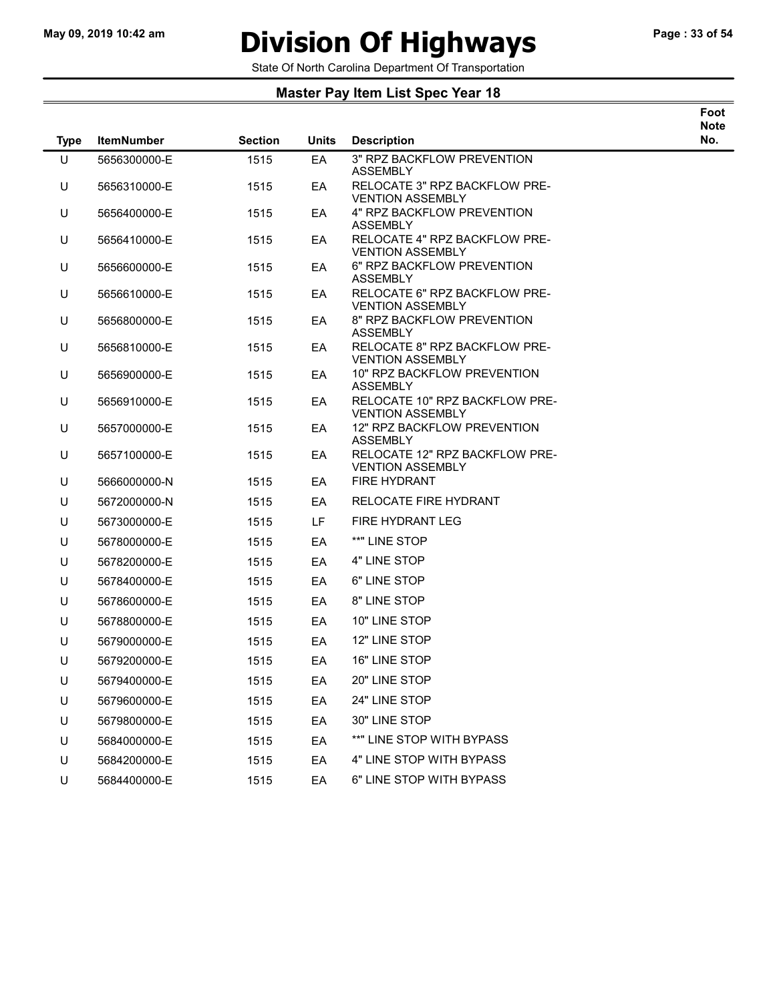### May 09, 2019 10:42 am **Division Of Highways** Page : 33 of 54

Foot

State Of North Carolina Department Of Transportation

| <b>Type</b> | <b>ItemNumber</b> | <b>Section</b> | <b>Units</b> | <b>Description</b>                                        | <b>Note</b><br>No. |
|-------------|-------------------|----------------|--------------|-----------------------------------------------------------|--------------------|
| U           | 5656300000-E      | 1515           | EA           | 3" RPZ BACKFLOW PREVENTION<br>ASSEMBLY                    |                    |
| U           | 5656310000-E      | 1515           | EA           | RELOCATE 3" RPZ BACKFLOW PRE-<br><b>VENTION ASSEMBLY</b>  |                    |
| U           | 5656400000-E      | 1515           | EA           | 4" RPZ BACKFLOW PREVENTION<br><b>ASSEMBLY</b>             |                    |
| U           | 5656410000-E      | 1515           | EA           | RELOCATE 4" RPZ BACKFLOW PRE-<br><b>VENTION ASSEMBLY</b>  |                    |
| U           | 5656600000-E      | 1515           | EA           | 6" RPZ BACKFLOW PREVENTION<br><b>ASSEMBLY</b>             |                    |
| U           | 5656610000-E      | 1515           | EA           | RELOCATE 6" RPZ BACKFLOW PRE-<br><b>VENTION ASSEMBLY</b>  |                    |
| U           | 5656800000-E      | 1515           | EA           | 8" RPZ BACKFLOW PREVENTION<br><b>ASSEMBLY</b>             |                    |
| U           | 5656810000-E      | 1515           | EA           | RELOCATE 8" RPZ BACKFLOW PRE-<br><b>VENTION ASSEMBLY</b>  |                    |
| U           | 5656900000-E      | 1515           | EA           | 10" RPZ BACKFLOW PREVENTION<br><b>ASSEMBLY</b>            |                    |
| U           | 5656910000-E      | 1515           | EA           | RELOCATE 10" RPZ BACKFLOW PRE-<br><b>VENTION ASSEMBLY</b> |                    |
| U           | 5657000000-E      | 1515           | EA           | 12" RPZ BACKFLOW PREVENTION<br><b>ASSEMBLY</b>            |                    |
| U           | 5657100000-E      | 1515           | EA           | RELOCATE 12" RPZ BACKFLOW PRE-<br><b>VENTION ASSEMBLY</b> |                    |
| U           | 5666000000-N      | 1515           | EA           | <b>FIRE HYDRANT</b>                                       |                    |
| U           | 5672000000-N      | 1515           | EA           | <b>RELOCATE FIRE HYDRANT</b>                              |                    |
| U           | 5673000000-E      | 1515           | LF.          | FIRE HYDRANT LEG                                          |                    |
| U           | 5678000000-E      | 1515           | EA           | **" LINE STOP                                             |                    |
| U           | 5678200000-E      | 1515           | EA           | 4" LINE STOP                                              |                    |
| U           | 5678400000-E      | 1515           | EA           | 6" LINE STOP                                              |                    |
| U           | 5678600000-E      | 1515           | EA           | 8" LINE STOP                                              |                    |
| U           | 5678800000-E      | 1515           | EA           | 10" LINE STOP                                             |                    |
| U           | 5679000000-E      | 1515           | EA           | 12" LINE STOP                                             |                    |
| U           | 5679200000-E      | 1515           | EA           | 16" LINE STOP                                             |                    |
| U           | 5679400000-E      | 1515           | ЕA           | 20" LINE STOP                                             |                    |
| U           | 5679600000-E      | 1515           | EA           | 24" LINE STOP                                             |                    |
| U           | 5679800000-E      | 1515           | EA           | 30" LINE STOP                                             |                    |
| U           | 5684000000-E      | 1515           | EA           | **" LINE STOP WITH BYPASS                                 |                    |
| U           | 5684200000-E      | 1515           | EA           | 4" LINE STOP WITH BYPASS                                  |                    |
| U           | 5684400000-E      | 1515           | EA           | 6" LINE STOP WITH BYPASS                                  |                    |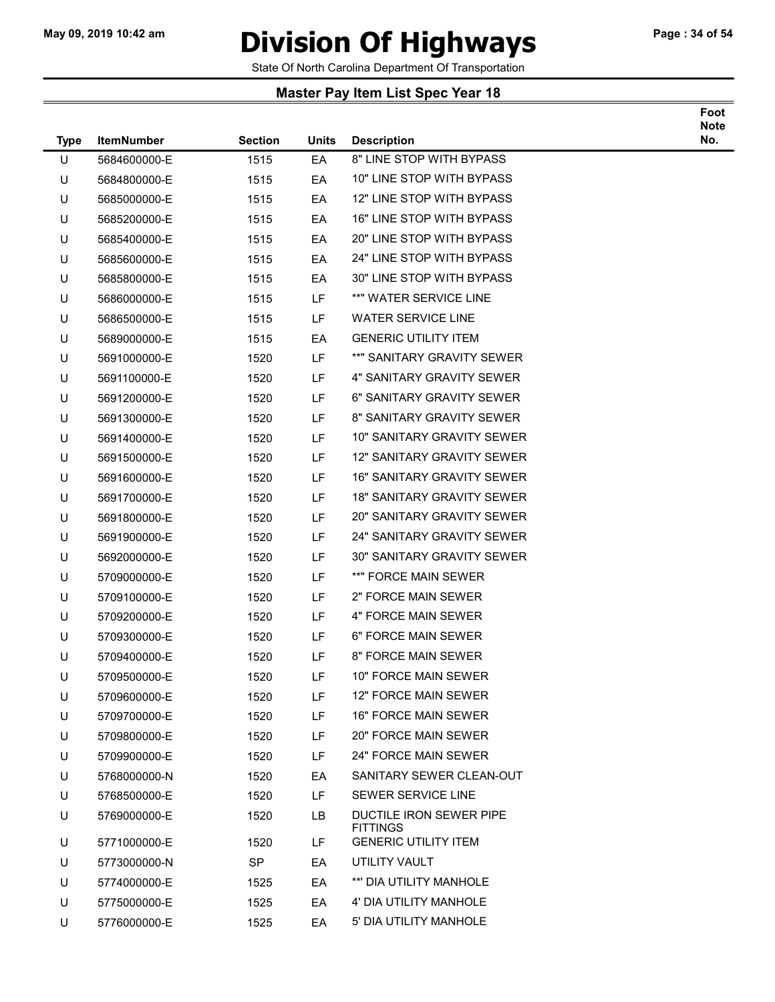### May 09, 2019 10:42 am **Division Of Highways** Page : 34 of 54

Foot

State Of North Carolina Department Of Transportation

| <b>Type</b> | <b>ItemNumber</b> | <b>Section</b> | <b>Units</b> | <b>Description</b>                         | <b>Note</b><br>No. |
|-------------|-------------------|----------------|--------------|--------------------------------------------|--------------------|
| U           | 5684600000-E      | 1515           | EA           | 8" LINE STOP WITH BYPASS                   |                    |
| U           | 5684800000-E      | 1515           | EA           | 10" LINE STOP WITH BYPASS                  |                    |
| U           | 5685000000-E      | 1515           | EA           | 12" LINE STOP WITH BYPASS                  |                    |
| U           | 5685200000-E      | 1515           | EA           | 16" LINE STOP WITH BYPASS                  |                    |
| U           | 5685400000-E      | 1515           | EA           | 20" LINE STOP WITH BYPASS                  |                    |
| U           | 5685600000-E      | 1515           | EA           | 24" LINE STOP WITH BYPASS                  |                    |
| U           | 5685800000-E      | 1515           | EA           | 30" LINE STOP WITH BYPASS                  |                    |
| U           | 5686000000-E      | 1515           | LF           | **" WATER SERVICE LINE                     |                    |
| U           | 5686500000-E      | 1515           | LF           | <b>WATER SERVICE LINE</b>                  |                    |
| U           | 5689000000-E      | 1515           | EA           | <b>GENERIC UTILITY ITEM</b>                |                    |
| U           | 5691000000-E      | 1520           | LF           | **" SANITARY GRAVITY SEWER                 |                    |
| U           | 5691100000-E      | 1520           | LF           | 4" SANITARY GRAVITY SEWER                  |                    |
| U           | 5691200000-E      | 1520           | LF           | 6" SANITARY GRAVITY SEWER                  |                    |
| U           | 5691300000-E      | 1520           | LF           | 8" SANITARY GRAVITY SEWER                  |                    |
| U           | 5691400000-E      | 1520           | LF           | <b>10" SANITARY GRAVITY SEWER</b>          |                    |
| U           | 5691500000-E      | 1520           | LF           | 12" SANITARY GRAVITY SEWER                 |                    |
| U           | 5691600000-E      | 1520           | LF           | <b>16" SANITARY GRAVITY SEWER</b>          |                    |
| U           | 5691700000-E      | 1520           | LF           | <b>18" SANITARY GRAVITY SEWER</b>          |                    |
| U           | 5691800000-E      | 1520           | LF           | <b>20" SANITARY GRAVITY SEWER</b>          |                    |
| U           | 5691900000-E      | 1520           | LF.          | 24" SANITARY GRAVITY SEWER                 |                    |
| U           | 5692000000-E      | 1520           | LF           | 30" SANITARY GRAVITY SEWER                 |                    |
| U           | 5709000000-E      | 1520           | LF           | **" FORCE MAIN SEWER                       |                    |
| U           | 5709100000-E      | 1520           | LF           | 2" FORCE MAIN SEWER                        |                    |
| U           | 5709200000-E      | 1520           | LF           | 4" FORCE MAIN SEWER                        |                    |
| U           | 5709300000-E      | 1520           | LF           | 6" FORCE MAIN SEWER                        |                    |
| U           | 5709400000-E      | 1520           | LF.          | 8" FORCE MAIN SEWER                        |                    |
| U           | 5709500000-E      | 1520           | LF           | 10" FORCE MAIN SEWER                       |                    |
| U           | 5709600000-E      | 1520           | LF.          | <b>12" FORCE MAIN SEWER</b>                |                    |
| U           | 5709700000-E      | 1520           | LF           | <b>16" FORCE MAIN SEWER</b>                |                    |
| U           | 5709800000-E      | 1520           | LF           | <b>20" FORCE MAIN SEWER</b>                |                    |
| U           | 5709900000-E      | 1520           | LF           | 24" FORCE MAIN SEWER                       |                    |
| U           | 5768000000-N      | 1520           | EA           | SANITARY SEWER CLEAN-OUT                   |                    |
| U           | 5768500000-E      | 1520           | LF           | SEWER SERVICE LINE                         |                    |
| U           | 5769000000-E      | 1520           | LB           | DUCTILE IRON SEWER PIPE<br><b>FITTINGS</b> |                    |
| U           | 5771000000-E      | 1520           | LF           | <b>GENERIC UTILITY ITEM</b>                |                    |
| U           | 5773000000-N      | SP             | EA           | UTILITY VAULT                              |                    |
| U           | 5774000000-E      | 1525           | EA           | **' DIA UTILITY MANHOLE                    |                    |
| U           | 5775000000-E      | 1525           | EA           | 4' DIA UTILITY MANHOLE                     |                    |
| U           | 5776000000-E      | 1525           | EA           | 5' DIA UTILITY MANHOLE                     |                    |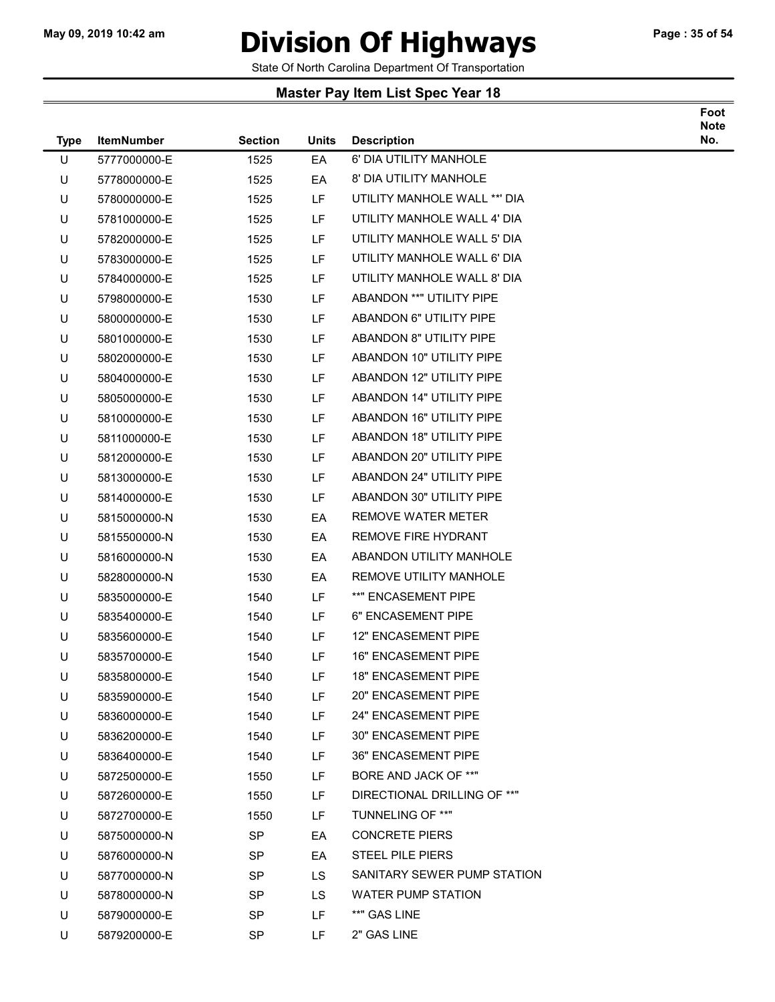### May 09, 2019 10:42 am **Division Of Highways** Page : 35 of 54

Foot

State Of North Carolina Department Of Transportation

| <b>Type</b> | <b>ItemNumber</b> | <b>Section</b> | <b>Units</b> | <b>Description</b>              | <b>Note</b><br>No. |
|-------------|-------------------|----------------|--------------|---------------------------------|--------------------|
| U           | 5777000000-E      | 1525           | EA           | 6' DIA UTILITY MANHOLE          |                    |
| U           | 5778000000-E      | 1525           | EA           | 8' DIA UTILITY MANHOLE          |                    |
| U           | 5780000000-E      | 1525           | LF.          | UTILITY MANHOLE WALL **' DIA    |                    |
| U           | 5781000000-E      | 1525           | LF           | UTILITY MANHOLE WALL 4' DIA     |                    |
| U           | 5782000000-E      | 1525           | <b>LF</b>    | UTILITY MANHOLE WALL 5' DIA     |                    |
| U           | 5783000000-E      | 1525           | <b>LF</b>    | UTILITY MANHOLE WALL 6' DIA     |                    |
| U           | 5784000000-E      | 1525           | LF           | UTILITY MANHOLE WALL 8' DIA     |                    |
| U           | 5798000000-E      | 1530           | LF           | ABANDON ** "UTILITY PIPE        |                    |
| U           | 5800000000-E      | 1530           | LF           | ABANDON 6" UTILITY PIPE         |                    |
| U           | 5801000000-E      | 1530           | LF           | <b>ABANDON 8" UTILITY PIPE</b>  |                    |
| U           | 5802000000-E      | 1530           | LF           | ABANDON 10" UTILITY PIPE        |                    |
| U           | 5804000000-E      | 1530           | LF           | ABANDON 12" UTILITY PIPE        |                    |
| U           | 5805000000-E      | 1530           | LF           | <b>ABANDON 14" UTILITY PIPE</b> |                    |
| U           | 5810000000-E      | 1530           | LF           | ABANDON 16" UTILITY PIPE        |                    |
| U           | 5811000000-E      | 1530           | LF           | <b>ABANDON 18" UTILITY PIPE</b> |                    |
| U           | 5812000000-E      | 1530           | LF           | ABANDON 20" UTILITY PIPE        |                    |
| U           | 5813000000-E      | 1530           | LF           | ABANDON 24" UTILITY PIPE        |                    |
| U           | 5814000000-E      | 1530           | LF           | ABANDON 30" UTILITY PIPE        |                    |
| U           | 5815000000-N      | 1530           | EA           | <b>REMOVE WATER METER</b>       |                    |
| U           | 5815500000-N      | 1530           | EA           | REMOVE FIRE HYDRANT             |                    |
| U           | 5816000000-N      | 1530           | EA           | ABANDON UTILITY MANHOLE         |                    |
| U           | 5828000000-N      | 1530           | EA           | REMOVE UTILITY MANHOLE          |                    |
| U           | 5835000000-E      | 1540           | LF           | **" ENCASEMENT PIPE             |                    |
| U           | 5835400000-E      | 1540           | LF           | 6" ENCASEMENT PIPE              |                    |
| U           | 5835600000-E      | 1540           | LF           | <b>12" ENCASEMENT PIPE</b>      |                    |
| U           | 5835700000-E      | 1540           | LF           | <b>16" ENCASEMENT PIPE</b>      |                    |
| U           | 5835800000-E      | 1540           | LF           | <b>18" ENCASEMENT PIPE</b>      |                    |
| U           | 5835900000-E      | 1540           | LF           | <b>20" ENCASEMENT PIPE</b>      |                    |
| U           | 5836000000-E      | 1540           | LF           | 24" ENCASEMENT PIPE             |                    |
| U           | 5836200000-E      | 1540           | LF           | 30" ENCASEMENT PIPE             |                    |
| U           | 5836400000-E      | 1540           | LF           | <b>36" ENCASEMENT PIPE</b>      |                    |
| U           | 5872500000-E      | 1550           | LF           | BORE AND JACK OF **"            |                    |
| U           | 5872600000-E      | 1550           | LF           | DIRECTIONAL DRILLING OF **"     |                    |
| U           | 5872700000-E      | 1550           | LF           | TUNNELING OF **"                |                    |
| U           | 5875000000-N      | <b>SP</b>      | EA           | <b>CONCRETE PIERS</b>           |                    |
| U           | 5876000000-N      | <b>SP</b>      | EA           | <b>STEEL PILE PIERS</b>         |                    |
| U           | 5877000000-N      | <b>SP</b>      | LS.          | SANITARY SEWER PUMP STATION     |                    |
| U           | 5878000000-N      | <b>SP</b>      | LS.          | <b>WATER PUMP STATION</b>       |                    |
| U           | 5879000000-E      | <b>SP</b>      | LF           | **" GAS LINE                    |                    |
| U           | 5879200000-E      | SP             | LF           | 2" GAS LINE                     |                    |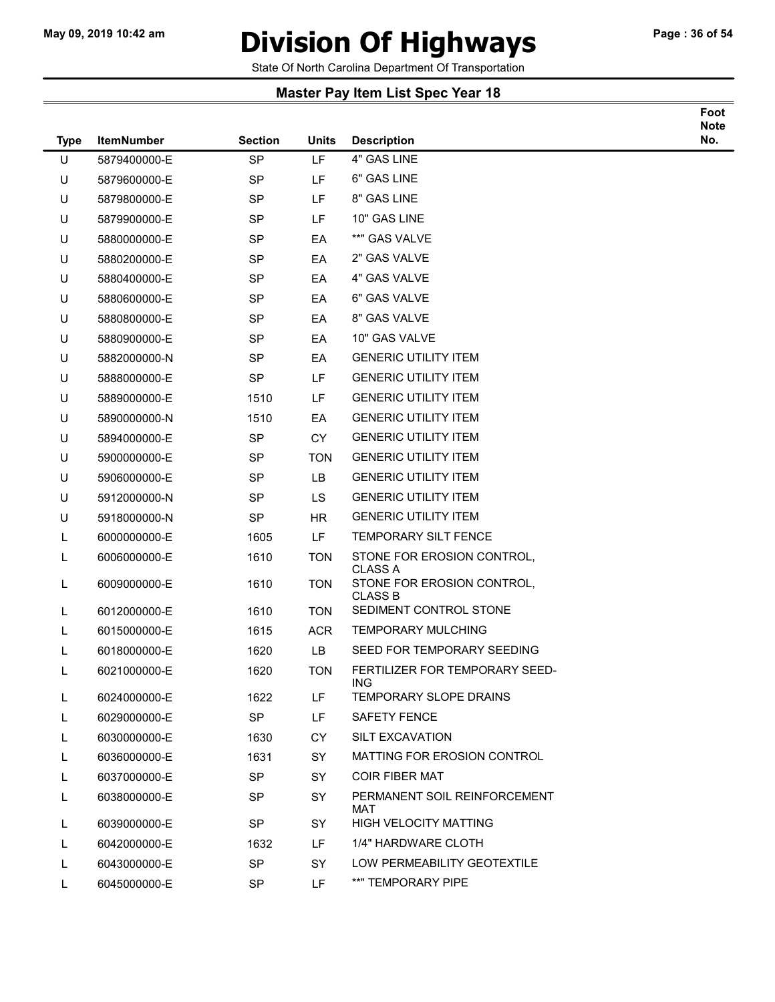### May 09, 2019 10:42 am **Division Of Highways** Page : 36 of 54

Foot

State Of North Carolina Department Of Transportation

| <b>Type</b> | <b>ItemNumber</b> | <b>Section</b> | Units      | <b>Description</b>                           | <b>Note</b><br>No. |
|-------------|-------------------|----------------|------------|----------------------------------------------|--------------------|
| U           | 5879400000-E      | <b>SP</b>      | LF         | 4" GAS LINE                                  |                    |
| U           | 5879600000-E      | <b>SP</b>      | LF         | 6" GAS LINE                                  |                    |
| U           | 5879800000-E      | <b>SP</b>      | LF         | 8" GAS LINE                                  |                    |
| U           | 5879900000-E      | <b>SP</b>      | LF         | 10" GAS LINE                                 |                    |
| U           | 5880000000-E      | <b>SP</b>      | EA         | **" GAS VALVE                                |                    |
| U           | 5880200000-E      | <b>SP</b>      | EA         | 2" GAS VALVE                                 |                    |
| U           | 5880400000-E      | <b>SP</b>      | EA         | 4" GAS VALVE                                 |                    |
| U           | 5880600000-E      | <b>SP</b>      | EA         | 6" GAS VALVE                                 |                    |
| U           | 5880800000-E      | <b>SP</b>      | EA         | 8" GAS VALVE                                 |                    |
| U           | 5880900000-E      | <b>SP</b>      | EA         | 10" GAS VALVE                                |                    |
| U           | 5882000000-N      | <b>SP</b>      | EA         | <b>GENERIC UTILITY ITEM</b>                  |                    |
| U           | 5888000000-E      | <b>SP</b>      | LF         | <b>GENERIC UTILITY ITEM</b>                  |                    |
| U           | 5889000000-E      | 1510           | LF         | <b>GENERIC UTILITY ITEM</b>                  |                    |
| U           | 5890000000-N      | 1510           | EA         | <b>GENERIC UTILITY ITEM</b>                  |                    |
| U           | 5894000000-E      | <b>SP</b>      | <b>CY</b>  | <b>GENERIC UTILITY ITEM</b>                  |                    |
| U           | 5900000000-E      | SP             | <b>TON</b> | <b>GENERIC UTILITY ITEM</b>                  |                    |
| U           | 5906000000-E      | <b>SP</b>      | <b>LB</b>  | <b>GENERIC UTILITY ITEM</b>                  |                    |
| U           | 5912000000-N      | <b>SP</b>      | <b>LS</b>  | <b>GENERIC UTILITY ITEM</b>                  |                    |
| U           | 5918000000-N      | <b>SP</b>      | <b>HR</b>  | <b>GENERIC UTILITY ITEM</b>                  |                    |
| L           | 6000000000-E      | 1605           | <b>LF</b>  | TEMPORARY SILT FENCE                         |                    |
| L           | 6006000000-E      | 1610           | <b>TON</b> | STONE FOR EROSION CONTROL,<br><b>CLASS A</b> |                    |
| L           | 6009000000-E      | 1610           | <b>TON</b> | STONE FOR EROSION CONTROL,<br><b>CLASS B</b> |                    |
| L           | 6012000000-E      | 1610           | <b>TON</b> | SEDIMENT CONTROL STONE                       |                    |
| L           | 6015000000-E      | 1615           | <b>ACR</b> | <b>TEMPORARY MULCHING</b>                    |                    |
| L           | 6018000000-E      | 1620           | LB         | SEED FOR TEMPORARY SEEDING                   |                    |
| L           | 6021000000-E      | 1620           | <b>TON</b> | FERTILIZER FOR TEMPORARY SEED-<br>ING        |                    |
| L           | 6024000000-E      | 1622           | LF         | TEMPORARY SLOPE DRAINS                       |                    |
| L           | 6029000000-E      | <b>SP</b>      | LF         | <b>SAFETY FENCE</b>                          |                    |
| L           | 6030000000-E      | 1630           | CY         | <b>SILT EXCAVATION</b>                       |                    |
| L           | 6036000000-E      | 1631           | SY         | MATTING FOR EROSION CONTROL                  |                    |
| L           | 6037000000-E      | <b>SP</b>      | <b>SY</b>  | <b>COIR FIBER MAT</b>                        |                    |
| L           | 6038000000-E      | <b>SP</b>      | SY         | PERMANENT SOIL REINFORCEMENT<br>MAT          |                    |
| L           | 6039000000-E      | SP             | SY         | <b>HIGH VELOCITY MATTING</b>                 |                    |
| L           | 6042000000-E      | 1632           | LF.        | 1/4" HARDWARE CLOTH                          |                    |
| L           | 6043000000-E      | SP             | SY         | LOW PERMEABILITY GEOTEXTILE                  |                    |
| L           | 6045000000-E      | <b>SP</b>      | LF.        | **" TEMPORARY PIPE                           |                    |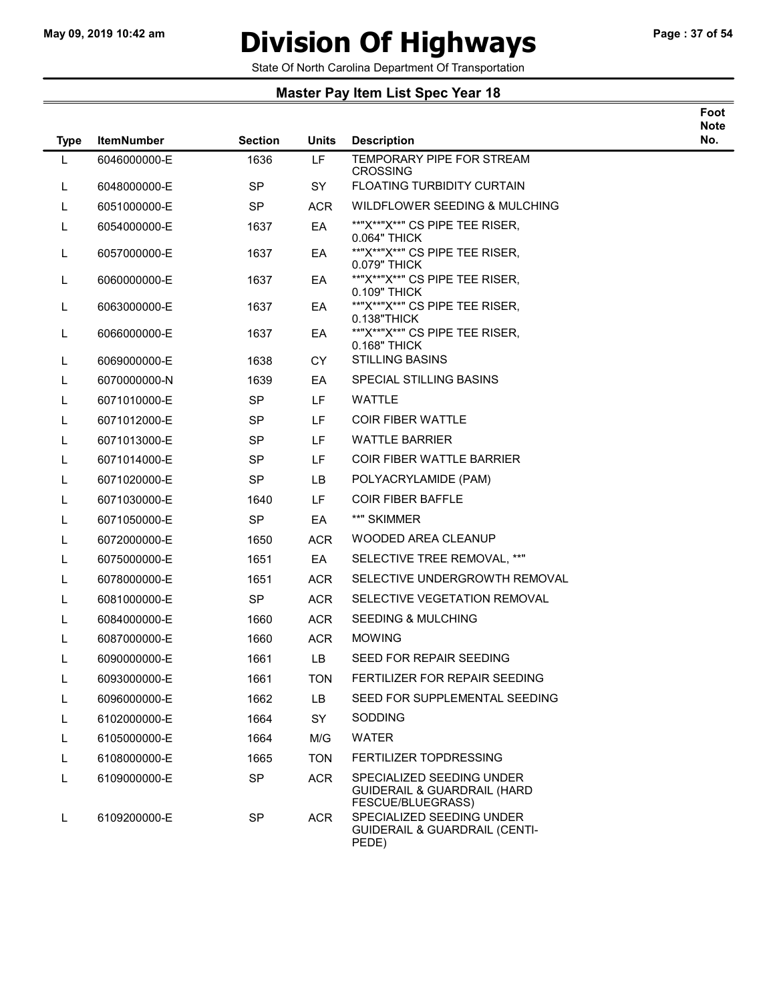### May 09, 2019 10:42 am **Division Of Highways** Page : 37 of 54

Foot

State Of North Carolina Department Of Transportation

| <b>Type</b> | <b>ItemNumber</b> | <b>Section</b> | <b>Units</b> | <b>Description</b>                                                                       | Note<br>No. |
|-------------|-------------------|----------------|--------------|------------------------------------------------------------------------------------------|-------------|
| L           | 6046000000-E      | 1636           | LF           | TEMPORARY PIPE FOR STREAM<br><b>CROSSING</b>                                             |             |
| L           | 6048000000-E      | <b>SP</b>      | <b>SY</b>    | <b>FLOATING TURBIDITY CURTAIN</b>                                                        |             |
| L           | 6051000000-E      | <b>SP</b>      | <b>ACR</b>   | WILDFLOWER SEEDING & MULCHING                                                            |             |
| L           | 6054000000-E      | 1637           | EA           | **"X**"X**" CS PIPE TEE RISER,<br>0.064" THICK                                           |             |
| L           | 6057000000-E      | 1637           | EA           | **"X**"X**" CS PIPE TEE RISER,<br>0.079" THICK                                           |             |
| L           | 6060000000-E      | 1637           | EA           | **"X**"X**" CS PIPE TEE RISER,<br>0.109" THICK                                           |             |
| L           | 6063000000-E      | 1637           | EA           | **"X**"X**" CS PIPE TEE RISER,<br>0.138"THICK                                            |             |
| L           | 6066000000-E      | 1637           | EA           | **"X**"X**" CS PIPE TEE RISER,<br>0.168" THICK                                           |             |
| L           | 6069000000-E      | 1638           | CY.          | <b>STILLING BASINS</b>                                                                   |             |
| L           | 6070000000-N      | 1639           | EA           | SPECIAL STILLING BASINS                                                                  |             |
| L           | 6071010000-E      | <b>SP</b>      | LF           | <b>WATTLE</b>                                                                            |             |
| L           | 6071012000-E      | <b>SP</b>      | <b>LF</b>    | <b>COIR FIBER WATTLE</b>                                                                 |             |
| L           | 6071013000-E      | SP             | LF           | <b>WATTLE BARRIER</b>                                                                    |             |
| L           | 6071014000-E      | <b>SP</b>      | <b>LF</b>    | <b>COIR FIBER WATTLE BARRIER</b>                                                         |             |
| L           | 6071020000-E      | <b>SP</b>      | LB.          | POLYACRYLAMIDE (PAM)                                                                     |             |
| L           | 6071030000-E      | 1640           | LF           | <b>COIR FIBER BAFFLE</b>                                                                 |             |
| L           | 6071050000-E      | <b>SP</b>      | EA           | **" SKIMMER                                                                              |             |
| L           | 6072000000-E      | 1650           | <b>ACR</b>   | <b>WOODED AREA CLEANUP</b>                                                               |             |
| L           | 6075000000-E      | 1651           | EA           | SELECTIVE TREE REMOVAL, **"                                                              |             |
| L           | 6078000000-E      | 1651           | <b>ACR</b>   | SELECTIVE UNDERGROWTH REMOVAL                                                            |             |
| L           | 6081000000-E      | <b>SP</b>      | <b>ACR</b>   | SELECTIVE VEGETATION REMOVAL                                                             |             |
| L           | 6084000000-E      | 1660           | <b>ACR</b>   | <b>SEEDING &amp; MULCHING</b>                                                            |             |
| L           | 6087000000-E      | 1660           | <b>ACR</b>   | <b>MOWING</b>                                                                            |             |
| L           | 6090000000-E      | 1661           | LB           | SEED FOR REPAIR SEEDING                                                                  |             |
| L           | 6093000000-E      | 1661           | <b>TON</b>   | FERTILIZER FOR REPAIR SEEDING                                                            |             |
| L           | 6096000000-E      | 1662           | LB           | SEED FOR SUPPLEMENTAL SEEDING                                                            |             |
|             | 6102000000-E      | 1664           | <b>SY</b>    | <b>SODDING</b>                                                                           |             |
|             | 6105000000-E      | 1664           | M/G          | <b>WATER</b>                                                                             |             |
| L           | 6108000000-E      | 1665           | <b>TON</b>   | <b>FERTILIZER TOPDRESSING</b>                                                            |             |
| L           | 6109000000-E      | <b>SP</b>      | <b>ACR</b>   | SPECIALIZED SEEDING UNDER<br><b>GUIDERAIL &amp; GUARDRAIL (HARD</b><br>FESCUE/BLUEGRASS) |             |
| L           | 6109200000-E      | SP             | ACR          | SPECIALIZED SEEDING UNDER<br><b>GUIDERAIL &amp; GUARDRAIL (CENTI-</b><br>PEDE)           |             |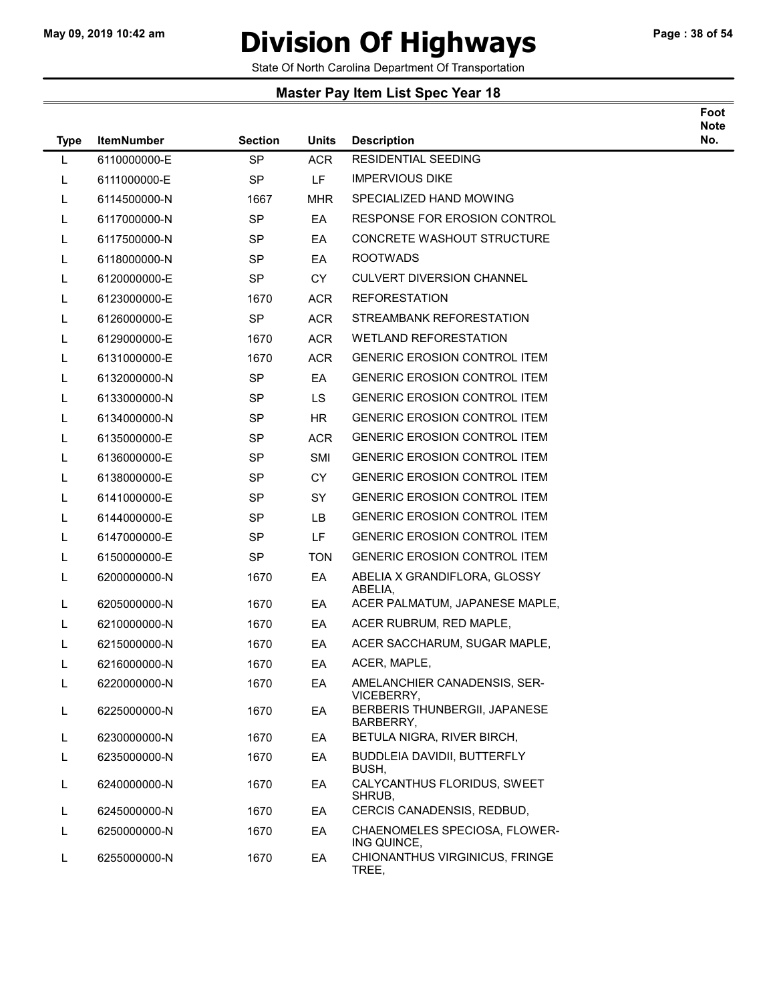### May 09, 2019 10:42 am **Division Of Highways** Page : 38 of 54

Foot

State Of North Carolina Department Of Transportation

| <b>Type</b> | <b>ItemNumber</b> | <b>Section</b> | <b>Units</b> | <b>Description</b>                           | <b>Note</b><br>No. |
|-------------|-------------------|----------------|--------------|----------------------------------------------|--------------------|
| L           | 6110000000-E      | <b>SP</b>      | <b>ACR</b>   | <b>RESIDENTIAL SEEDING</b>                   |                    |
| L           | 6111000000-E      | <b>SP</b>      | LF           | <b>IMPERVIOUS DIKE</b>                       |                    |
| L           | 6114500000-N      | 1667           | MHR          | SPECIALIZED HAND MOWING                      |                    |
| L           | 6117000000-N      | <b>SP</b>      | EA           | RESPONSE FOR EROSION CONTROL                 |                    |
| L           | 6117500000-N      | SP.            | EA           | <b>CONCRETE WASHOUT STRUCTURE</b>            |                    |
| L           | 6118000000-N      | <b>SP</b>      | EA           | <b>ROOTWADS</b>                              |                    |
| L           | 6120000000-E      | SP.            | <b>CY</b>    | <b>CULVERT DIVERSION CHANNEL</b>             |                    |
| L           | 6123000000-E      | 1670           | <b>ACR</b>   | <b>REFORESTATION</b>                         |                    |
| L           | 6126000000-E      | <b>SP</b>      | <b>ACR</b>   | STREAMBANK REFORESTATION                     |                    |
| L           | 6129000000-E      | 1670           | <b>ACR</b>   | <b>WETLAND REFORESTATION</b>                 |                    |
| L           | 6131000000-E      | 1670           | <b>ACR</b>   | <b>GENERIC EROSION CONTROL ITEM</b>          |                    |
| L           | 6132000000-N      | <b>SP</b>      | EA           | <b>GENERIC EROSION CONTROL ITEM</b>          |                    |
| L           | 6133000000-N      | SP.            | LS.          | <b>GENERIC EROSION CONTROL ITEM</b>          |                    |
| L           | 6134000000-N      | <b>SP</b>      | HR           | <b>GENERIC EROSION CONTROL ITEM</b>          |                    |
| L           | 6135000000-E      | SP             | <b>ACR</b>   | <b>GENERIC EROSION CONTROL ITEM</b>          |                    |
| L           | 6136000000-E      | <b>SP</b>      | <b>SMI</b>   | <b>GENERIC EROSION CONTROL ITEM</b>          |                    |
| L           | 6138000000-E      | SP             | <b>CY</b>    | <b>GENERIC EROSION CONTROL ITEM</b>          |                    |
| L           | 6141000000-E      | <b>SP</b>      | <b>SY</b>    | <b>GENERIC EROSION CONTROL ITEM</b>          |                    |
| L           | 6144000000-E      | <b>SP</b>      | LB.          | <b>GENERIC EROSION CONTROL ITEM</b>          |                    |
| L           | 6147000000-E      | <b>SP</b>      | LF.          | <b>GENERIC EROSION CONTROL ITEM</b>          |                    |
| L           | 6150000000-E      | <b>SP</b>      | TON          | <b>GENERIC EROSION CONTROL ITEM</b>          |                    |
| L           | 6200000000-N      | 1670           | EA           | ABELIA X GRANDIFLORA, GLOSSY<br>ABELIA,      |                    |
| L           | 6205000000-N      | 1670           | EA           | ACER PALMATUM, JAPANESE MAPLE,               |                    |
| L           | 6210000000-N      | 1670           | EA           | ACER RUBRUM, RED MAPLE,                      |                    |
| L           | 6215000000-N      | 1670           | EA           | ACER SACCHARUM, SUGAR MAPLE,                 |                    |
| L           | 6216000000-N      | 1670           | EA           | ACER, MAPLE,                                 |                    |
|             | 6220000000-N      | 1670           | EA           | AMELANCHIER CANADENSIS, SER-<br>VICEBERRY,   |                    |
| L           | 6225000000-N      | 1670           | EA           | BERBERIS THUNBERGII, JAPANESE<br>BARBERRY,   |                    |
| L.          | 6230000000-N      | 1670           | EA           | BETULA NIGRA, RIVER BIRCH,                   |                    |
| L           | 6235000000-N      | 1670           | EA           | <b>BUDDLEIA DAVIDII, BUTTERFLY</b><br>BUSH,  |                    |
| L.          | 6240000000-N      | 1670           | EA           | CALYCANTHUS FLORIDUS, SWEET<br>SHRUB,        |                    |
| L           | 6245000000-N      | 1670           | EA           | CERCIS CANADENSIS, REDBUD,                   |                    |
| L           | 6250000000-N      | 1670           | EA           | CHAENOMELES SPECIOSA, FLOWER-<br>ING QUINCE, |                    |
| L           | 6255000000-N      | 1670           | EA           | CHIONANTHUS VIRGINICUS, FRINGE<br>TREE,      |                    |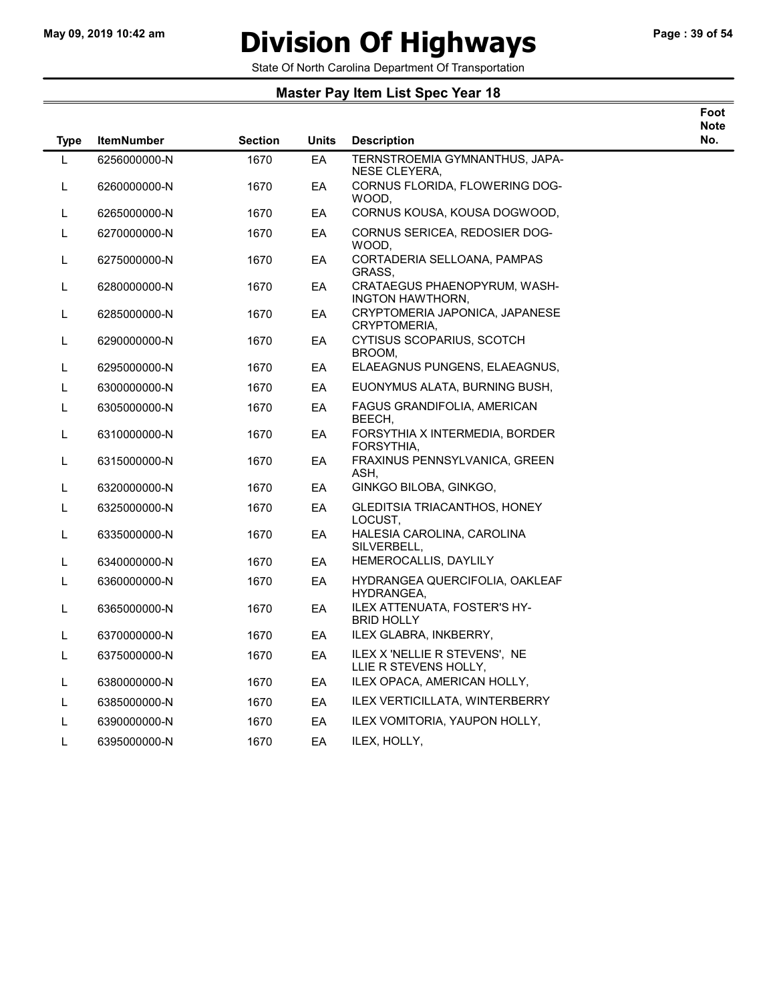# May 09, 2019 10:42 am **Division Of Highways** Page : 39 of 54

Foot

State Of North Carolina Department Of Transportation

| <b>Type</b> | <b>ItemNumber</b> | <b>Section</b> | Units | <b>Description</b>                                     | <b>Note</b><br>No. |
|-------------|-------------------|----------------|-------|--------------------------------------------------------|--------------------|
| L           | 6256000000-N      | 1670           | EA    | TERNSTROEMIA GYMNANTHUS, JAPA-<br>NESE CLEYERA,        |                    |
| L           | 6260000000-N      | 1670           | EA    | CORNUS FLORIDA, FLOWERING DOG-<br>WOOD.                |                    |
| L           | 6265000000-N      | 1670           | EA    | CORNUS KOUSA, KOUSA DOGWOOD,                           |                    |
| L           | 6270000000-N      | 1670           | EA    | CORNUS SERICEA, REDOSIER DOG-<br>WOOD,                 |                    |
| L           | 6275000000-N      | 1670           | EA    | CORTADERIA SELLOANA, PAMPAS<br>GRASS,                  |                    |
| L           | 6280000000-N      | 1670           | EA    | CRATAEGUS PHAENOPYRUM, WASH-<br>INGTON HAWTHORN,       |                    |
| L           | 6285000000-N      | 1670           | EA    | CRYPTOMERIA JAPONICA, JAPANESE<br>CRYPTOMERIA,         |                    |
| L           | 6290000000-N      | 1670           | EA    | CYTISUS SCOPARIUS, SCOTCH<br>BROOM,                    |                    |
| L           | 6295000000-N      | 1670           | EA    | ELAEAGNUS PUNGENS, ELAEAGNUS,                          |                    |
| L           | 6300000000-N      | 1670           | EA    | EUONYMUS ALATA, BURNING BUSH,                          |                    |
| L           | 6305000000-N      | 1670           | EA    | FAGUS GRANDIFOLIA, AMERICAN<br>BEECH,                  |                    |
| L           | 6310000000-N      | 1670           | EA    | FORSYTHIA X INTERMEDIA, BORDER<br>FORSYTHIA.           |                    |
| L           | 6315000000-N      | 1670           | EA    | FRAXINUS PENNSYLVANICA, GREEN<br>ASH,                  |                    |
| L           | 6320000000-N      | 1670           | EA    | GINKGO BILOBA, GINKGO,                                 |                    |
| L           | 6325000000-N      | 1670           | EA    | GLEDITSIA TRIACANTHOS, HONEY<br>LOCUST,                |                    |
| L           | 6335000000-N      | 1670           | EA    | HALESIA CAROLINA, CAROLINA<br>SILVERBELL,              |                    |
| L           | 6340000000-N      | 1670           | EA.   | HEMEROCALLIS, DAYLILY                                  |                    |
| L           | 6360000000-N      | 1670           | EA    | HYDRANGEA QUERCIFOLIA, OAKLEAF<br>HYDRANGEA.           |                    |
| L           | 6365000000-N      | 1670           | EA    | ILEX ATTENUATA, FOSTER'S HY-<br><b>BRID HOLLY</b>      |                    |
| L           | 6370000000-N      | 1670           | EA    | ILEX GLABRA, INKBERRY,                                 |                    |
| L           | 6375000000-N      | 1670           | EA    | ILEX X 'NELLIE R STEVENS', NE<br>LLIE R STEVENS HOLLY, |                    |
| L           | 6380000000-N      | 1670           | EA    | ILEX OPACA, AMERICAN HOLLY,                            |                    |
| L           | 6385000000-N      | 1670           | EA    | <b>ILEX VERTICILLATA, WINTERBERRY</b>                  |                    |
| L           | 6390000000-N      | 1670           | EA    | ILEX VOMITORIA, YAUPON HOLLY,                          |                    |
| L           | 6395000000-N      | 1670           | EA    | ILEX, HOLLY,                                           |                    |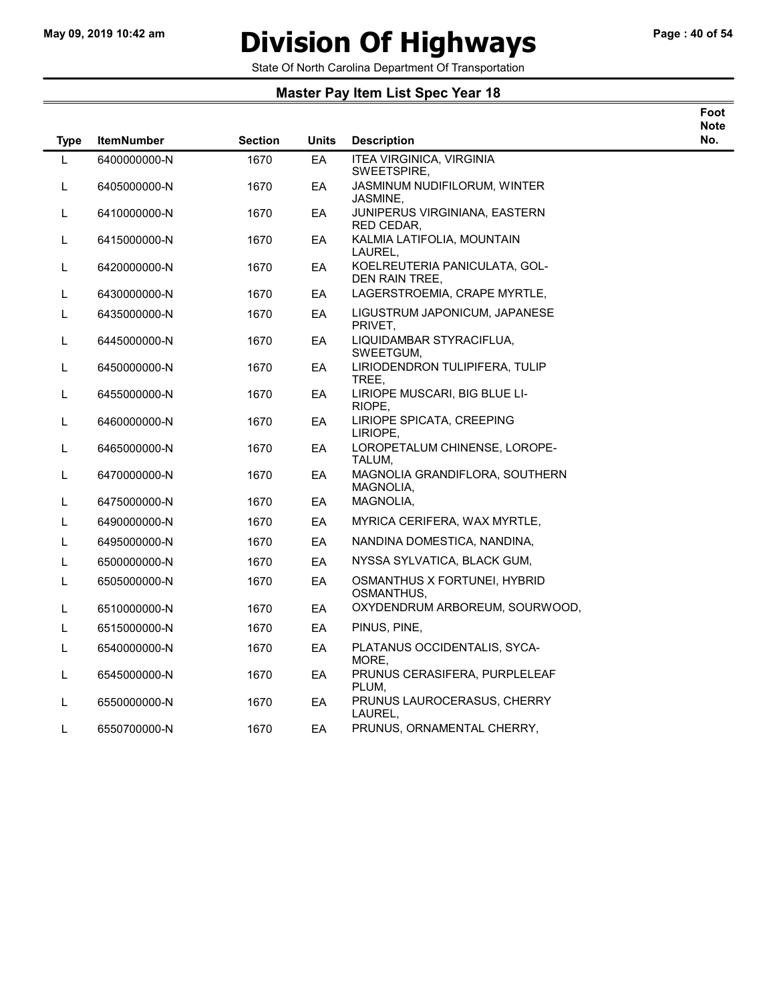$\overline{\phantom{0}}$ 

### May 09, 2019 10:42 am **Division Of Highways** Page : 40 of 54

State Of North Carolina Department Of Transportation

| Foot |
|------|
| Note |
| No.  |

| <b>Type</b> | <b>ItemNumber</b> | <b>Section</b> | <b>Units</b> | <b>Description</b>                              | <b>N</b> |
|-------------|-------------------|----------------|--------------|-------------------------------------------------|----------|
| L           | 6400000000-N      | 1670           | EA           | <b>ITEA VIRGINICA, VIRGINIA</b><br>SWEETSPIRE,  |          |
| L           | 6405000000-N      | 1670           | EA           | JASMINUM NUDIFILORUM, WINTER<br>JASMINE,        |          |
| L           | 6410000000-N      | 1670           | EA           | JUNIPERUS VIRGINIANA, EASTERN<br>RED CEDAR.     |          |
| L           | 6415000000-N      | 1670           | EA           | KALMIA LATIFOLIA, MOUNTAIN<br>LAUREL,           |          |
| L           | 6420000000-N      | 1670           | EA           | KOELREUTERIA PANICULATA, GOL-<br>DEN RAIN TREE, |          |
| L           | 6430000000-N      | 1670           | EA           | LAGERSTROEMIA, CRAPE MYRTLE,                    |          |
| L           | 6435000000-N      | 1670           | EA           | LIGUSTRUM JAPONICUM, JAPANESE<br>PRIVET,        |          |
| L           | 6445000000-N      | 1670           | EA           | LIQUIDAMBAR STYRACIFLUA,<br>SWEETGUM,           |          |
| L           | 6450000000-N      | 1670           | EA           | LIRIODENDRON TULIPIFERA, TULIP<br>TREE,         |          |
| L           | 6455000000-N      | 1670           | EA           | LIRIOPE MUSCARI, BIG BLUE LI-<br>RIOPE.         |          |
| L           | 6460000000-N      | 1670           | EA           | LIRIOPE SPICATA, CREEPING<br>LIRIOPE,           |          |
| L           | 6465000000-N      | 1670           | EA           | LOROPETALUM CHINENSE, LOROPE-<br>TALUM,         |          |
| L           | 6470000000-N      | 1670           | EA           | MAGNOLIA GRANDIFLORA, SOUTHERN<br>MAGNOLIA,     |          |
| L           | 6475000000-N      | 1670           | EA           | MAGNOLIA,                                       |          |
| L           | 6490000000-N      | 1670           | EA           | MYRICA CERIFERA, WAX MYRTLE,                    |          |
| L           | 6495000000-N      | 1670           | EA           | NANDINA DOMESTICA, NANDINA,                     |          |
| L           | 6500000000-N      | 1670           | EA           | NYSSA SYLVATICA, BLACK GUM,                     |          |
| L           | 6505000000-N      | 1670           | EA           | OSMANTHUS X FORTUNEI, HYBRID<br>OSMANTHUS,      |          |
| L           | 6510000000-N      | 1670           | EA           | OXYDENDRUM ARBOREUM, SOURWOOD,                  |          |
| L           | 6515000000-N      | 1670           | EA           | PINUS, PINE,                                    |          |
| L           | 6540000000-N      | 1670           | EA           | PLATANUS OCCIDENTALIS, SYCA-<br>MORE.           |          |
| L           | 6545000000-N      | 1670           | EA           | PRUNUS CERASIFERA, PURPLELEAF<br>PLUM,          |          |
| L           | 6550000000-N      | 1670           | EA           | PRUNUS LAUROCERASUS, CHERRY<br>LAUREL,          |          |
| L           | 6550700000-N      | 1670           | EA           | PRUNUS, ORNAMENTAL CHERRY,                      |          |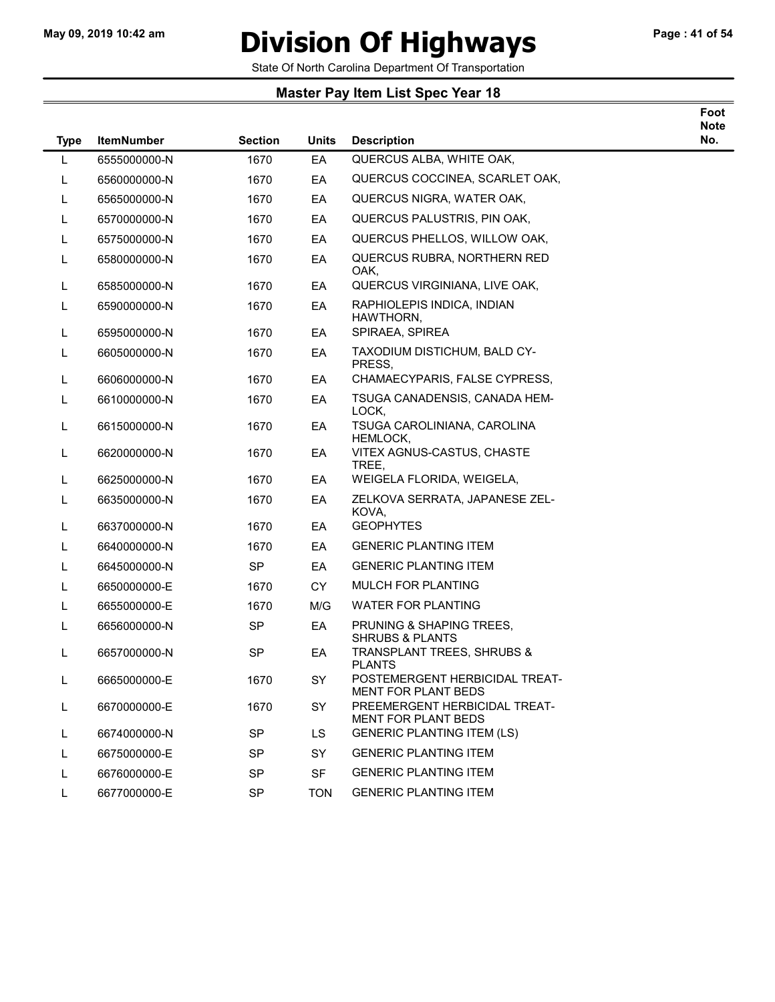# May 09, 2019 10:42 am **Division Of Highways** Page : 41 of 54

Foot

State Of North Carolina Department Of Transportation

| <b>Type</b> | <b>ItemNumber</b> | <b>Section</b> | <b>Units</b> | <b>Description</b>                                           | <b>Note</b><br>No. |
|-------------|-------------------|----------------|--------------|--------------------------------------------------------------|--------------------|
| L           | 6555000000-N      | 1670           | EA           | QUERCUS ALBA, WHITE OAK,                                     |                    |
| L           | 6560000000-N      | 1670           | EA           | QUERCUS COCCINEA, SCARLET OAK,                               |                    |
| L           | 6565000000-N      | 1670           | EA           | QUERCUS NIGRA, WATER OAK,                                    |                    |
| L           | 6570000000-N      | 1670           | EA           | QUERCUS PALUSTRIS, PIN OAK,                                  |                    |
| L           | 6575000000-N      | 1670           | EA           | QUERCUS PHELLOS, WILLOW OAK,                                 |                    |
| L.          | 6580000000-N      | 1670           | EA           | QUERCUS RUBRA, NORTHERN RED<br>OAK.                          |                    |
| L           | 6585000000-N      | 1670           | EA           | QUERCUS VIRGINIANA, LIVE OAK,                                |                    |
| L           | 6590000000-N      | 1670           | EA           | RAPHIOLEPIS INDICA, INDIAN<br>HAWTHORN,                      |                    |
| L           | 6595000000-N      | 1670           | EA           | SPIRAEA, SPIREA                                              |                    |
| L           | 6605000000-N      | 1670           | EA           | TAXODIUM DISTICHUM, BALD CY-<br>PRESS,                       |                    |
| L.          | 6606000000-N      | 1670           | EA           | CHAMAECYPARIS, FALSE CYPRESS,                                |                    |
| L           | 6610000000-N      | 1670           | EA           | TSUGA CANADENSIS, CANADA HEM-<br>LOCK,                       |                    |
| L.          | 6615000000-N      | 1670           | EA           | TSUGA CAROLINIANA, CAROLINA<br><b>HEMLOCK,</b>               |                    |
| L           | 6620000000-N      | 1670           | EA           | VITEX AGNUS-CASTUS, CHASTE<br>TREE,                          |                    |
| L           | 6625000000-N      | 1670           | EA           | WEIGELA FLORIDA, WEIGELA,                                    |                    |
| L           | 6635000000-N      | 1670           | EA           | ZELKOVA SERRATA, JAPANESE ZEL-<br>KOVA,                      |                    |
| L.          | 6637000000-N      | 1670           | EA           | <b>GEOPHYTES</b>                                             |                    |
| L.          | 6640000000-N      | 1670           | EA           | <b>GENERIC PLANTING ITEM</b>                                 |                    |
| L           | 6645000000-N      | <b>SP</b>      | EA           | <b>GENERIC PLANTING ITEM</b>                                 |                    |
| L           | 6650000000-E      | 1670           | <b>CY</b>    | MULCH FOR PLANTING                                           |                    |
| L.          | 6655000000-E      | 1670           | M/G          | <b>WATER FOR PLANTING</b>                                    |                    |
| L           | 6656000000-N      | <b>SP</b>      | EA           | PRUNING & SHAPING TREES.<br><b>SHRUBS &amp; PLANTS</b>       |                    |
| L.          | 6657000000-N      | SP             | EA           | <b>TRANSPLANT TREES, SHRUBS &amp;</b><br><b>PLANTS</b>       |                    |
| L           | 6665000000-E      | 1670           | <b>SY</b>    | POSTEMERGENT HERBICIDAL TREAT-<br><b>MENT FOR PLANT BEDS</b> |                    |
| L           | 6670000000-E      | 1670           | SY           | PREEMERGENT HERBICIDAL TREAT-<br><b>MENT FOR PLANT BEDS</b>  |                    |
| L.          | 6674000000-N      | <b>SP</b>      | LS.          | <b>GENERIC PLANTING ITEM (LS)</b>                            |                    |
| L           | 6675000000-E      | <b>SP</b>      | SY           | <b>GENERIC PLANTING ITEM</b>                                 |                    |
| L           | 6676000000-E      | <b>SP</b>      | <b>SF</b>    | <b>GENERIC PLANTING ITEM</b>                                 |                    |
| L.          | 6677000000-E      | <b>SP</b>      | <b>TON</b>   | <b>GENERIC PLANTING ITEM</b>                                 |                    |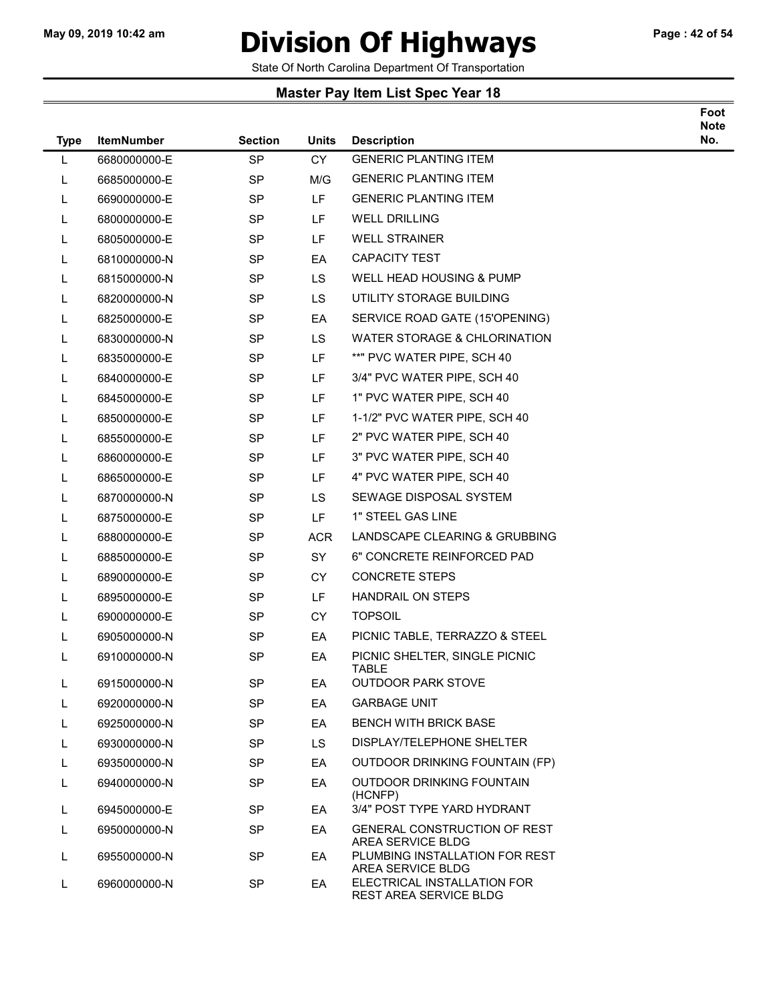### May 09, 2019 10:42 am **Division Of Highways** Page : 42 of 54

Foot

State Of North Carolina Department Of Transportation

| <b>Type</b> | <b>ItemNumber</b> | <b>Section</b> | <b>Units</b> | <b>Description</b>                                       | <b>Note</b><br>No. |
|-------------|-------------------|----------------|--------------|----------------------------------------------------------|--------------------|
| L           | 6680000000-E      | <b>SP</b>      | CY           | <b>GENERIC PLANTING ITEM</b>                             |                    |
| L           | 6685000000-E      | SP             | M/G          | <b>GENERIC PLANTING ITEM</b>                             |                    |
| L           | 6690000000-E      | <b>SP</b>      | LF           | <b>GENERIC PLANTING ITEM</b>                             |                    |
| L           | 6800000000-E      | SP             | LF           | <b>WELL DRILLING</b>                                     |                    |
| L           | 6805000000-E      | <b>SP</b>      | LF           | <b>WELL STRAINER</b>                                     |                    |
| L           | 6810000000-N      | SP             | EA           | <b>CAPACITY TEST</b>                                     |                    |
| L.          | 6815000000-N      | <b>SP</b>      | LS.          | <b>WELL HEAD HOUSING &amp; PUMP</b>                      |                    |
| L           | 6820000000-N      | SP             | LS.          | UTILITY STORAGE BUILDING                                 |                    |
| L           | 6825000000-E      | SP             | EA           | SERVICE ROAD GATE (15'OPENING)                           |                    |
| L           | 6830000000-N      | <b>SP</b>      | LS.          | WATER STORAGE & CHLORINATION                             |                    |
| L           | 6835000000-E      | <b>SP</b>      | LF           | **" PVC WATER PIPE, SCH 40                               |                    |
| L           | 6840000000-E      | SP             | LF           | 3/4" PVC WATER PIPE, SCH 40                              |                    |
| L           | 6845000000-E      | SP             | LF           | 1" PVC WATER PIPE, SCH 40                                |                    |
| L           | 6850000000-E      | SP             | LF           | 1-1/2" PVC WATER PIPE, SCH 40                            |                    |
| L           | 6855000000-E      | <b>SP</b>      | LF           | 2" PVC WATER PIPE, SCH 40                                |                    |
| L           | 6860000000-E      | <b>SP</b>      | LF           | 3" PVC WATER PIPE, SCH 40                                |                    |
| L           | 6865000000-E      | <b>SP</b>      | LF           | 4" PVC WATER PIPE, SCH 40                                |                    |
| L           | 6870000000-N      | <b>SP</b>      | LS.          | SEWAGE DISPOSAL SYSTEM                                   |                    |
| L           | 6875000000-E      | <b>SP</b>      | LF.          | 1" STEEL GAS LINE                                        |                    |
| L           | 6880000000-E      | <b>SP</b>      | <b>ACR</b>   | LANDSCAPE CLEARING & GRUBBING                            |                    |
| L           | 6885000000-E      | <b>SP</b>      | SY           | 6" CONCRETE REINFORCED PAD                               |                    |
| L           | 6890000000-E      | SP             | <b>CY</b>    | <b>CONCRETE STEPS</b>                                    |                    |
| L           | 6895000000-E      | <b>SP</b>      | LF           | HANDRAIL ON STEPS                                        |                    |
| L           | 6900000000-E      | <b>SP</b>      | <b>CY</b>    | <b>TOPSOIL</b>                                           |                    |
| L           | 6905000000-N      | SP             | EA           | PICNIC TABLE, TERRAZZO & STEEL                           |                    |
| L           | 6910000000-N      | <b>SP</b>      | EA           | PICNIC SHELTER, SINGLE PICNIC<br><b>TABLE</b>            |                    |
| L           | 6915000000-N      | SP             | ЕA           | <b>OUTDOOR PARK STOVE</b>                                |                    |
| L           | 6920000000-N      | <b>SP</b>      | EA           | <b>GARBAGE UNIT</b>                                      |                    |
| L           | 6925000000-N      | SP             | EA           | <b>BENCH WITH BRICK BASE</b>                             |                    |
| L           | 6930000000-N      | <b>SP</b>      | LS.          | DISPLAY/TELEPHONE SHELTER                                |                    |
| L           | 6935000000-N      | <b>SP</b>      | EA           | OUTDOOR DRINKING FOUNTAIN (FP)                           |                    |
| L           | 6940000000-N      | <b>SP</b>      | EA           | OUTDOOR DRINKING FOUNTAIN<br>(HCNFP)                     |                    |
| L           | 6945000000-E      | <b>SP</b>      | EA           | 3/4" POST TYPE YARD HYDRANT                              |                    |
| L           | 6950000000-N      | <b>SP</b>      | EA           | <b>GENERAL CONSTRUCTION OF REST</b><br>AREA SERVICE BLDG |                    |
| L           | 6955000000-N      | <b>SP</b>      | EA           | PLUMBING INSTALLATION FOR REST<br>AREA SERVICE BLDG      |                    |
| L           | 6960000000-N      | SP             | EA           | ELECTRICAL INSTALLATION FOR<br>REST AREA SERVICE BLDG    |                    |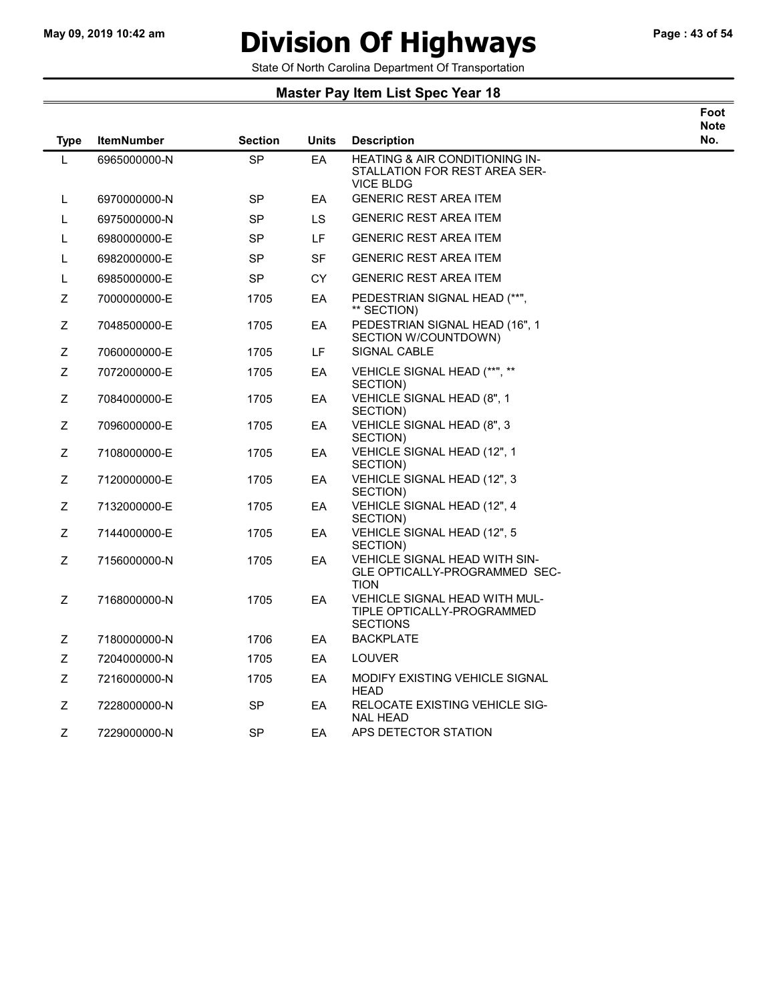# May 09, 2019 10:42 am **Division Of Highways** Page : 43 of 54

Foot

State Of North Carolina Department Of Transportation

| <b>Type</b> | <b>ItemNumber</b> | <b>Section</b> | <b>Units</b> | <b>Description</b>                                                                  | <b>Note</b><br>No. |
|-------------|-------------------|----------------|--------------|-------------------------------------------------------------------------------------|--------------------|
| L           | 6965000000-N      | <b>SP</b>      | EA           | HEATING & AIR CONDITIONING IN-<br>STALLATION FOR REST AREA SER-<br><b>VICE BLDG</b> |                    |
| L           | 6970000000-N      | <b>SP</b>      | EA           | <b>GENERIC REST AREA ITEM</b>                                                       |                    |
| L           | 6975000000-N      | SP             | LS.          | <b>GENERIC REST AREA ITEM</b>                                                       |                    |
| L           | 6980000000-E      | <b>SP</b>      | LF           | <b>GENERIC REST AREA ITEM</b>                                                       |                    |
| L           | 6982000000-E      | <b>SP</b>      | <b>SF</b>    | <b>GENERIC REST AREA ITEM</b>                                                       |                    |
| L           | 6985000000-E      | <b>SP</b>      | CY           | <b>GENERIC REST AREA ITEM</b>                                                       |                    |
| Z           | 7000000000-E      | 1705           | EA           | PEDESTRIAN SIGNAL HEAD (**",<br>** SECTION)                                         |                    |
| Z           | 7048500000-E      | 1705           | EА           | PEDESTRIAN SIGNAL HEAD (16", 1<br>SECTION W/COUNTDOWN)                              |                    |
| Z           | 7060000000-E      | 1705           | LF.          | SIGNAL CABLE                                                                        |                    |
| Z           | 7072000000-E      | 1705           | EA           | VEHICLE SIGNAL HEAD (**", **<br>SECTION)                                            |                    |
| Z           | 7084000000-E      | 1705           | EA           | VEHICLE SIGNAL HEAD (8", 1<br>SECTION)                                              |                    |
| Z           | 7096000000-E      | 1705           | EA           | VEHICLE SIGNAL HEAD (8", 3<br>SECTION)                                              |                    |
| Ζ           | 7108000000-E      | 1705           | EА           | VEHICLE SIGNAL HEAD (12", 1<br>SECTION)                                             |                    |
| Z           | 7120000000-E      | 1705           | EA           | VEHICLE SIGNAL HEAD (12", 3<br>SECTION)                                             |                    |
| Ζ           | 7132000000-E      | 1705           | EA           | VEHICLE SIGNAL HEAD (12", 4<br>SECTION)                                             |                    |
| Z           | 7144000000-E      | 1705           | EA           | VEHICLE SIGNAL HEAD (12", 5<br>SECTION)                                             |                    |
| Ζ           | 7156000000-N      | 1705           | EA           | VEHICLE SIGNAL HEAD WITH SIN-<br>GLE OPTICALLY-PROGRAMMED SEC-<br><b>TION</b>       |                    |
| Ζ           | 7168000000-N      | 1705           | EA           | VEHICLE SIGNAL HEAD WITH MUL-<br>TIPLE OPTICALLY-PROGRAMMED<br><b>SECTIONS</b>      |                    |
| Z           | 7180000000-N      | 1706           | EA           | <b>BACKPLATE</b>                                                                    |                    |
| Z           | 7204000000-N      | 1705           | EA           | LOUVER                                                                              |                    |
| Z           | 7216000000-N      | 1705           | EA           | MODIFY EXISTING VEHICLE SIGNAL<br><b>HEAD</b>                                       |                    |
| Z           | 7228000000-N      | SP             | EA           | RELOCATE EXISTING VEHICLE SIG-<br><b>NAL HEAD</b>                                   |                    |
| Z           | 7229000000-N      | SP             | EA           | APS DETECTOR STATION                                                                |                    |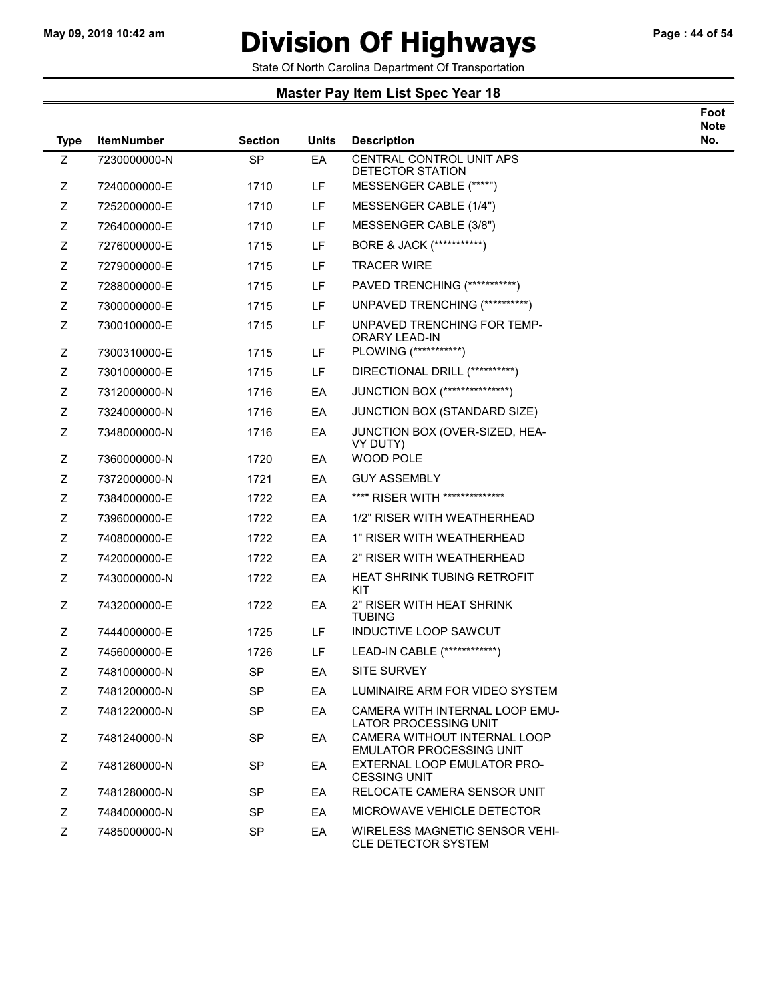### May 09, 2019 10:42 am **Division Of Highways** Page : 44 of 54

Foot

State Of North Carolina Department Of Transportation

| <b>Type</b> | <b>ItemNumber</b> | <b>Section</b> | Units     | <b>Description</b>                                                  | <b>Note</b><br>No. |
|-------------|-------------------|----------------|-----------|---------------------------------------------------------------------|--------------------|
| Ζ           | 7230000000-N      | <b>SP</b>      | EA        | CENTRAL CONTROL UNIT APS<br>DETECTOR STATION                        |                    |
| Ζ           | 7240000000-E      | 1710           | LF        | MESSENGER CABLE (****")                                             |                    |
| Ζ           | 7252000000-E      | 1710           | LF.       | MESSENGER CABLE (1/4")                                              |                    |
| Ζ           | 7264000000-E      | 1710           | LF        | MESSENGER CABLE (3/8")                                              |                    |
| Ζ           | 7276000000-E      | 1715           | LF.       | BORE & JACK (************)                                          |                    |
| Ζ           | 7279000000-E      | 1715           | <b>LF</b> | <b>TRACER WIRE</b>                                                  |                    |
| Ζ           | 7288000000-E      | 1715           | LF        | PAVED TRENCHING (***********)                                       |                    |
| Ζ           | 7300000000-E      | 1715           | LF        | UNPAVED TRENCHING (**********)                                      |                    |
| Ζ           | 7300100000-E      | 1715           | LF        | UNPAVED TRENCHING FOR TEMP-<br>ORARY LEAD-IN                        |                    |
| Ζ           | 7300310000-E      | 1715           | LF        | PLOWING (***********)                                               |                    |
| Ζ           | 7301000000-E      | 1715           | LF.       | DIRECTIONAL DRILL (**********)                                      |                    |
| Ζ           | 7312000000-N      | 1716           | EA        | JUNCTION BOX (****************)                                     |                    |
| Ζ           | 7324000000-N      | 1716           | EA        | JUNCTION BOX (STANDARD SIZE)                                        |                    |
| Ζ           | 7348000000-N      | 1716           | EA        | JUNCTION BOX (OVER-SIZED, HEA-<br>VY DUTY)                          |                    |
| Ζ           | 7360000000-N      | 1720           | EA        | WOOD POLE                                                           |                    |
| Ζ           | 7372000000-N      | 1721           | EA        | <b>GUY ASSEMBLY</b>                                                 |                    |
| Ζ           | 7384000000-E      | 1722           | EA        | ***" RISER WITH **************                                      |                    |
| Ζ           | 7396000000-E      | 1722           | EA        | 1/2" RISER WITH WEATHERHEAD                                         |                    |
| Ζ           | 7408000000-E      | 1722           | EA        | 1" RISER WITH WEATHERHEAD                                           |                    |
| Ζ           | 7420000000-E      | 1722           | EA        | 2" RISER WITH WEATHERHEAD                                           |                    |
| Ζ           | 7430000000-N      | 1722           | EA        | <b>HEAT SHRINK TUBING RETROFIT</b><br>KIT                           |                    |
| Ζ           | 7432000000-E      | 1722           | EA        | 2" RISER WITH HEAT SHRINK<br><b>TUBING</b>                          |                    |
| Ζ           | 7444000000-E      | 1725           | LF.       | <b>INDUCTIVE LOOP SAWCUT</b>                                        |                    |
| Ζ           | 7456000000-E      | 1726           | LF        | LEAD-IN CABLE (*************)                                       |                    |
| Ζ           | 7481000000-N      | <b>SP</b>      | EA        | <b>SITE SURVEY</b>                                                  |                    |
| Ζ           | 7481200000-N      | <b>SP</b>      | EA        | LUMINAIRE ARM FOR VIDEO SYSTEM                                      |                    |
| Z           | 7481220000-N      | <b>SP</b>      | EA        | CAMERA WITH INTERNAL LOOP EMU-<br><b>LATOR PROCESSING UNIT</b>      |                    |
| Z           | 7481240000-N      | <b>SP</b>      | EA        | CAMERA WITHOUT INTERNAL LOOP<br><b>EMULATOR PROCESSING UNIT</b>     |                    |
| Ζ           | 7481260000-N      | <b>SP</b>      | EA        | EXTERNAL LOOP EMULATOR PRO-<br><b>CESSING UNIT</b>                  |                    |
| Z           | 7481280000-N      | <b>SP</b>      | EA        | RELOCATE CAMERA SENSOR UNIT                                         |                    |
| Z           | 7484000000-N      | SP.            | EA.       | MICROWAVE VEHICLE DETECTOR                                          |                    |
| Z           | 7485000000-N      | <b>SP</b>      | EA        | <b>WIRELESS MAGNETIC SENSOR VEHI-</b><br><b>CLE DETECTOR SYSTEM</b> |                    |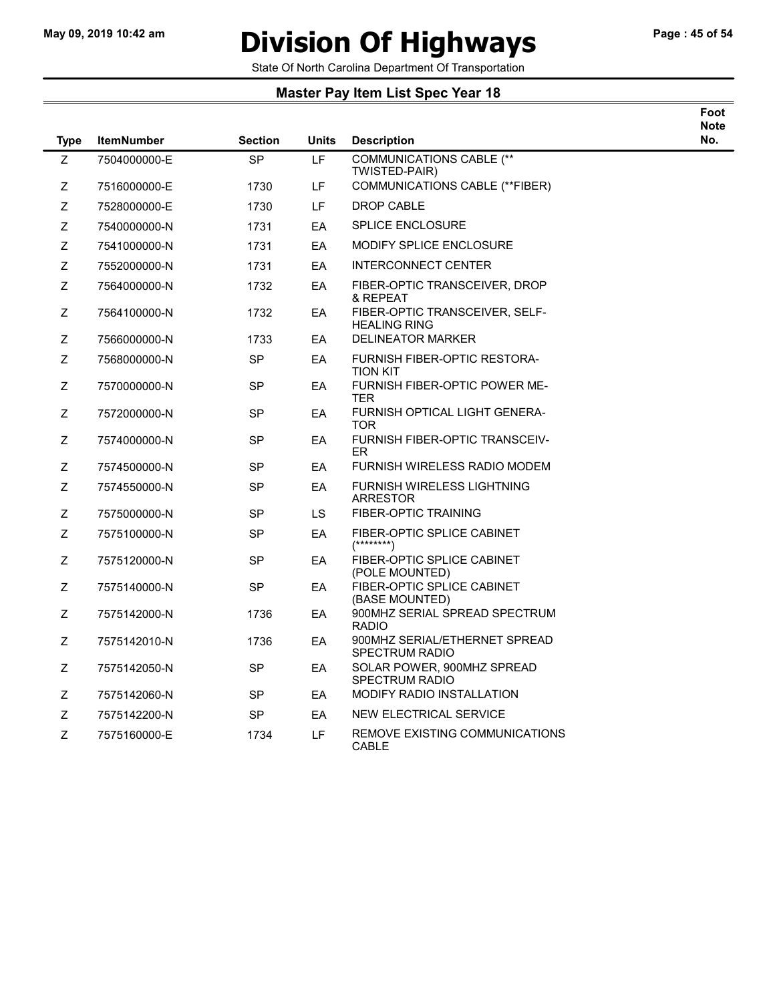# May 09, 2019 10:42 am **Division Of Highways** Page : 45 of 54

Foot

State Of North Carolina Department Of Transportation

| <b>Type</b> | <b>ItemNumber</b> | <b>Section</b> | <b>Units</b> | <b>Description</b>                                     | <b>Note</b><br>No. |
|-------------|-------------------|----------------|--------------|--------------------------------------------------------|--------------------|
| Z           | 7504000000-E      | <b>SP</b>      | <b>LF</b>    | <b>COMMUNICATIONS CABLE (**</b><br>TWISTED-PAIR)       |                    |
| Z           | 7516000000-E      | 1730           | LF           | <b>COMMUNICATIONS CABLE (**FIBER)</b>                  |                    |
| Ζ           | 7528000000-E      | 1730           | LF.          | <b>DROP CABLE</b>                                      |                    |
| Ζ           | 7540000000-N      | 1731           | EA           | <b>SPLICE ENCLOSURE</b>                                |                    |
| Z           | 7541000000-N      | 1731           | EA           | <b>MODIFY SPLICE ENCLOSURE</b>                         |                    |
| Z           | 7552000000-N      | 1731           | EA           | <b>INTERCONNECT CENTER</b>                             |                    |
| Ζ           | 7564000000-N      | 1732           | EA           | FIBER-OPTIC TRANSCEIVER, DROP<br>& REPEAT              |                    |
| Ζ           | 7564100000-N      | 1732           | EA           | FIBER-OPTIC TRANSCEIVER, SELF-<br><b>HEALING RING</b>  |                    |
| Z           | 7566000000-N      | 1733           | EA           | <b>DELINEATOR MARKER</b>                               |                    |
| Z           | 7568000000-N      | <b>SP</b>      | EA           | <b>FURNISH FIBER-OPTIC RESTORA-</b><br><b>TION KIT</b> |                    |
| Z           | 7570000000-N      | <b>SP</b>      | EA           | FURNISH FIBER-OPTIC POWER ME-<br>TER                   |                    |
| Z           | 7572000000-N      | SP             | EA           | FURNISH OPTICAL LIGHT GENERA-<br><b>TOR</b>            |                    |
| Ζ           | 7574000000-N      | SP             | EA           | FURNISH FIBER-OPTIC TRANSCEIV-<br>ER.                  |                    |
| Z           | 7574500000-N      | <b>SP</b>      | EA           | <b>FURNISH WIRELESS RADIO MODEM</b>                    |                    |
| Ζ           | 7574550000-N      | SP             | EА           | <b>FURNISH WIRELESS LIGHTNING</b><br><b>ARRESTOR</b>   |                    |
| Z           | 7575000000-N      | <b>SP</b>      | LS.          | <b>FIBER-OPTIC TRAINING</b>                            |                    |
| Ζ           | 7575100000-N      | <b>SP</b>      | EA           | FIBER-OPTIC SPLICE CABINET<br>$(******")$              |                    |
| Z           | 7575120000-N      | <b>SP</b>      | EA           | FIBER-OPTIC SPLICE CABINET<br>(POLE MOUNTED)           |                    |
| Ζ           | 7575140000-N      | <b>SP</b>      | ЕA           | FIBER-OPTIC SPLICE CABINET<br>(BASE MOUNTED)           |                    |
| Z           | 7575142000-N      | 1736           | EA           | 900MHZ SERIAL SPREAD SPECTRUM<br><b>RADIO</b>          |                    |
| Ζ           | 7575142010-N      | 1736           | EA           | 900MHZ SERIAL/ETHERNET SPREAD<br><b>SPECTRUM RADIO</b> |                    |
| Z           | 7575142050-N      | <b>SP</b>      | ЕA           | SOLAR POWER, 900MHZ SPREAD<br><b>SPECTRUM RADIO</b>    |                    |
| Z           | 7575142060-N      | <b>SP</b>      | EA           | <b>MODIFY RADIO INSTALLATION</b>                       |                    |
| Ζ           | 7575142200-N      | SP             | EA           | <b>NEW ELECTRICAL SERVICE</b>                          |                    |
| Z           | 7575160000-E      | 1734           | LF.          | REMOVE EXISTING COMMUNICATIONS<br><b>CABLE</b>         |                    |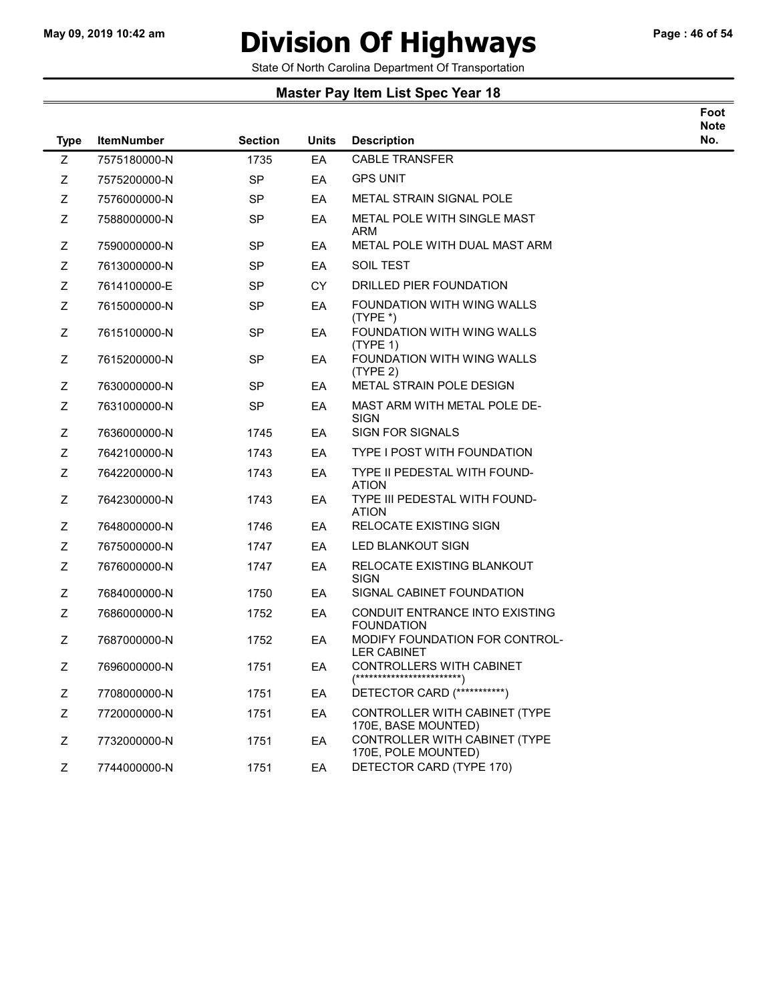# May 09, 2019 10:42 am **Division Of Highways** Page : 46 of 54

Foot

State Of North Carolina Department Of Transportation

| <b>Type</b> | <b>ItemNumber</b> | <b>Section</b> | Units     | <b>Description</b>                                              | <b>Note</b><br>No. |
|-------------|-------------------|----------------|-----------|-----------------------------------------------------------------|--------------------|
| Z           | 7575180000-N      | 1735           | EA        | <b>CABLE TRANSFER</b>                                           |                    |
| Z           | 7575200000-N      | <b>SP</b>      | EA        | <b>GPS UNIT</b>                                                 |                    |
| Z           | 7576000000-N      | <b>SP</b>      | EA        | <b>METAL STRAIN SIGNAL POLE</b>                                 |                    |
| Z           | 7588000000-N      | <b>SP</b>      | EA        | METAL POLE WITH SINGLE MAST<br>ARM                              |                    |
| Z           | 7590000000-N      | <b>SP</b>      | EA        | METAL POLE WITH DUAL MAST ARM                                   |                    |
| Z           | 7613000000-N      | <b>SP</b>      | EA        | <b>SOIL TEST</b>                                                |                    |
| Ζ           | 7614100000-E      | <b>SP</b>      | <b>CY</b> | DRILLED PIER FOUNDATION                                         |                    |
| Z           | 7615000000-N      | SP             | EA        | FOUNDATION WITH WING WALLS<br>$(TYPE^*)$                        |                    |
| Z           | 7615100000-N      | <b>SP</b>      | EA        | FOUNDATION WITH WING WALLS<br>(TYPE 1)                          |                    |
| Z           | 7615200000-N      | <b>SP</b>      | EA        | FOUNDATION WITH WING WALLS<br>(TYPE 2)                          |                    |
| Z           | 7630000000-N      | <b>SP</b>      | EA        | METAL STRAIN POLE DESIGN                                        |                    |
| Ζ           | 7631000000-N      | SP             | EA        | MAST ARM WITH METAL POLE DE-<br>SIGN                            |                    |
| Ζ           | 7636000000-N      | 1745           | EA        | <b>SIGN FOR SIGNALS</b>                                         |                    |
| Z           | 7642100000-N      | 1743           | EA        | TYPE I POST WITH FOUNDATION                                     |                    |
| Z           | 7642200000-N      | 1743           | EA        | TYPE II PEDESTAL WITH FOUND-<br><b>ATION</b>                    |                    |
| Z           | 7642300000-N      | 1743           | EA        | TYPE III PEDESTAL WITH FOUND-<br><b>ATION</b>                   |                    |
| Z           | 7648000000-N      | 1746           | EA        | RELOCATE EXISTING SIGN                                          |                    |
| Ζ           | 7675000000-N      | 1747           | EA        | LED BLANKOUT SIGN                                               |                    |
| Ζ           | 7676000000-N      | 1747           | EA        | RELOCATE EXISTING BLANKOUT<br><b>SIGN</b>                       |                    |
| Ζ           | 7684000000-N      | 1750           | EA        | SIGNAL CABINET FOUNDATION                                       |                    |
| Z           | 7686000000-N      | 1752           | EA        | CONDUIT ENTRANCE INTO EXISTING<br><b>FOUNDATION</b>             |                    |
| Z           | 7687000000-N      | 1752           | EA        | MODIFY FOUNDATION FOR CONTROL-<br><b>LER CABINET</b>            |                    |
| Ζ           | 7696000000-N      | 1751           | EA        | CONTROLLERS WITH CABINET<br>$(*******************************)$ |                    |
| Ζ           | 7708000000-N      | 1751           | EA        | DETECTOR CARD (***********)                                     |                    |
| Ζ           | 7720000000-N      | 1751           | EA        | CONTROLLER WITH CABINET (TYPE<br>170E, BASE MOUNTED)            |                    |
| Ζ           | 7732000000-N      | 1751           | EA        | CONTROLLER WITH CABINET (TYPE<br>170E, POLE MOUNTED)            |                    |
| Z           | 7744000000-N      | 1751           | EA        | DETECTOR CARD (TYPE 170)                                        |                    |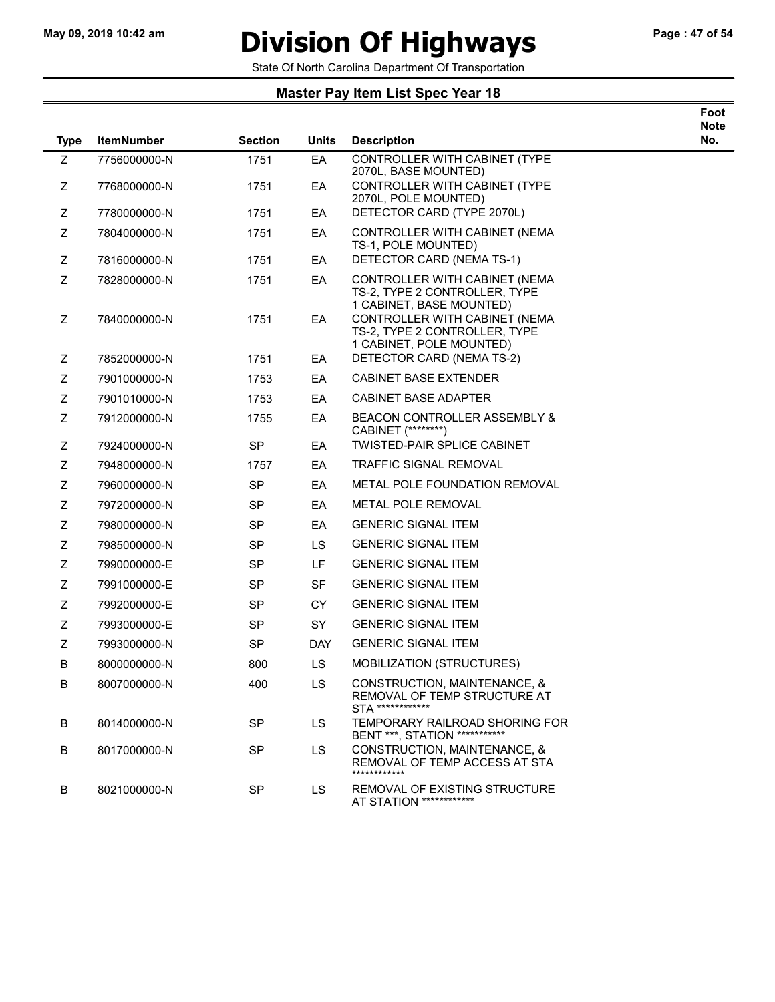### May 09, 2019 10:42 am **Division Of Highways** Page : 47 of 54

State Of North Carolina Department Of Transportation

| <b>Type</b> | <b>ItemNumber</b> | <b>Section</b> | <b>Units</b> | <b>Description</b>                                                                         | Foot<br><b>Note</b><br>No. |
|-------------|-------------------|----------------|--------------|--------------------------------------------------------------------------------------------|----------------------------|
| Z           | 7756000000-N      | 1751           | EA           | CONTROLLER WITH CABINET (TYPE<br>2070L, BASE MOUNTED)                                      |                            |
| Z           | 7768000000-N      | 1751           | EA           | CONTROLLER WITH CABINET (TYPE<br>2070L, POLE MOUNTED)                                      |                            |
| Ζ           | 7780000000-N      | 1751           | EA           | DETECTOR CARD (TYPE 2070L)                                                                 |                            |
| Ζ           | 7804000000-N      | 1751           | EA           | CONTROLLER WITH CABINET (NEMA<br>TS-1, POLE MOUNTED)                                       |                            |
| Z           | 7816000000-N      | 1751           | EA           | DETECTOR CARD (NEMA TS-1)                                                                  |                            |
| Ζ           | 7828000000-N      | 1751           | EA           | CONTROLLER WITH CABINET (NEMA<br>TS-2, TYPE 2 CONTROLLER, TYPE<br>1 CABINET, BASE MOUNTED) |                            |
| Z           | 7840000000-N      | 1751           | EA           | CONTROLLER WITH CABINET (NEMA<br>TS-2, TYPE 2 CONTROLLER, TYPE<br>1 CABINET, POLE MOUNTED) |                            |
| Z           | 7852000000-N      | 1751           | EA           | DETECTOR CARD (NEMA TS-2)                                                                  |                            |
| Z           | 7901000000-N      | 1753           | EA           | <b>CABINET BASE EXTENDER</b>                                                               |                            |
| Ζ           | 7901010000-N      | 1753           | EA           | <b>CABINET BASE ADAPTER</b>                                                                |                            |
| Ζ           | 7912000000-N      | 1755           | EA           | <b>BEACON CONTROLLER ASSEMBLY &amp;</b><br>CABINET (********)                              |                            |
| Z           | 7924000000-N      | <b>SP</b>      | EA.          | <b>TWISTED-PAIR SPLICE CABINET</b>                                                         |                            |
| Z           | 7948000000-N      | 1757           | EA           | <b>TRAFFIC SIGNAL REMOVAL</b>                                                              |                            |
| Z           | 7960000000-N      | <b>SP</b>      | EA           | METAL POLE FOUNDATION REMOVAL                                                              |                            |
| Ζ           | 7972000000-N      | <b>SP</b>      | EA           | <b>METAL POLE REMOVAL</b>                                                                  |                            |
| Ζ           | 7980000000-N      | <b>SP</b>      | EA           | <b>GENERIC SIGNAL ITEM</b>                                                                 |                            |
| Z           | 7985000000-N      | <b>SP</b>      | LS.          | <b>GENERIC SIGNAL ITEM</b>                                                                 |                            |
| 7           | 7990000000-F      | <b>SP</b>      | ΙF           | <b>GENERIC SIGNAL ITEM</b>                                                                 |                            |

- Z 7991000000-E SP SF GENERIC SIGNAL ITEM
- Z 7992000000-E SP CY GENERIC SIGNAL ITEM
- Z 7993000000-E SP SY GENERIC SIGNAL ITEM Z 7993000000-N SP DAY GENERIC SIGNAL ITEM
- B 8000000000-N 800 LS MOBILIZATION (STRUCTURES)
- B 8007000000-N 400 LS CONSTRUCTION, MAINTENANCE, & REMOVAL OF TEMP STRUCTURE AT STA \*\*\*\*\*\*\*\*\*\*\*\* B 8014000000-N SP LS TEMPORARY RAILROAD SHORING FOR
- BENT \*\*\*, STATION \*\*\*\*\*\*\*\*\*\*\* B 8017000000-N SP LS CONSTRUCTION, MAINTENANCE, &
	- REMOVAL OF TEMP ACCESS AT STA \*\*\*\*\*\*\*\*\*\*\*\*
- B 8021000000-N SP LS REMOVAL OF EXISTING STRUCTURE AT STATION \*\*\*\*\*\*\*\*\*\*\*\*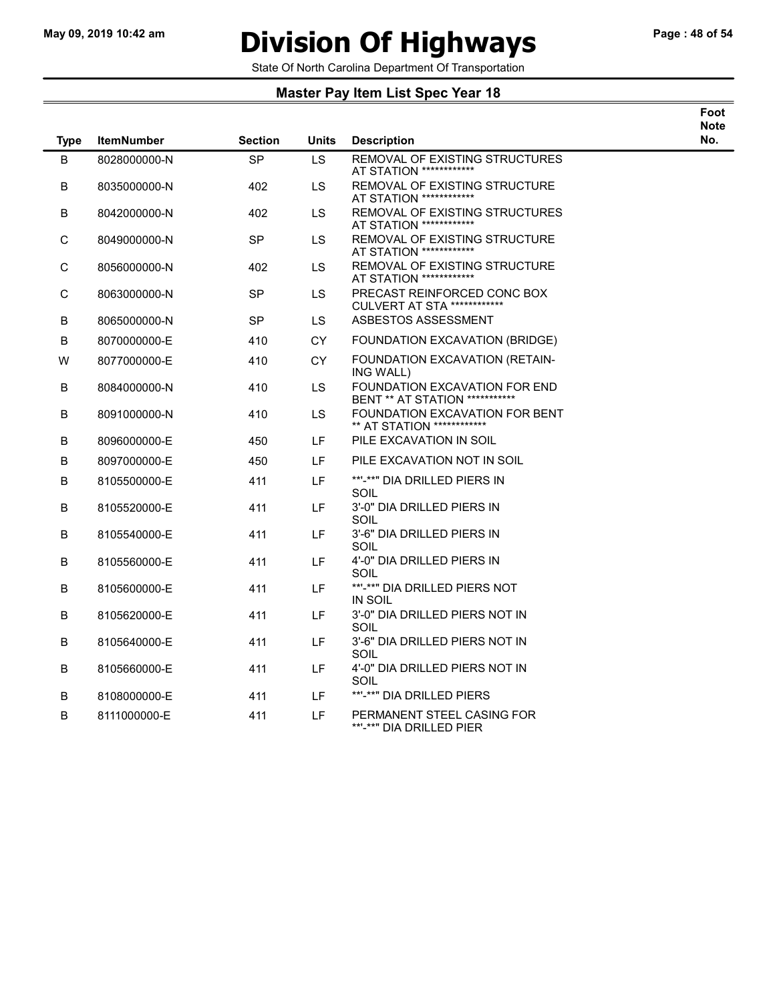$\overline{\phantom{a}}$ 

# May 09, 2019 10:42 am **Division Of Highways** Page : 48 of 54

Foot

State Of North Carolina Department Of Transportation

| <b>Type</b> | <b>ItemNumber</b> | <b>Section</b> | <b>Units</b> | <b>Description</b>                                                  | <br>Note<br>No. |
|-------------|-------------------|----------------|--------------|---------------------------------------------------------------------|-----------------|
| B           | 8028000000-N      | <b>SP</b>      | LS           | REMOVAL OF EXISTING STRUCTURES<br>AT STATION *************          |                 |
| B           | 8035000000-N      | 402            | LS           | REMOVAL OF EXISTING STRUCTURE<br>AT STATION *************           |                 |
| В           | 8042000000-N      | 402            | LS           | REMOVAL OF EXISTING STRUCTURES<br>AT STATION ************           |                 |
| С           | 8049000000-N      | <b>SP</b>      | <b>LS</b>    | REMOVAL OF EXISTING STRUCTURE<br>AT STATION *************           |                 |
| С           | 8056000000-N      | 402            | LS           | REMOVAL OF EXISTING STRUCTURE<br>AT STATION *************           |                 |
| $\mathsf C$ | 8063000000-N      | SP             | LS           | PRECAST REINFORCED CONC BOX<br>CULVERT AT STA ************          |                 |
| B           | 8065000000-N      | <b>SP</b>      | LS.          | ASBESTOS ASSESSMENT                                                 |                 |
| В           | 8070000000-E      | 410            | <b>CY</b>    | FOUNDATION EXCAVATION (BRIDGE)                                      |                 |
| W           | 8077000000-E      | 410            | <b>CY</b>    | FOUNDATION EXCAVATION (RETAIN-<br>ING WALL)                         |                 |
| В           | 8084000000-N      | 410            | <b>LS</b>    | FOUNDATION EXCAVATION FOR END<br>BENT ** AT STATION ***********     |                 |
| В           | 8091000000-N      | 410            | <b>LS</b>    | FOUNDATION EXCAVATION FOR BENT<br>** AT STATION *************       |                 |
| В           | 8096000000-E      | 450            | LF.          | PILE EXCAVATION IN SOIL                                             |                 |
| В           | 8097000000-E      | 450            | LF.          | PILE EXCAVATION NOT IN SOIL                                         |                 |
| в           | 8105500000-E      | 411            | LF           | **'-**" DIA DRILLED PIERS IN<br>SOIL                                |                 |
| В           | 8105520000-E      | 411            | LF           | 3'-0" DIA DRILLED PIERS IN<br>SOIL                                  |                 |
| В           | 8105540000-E      | 411            | LF           | 3'-6" DIA DRILLED PIERS IN<br>SOIL                                  |                 |
| В           | 8105560000-E      | 411            | LF.          | 4'-0" DIA DRILLED PIERS IN<br>SOIL                                  |                 |
| В           | 8105600000-E      | 411            | LF.          | **'-**" DIA DRILLED PIERS NOT<br><b>IN SOIL</b>                     |                 |
| B           | 8105620000-E      | 411            | LF.          | 3'-0" DIA DRILLED PIERS NOT IN<br>SOIL                              |                 |
| В           | 8105640000-E      | 411            | LF           | 3'-6" DIA DRILLED PIERS NOT IN<br>SOIL                              |                 |
| В           | 8105660000-E      | 411            | LF.          | 4'-0" DIA DRILLED PIERS NOT IN<br>SOIL                              |                 |
| в           | 8108000000-E      | 411            | LF.          | **'-**" DIA DRILLED PIERS                                           |                 |
| B           | 8111000000-E      | 411            | LF.          | PERMANENT STEEL CASING FOR<br>**' <sub>-</sub> **" DIA DRILLED PIER |                 |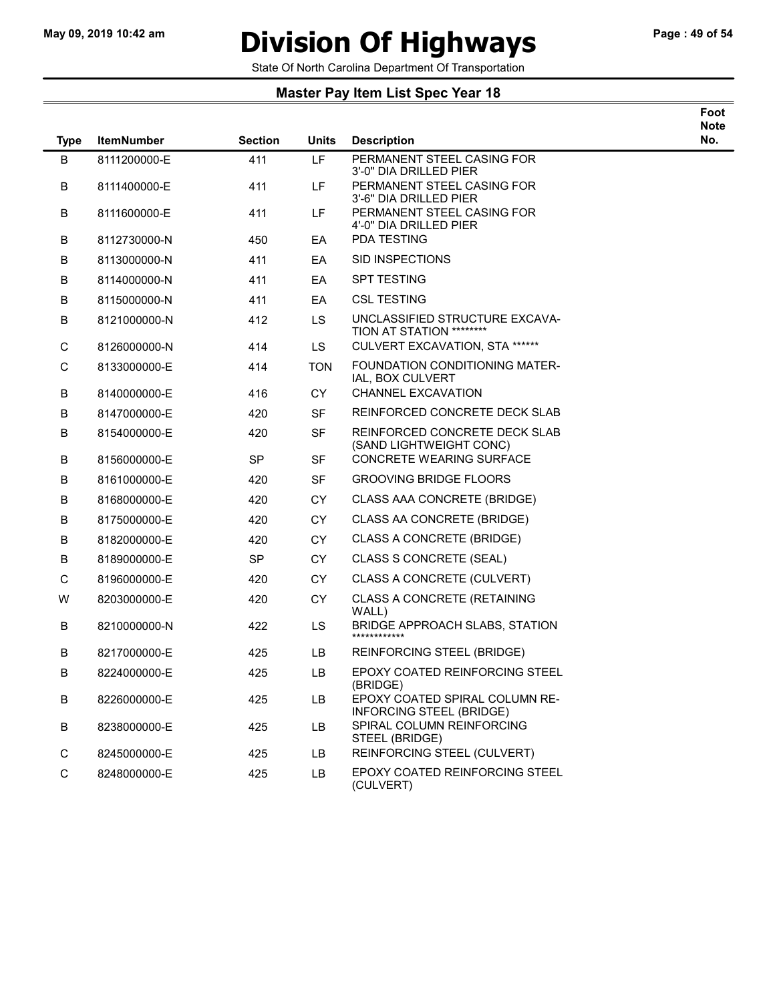### May 09, 2019 10:42 am **Division Of Highways** Page : 49 of 54

State Of North Carolina Department Of Transportation

| Foot |
|------|
| Note |
| .    |

| <b>Type</b> | <b>ItemNumber</b> | <b>Section</b> | Units      | <b>Description</b>                                         | No. |
|-------------|-------------------|----------------|------------|------------------------------------------------------------|-----|
| B           | 8111200000-E      | 411            | LF         | PERMANENT STEEL CASING FOR<br>3'-0" DIA DRILLED PIER       |     |
| В           | 8111400000-E      | 411            | LF.        | PERMANENT STEEL CASING FOR<br>3'-6" DIA DRILLED PIER       |     |
| В           | 8111600000-E      | 411            | LF.        | PERMANENT STEEL CASING FOR<br>4'-0" DIA DRILLED PIER       |     |
| В           | 8112730000-N      | 450            | EA         | <b>PDA TESTING</b>                                         |     |
| В           | 8113000000-N      | 411            | EA         | SID INSPECTIONS                                            |     |
| В           | 8114000000-N      | 411            | EA         | <b>SPT TESTING</b>                                         |     |
| В           | 8115000000-N      | 411            | EA         | <b>CSL TESTING</b>                                         |     |
| B           | 8121000000-N      | 412            | LS         | UNCLASSIFIED STRUCTURE EXCAVA-<br>TION AT STATION ******** |     |
| $\mathsf C$ | 8126000000-N      | 414            | LS.        | CULVERT EXCAVATION, STA ******                             |     |
| С           | 8133000000-E      | 414            | <b>TON</b> | FOUNDATION CONDITIONING MATER-<br>IAL, BOX CULVERT         |     |
| В           | 8140000000-E      | 416            | СY         | CHANNEL EXCAVATION                                         |     |
| В           | 8147000000-E      | 420            | SF         | REINFORCED CONCRETE DECK SLAB                              |     |
| В           | 8154000000-E      | 420            | SF         | REINFORCED CONCRETE DECK SLAB<br>(SAND LIGHTWEIGHT CONC)   |     |
| B           | 8156000000-E      | <b>SP</b>      | <b>SF</b>  | <b>CONCRETE WEARING SURFACE</b>                            |     |
| В           | 8161000000-E      | 420            | <b>SF</b>  | <b>GROOVING BRIDGE FLOORS</b>                              |     |
| В           | 8168000000-E      | 420            | CY         | CLASS AAA CONCRETE (BRIDGE)                                |     |
| В           | 8175000000-E      | 420            | CY         | CLASS AA CONCRETE (BRIDGE)                                 |     |
| В           | 8182000000-E      | 420            | CY         | <b>CLASS A CONCRETE (BRIDGE)</b>                           |     |
| В           | 8189000000-E      | <b>SP</b>      | CY         | CLASS S CONCRETE (SEAL)                                    |     |
| С           | 8196000000-E      | 420            | CY         | CLASS A CONCRETE (CULVERT)                                 |     |
| W           | 8203000000-E      | 420            | <b>CY</b>  | <b>CLASS A CONCRETE (RETAINING</b><br>WALL)                |     |
| В           | 8210000000-N      | 422            | LS         | BRIDGE APPROACH SLABS, STATION<br>************             |     |
| В           | 8217000000-E      | 425            | LB         | REINFORCING STEEL (BRIDGE)                                 |     |
| В           | 8224000000-E      | 425            | LB         | EPOXY COATED REINFORCING STEEL<br>(BRIDGE)                 |     |
| В           | 8226000000-E      | 425            | LB         | EPOXY COATED SPIRAL COLUMN RE-<br>INFORCING STEEL (BRIDGE) |     |
| В           | 8238000000-E      | 425            | LB         | SPIRAL COLUMN REINFORCING<br>STEEL (BRIDGE)                |     |
| $\mathsf C$ | 8245000000-E      | 425            | LB         | REINFORCING STEEL (CULVERT)                                |     |
| $\mathsf C$ | 8248000000-E      | 425            | LB         | EPOXY COATED REINFORCING STEEL<br>(CULVERT)                |     |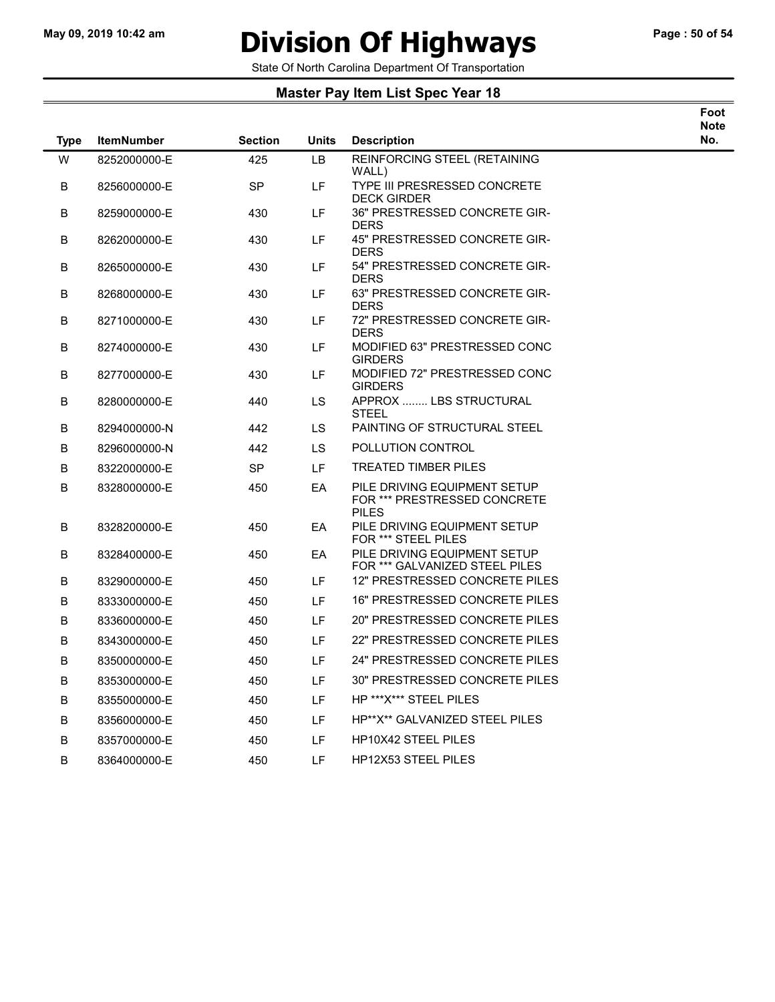# May 09, 2019 10:42 am **Division Of Highways** Page : 50 of 54

Foot

State Of North Carolina Department Of Transportation

| <b>Type</b> | <b>ItemNumber</b> | <b>Section</b> | <b>Units</b> | <b>Description</b>                                                           | <b>Note</b><br>No. |
|-------------|-------------------|----------------|--------------|------------------------------------------------------------------------------|--------------------|
| W           | 8252000000-E      | 425            | <b>LB</b>    | REINFORCING STEEL (RETAINING                                                 |                    |
| B           | 8256000000-E      | <b>SP</b>      | LF.          | WALL)<br>TYPE III PRESRESSED CONCRETE<br><b>DECK GIRDER</b>                  |                    |
| В           | 8259000000-E      | 430            | LF           | 36" PRESTRESSED CONCRETE GIR-<br><b>DERS</b>                                 |                    |
| В           | 8262000000-E      | 430            | LF.          | 45" PRESTRESSED CONCRETE GIR-<br><b>DERS</b>                                 |                    |
| B           | 8265000000-E      | 430            | LF.          | 54" PRESTRESSED CONCRETE GIR-<br><b>DERS</b>                                 |                    |
| В           | 8268000000-E      | 430            | LF.          | 63" PRESTRESSED CONCRETE GIR-<br><b>DERS</b>                                 |                    |
| B           | 8271000000-E      | 430            | LF.          | 72" PRESTRESSED CONCRETE GIR-<br><b>DERS</b>                                 |                    |
| В           | 8274000000-E      | 430            | LF           | MODIFIED 63" PRESTRESSED CONC<br><b>GIRDERS</b>                              |                    |
| В           | 8277000000-E      | 430            | LF.          | MODIFIED 72" PRESTRESSED CONC<br><b>GIRDERS</b>                              |                    |
| В           | 8280000000-E      | 440            | LS           | APPROX  LBS STRUCTURAL<br><b>STEEL</b>                                       |                    |
| В           | 8294000000-N      | 442            | LS.          | PAINTING OF STRUCTURAL STEEL                                                 |                    |
| В           | 8296000000-N      | 442            | LS           | POLLUTION CONTROL                                                            |                    |
| B           | 8322000000-E      | <b>SP</b>      | LF.          | <b>TREATED TIMBER PILES</b>                                                  |                    |
| В           | 8328000000-E      | 450            | EA           | PILE DRIVING EQUIPMENT SETUP<br>FOR *** PRESTRESSED CONCRETE<br><b>PILES</b> |                    |
| В           | 8328200000-E      | 450            | EA           | PILE DRIVING EQUIPMENT SETUP<br>FOR *** STEEL PILES                          |                    |
| B           | 8328400000-E      | 450            | EA           | PILE DRIVING EQUIPMENT SETUP<br>FOR *** GALVANIZED STEEL PILES               |                    |
| В           | 8329000000-E      | 450            | LF.          | 12" PRESTRESSED CONCRETE PILES                                               |                    |
| В           | 8333000000-E      | 450            | LF.          | 16" PRESTRESSED CONCRETE PILES                                               |                    |
| В           | 8336000000-E      | 450            | LF.          | 20" PRESTRESSED CONCRETE PILES                                               |                    |
| В           | 8343000000-E      | 450            | LF.          | 22" PRESTRESSED CONCRETE PILES                                               |                    |
| В           | 8350000000-E      | 450            | LF.          | 24" PRESTRESSED CONCRETE PILES                                               |                    |
| В           | 8353000000-E      | 450            | LF           | 30" PRESTRESSED CONCRETE PILES                                               |                    |
| в           | 8355000000-E      | 450            | LF           | HP *** X*** STEEL PILES                                                      |                    |
| B           | 8356000000-E      | 450            | LF           | HP**X** GALVANIZED STEEL PILES                                               |                    |
| B           | 8357000000-E      | 450            | LF.          | <b>HP10X42 STEEL PILES</b>                                                   |                    |
| В           | 8364000000-E      | 450            | LF           | <b>HP12X53 STEEL PILES</b>                                                   |                    |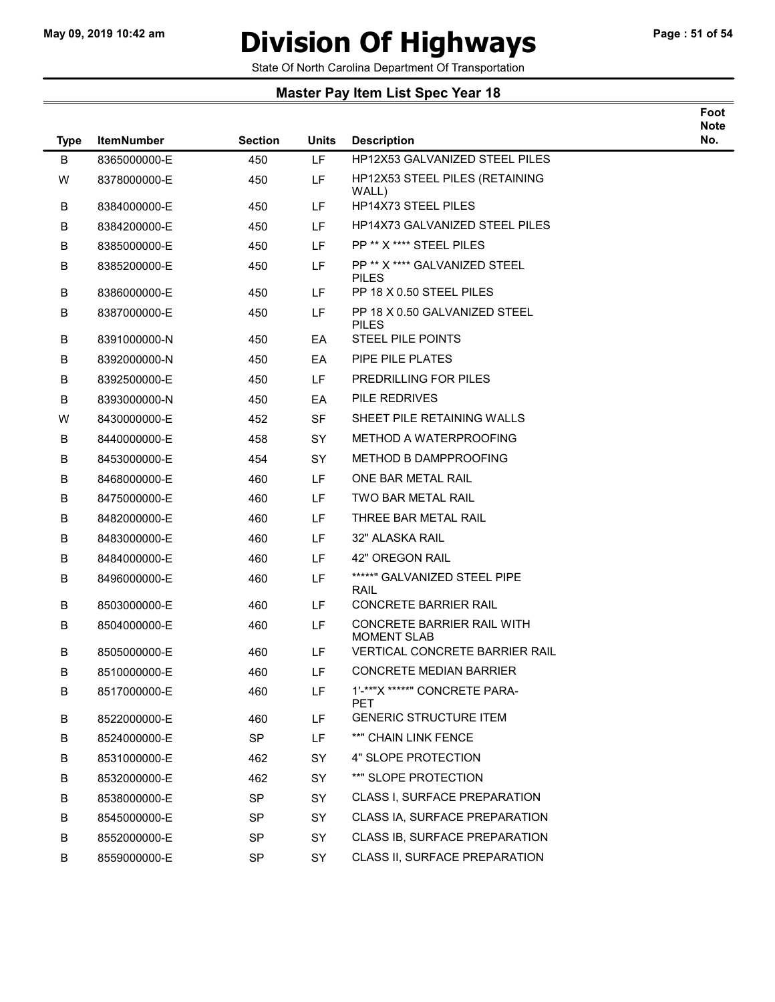$\overline{\phantom{a}}$ 

# May 09, 2019 10:42 am **Division Of Highways** Page : 51 of 54

Foot

State Of North Carolina Department Of Transportation

| <b>Type</b> | <b>ItemNumber</b> | <b>Section</b> | <b>Units</b> | <b>Description</b>                               | <b>Note</b><br>No. |
|-------------|-------------------|----------------|--------------|--------------------------------------------------|--------------------|
| B           | 8365000000-E      | 450            | LF           | HP12X53 GALVANIZED STEEL PILES                   |                    |
| W           | 8378000000-E      | 450            | LF.          | <b>HP12X53 STEEL PILES (RETAINING</b><br>WALL)   |                    |
| В           | 8384000000-E      | 450            | LF.          | <b>HP14X73 STEEL PILES</b>                       |                    |
| В           | 8384200000-E      | 450            | LF.          | HP14X73 GALVANIZED STEEL PILES                   |                    |
| В           | 8385000000-E      | 450            | LF.          | PP ** X **** STEEL PILES                         |                    |
| B           | 8385200000-E      | 450            | LF.          | PP ** X **** GALVANIZED STEEL<br><b>PILES</b>    |                    |
| В           | 8386000000-E      | 450            | LF.          | PP 18 X 0.50 STEEL PILES                         |                    |
| В           | 8387000000-E      | 450            | LF.          | PP 18 X 0.50 GALVANIZED STEEL<br>PILES           |                    |
| В           | 8391000000-N      | 450            | EA           | <b>STEEL PILE POINTS</b>                         |                    |
| В           | 8392000000-N      | 450            | EA           | PIPE PILE PLATES                                 |                    |
| В           | 8392500000-E      | 450            | LF.          | PREDRILLING FOR PILES                            |                    |
| В           | 8393000000-N      | 450            | EA           | PILE REDRIVES                                    |                    |
| W           | 8430000000-E      | 452            | <b>SF</b>    | SHEET PILE RETAINING WALLS                       |                    |
| В           | 8440000000-E      | 458            | <b>SY</b>    | METHOD A WATERPROOFING                           |                    |
| В           | 8453000000-E      | 454            | <b>SY</b>    | METHOD B DAMPPROOFING                            |                    |
| В           | 8468000000-E      | 460            | LF.          | ONE BAR METAL RAIL                               |                    |
| В           | 8475000000-E      | 460            | LF.          | TWO BAR METAL RAIL                               |                    |
| В           | 8482000000-E      | 460            | LF.          | THREE BAR METAL RAIL                             |                    |
| В           | 8483000000-E      | 460            | LF.          | 32" ALASKA RAIL                                  |                    |
| В           | 8484000000-E      | 460            | LF.          | 42" OREGON RAIL                                  |                    |
| В           | 8496000000-E      | 460            | LF.          | *****" GALVANIZED STEEL PIPE<br>RAIL             |                    |
| В           | 8503000000-E      | 460            | LF.          | <b>CONCRETE BARRIER RAIL</b>                     |                    |
| В           | 8504000000-E      | 460            | LF.          | CONCRETE BARRIER RAIL WITH<br><b>MOMENT SLAB</b> |                    |
| В           | 8505000000-E      | 460            | LF.          | <b>VERTICAL CONCRETE BARRIER RAIL</b>            |                    |
| в           | 8510000000-E      | 460            | LF.          | <b>CONCRETE MEDIAN BARRIER</b>                   |                    |
| В           | 8517000000-E      | 460            | LF           | 1'-**"X *****" CONCRETE PARA-<br><b>PET</b>      |                    |
| В           | 8522000000-E      | 460            | LF           | <b>GENERIC STRUCTURE ITEM</b>                    |                    |
| В           | 8524000000-E      | SP             | LF           | **" CHAIN LINK FENCE                             |                    |
| В           | 8531000000-E      | 462            | <b>SY</b>    | 4" SLOPE PROTECTION                              |                    |
| B           | 8532000000-E      | 462            | SY           | **" SLOPE PROTECTION                             |                    |
| В           | 8538000000-E      | <b>SP</b>      | SY           | <b>CLASS I, SURFACE PREPARATION</b>              |                    |
| В           | 8545000000-E      | <b>SP</b>      | SY           | CLASS IA, SURFACE PREPARATION                    |                    |
| В           | 8552000000-E      | <b>SP</b>      | SY           | CLASS IB, SURFACE PREPARATION                    |                    |
| В           | 8559000000-E      | <b>SP</b>      | SY           | CLASS II, SURFACE PREPARATION                    |                    |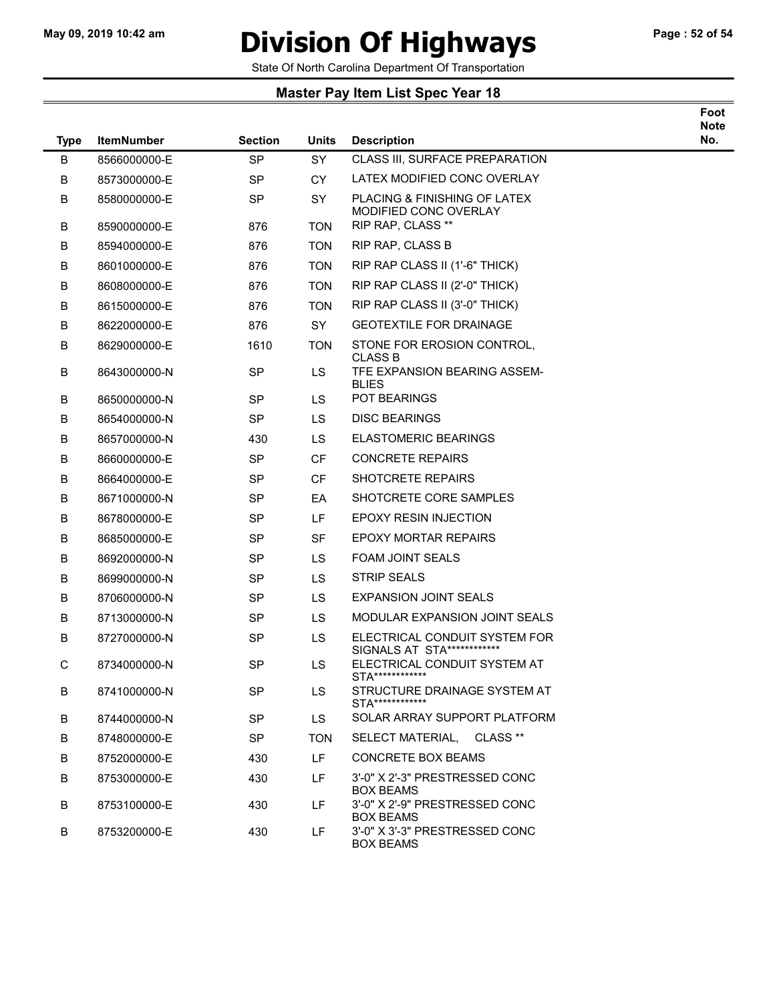# May 09, 2019 10:42 am **Division Of Highways** Page : 52 of 54

Foot

State Of North Carolina Department Of Transportation

| <b>Type</b> | <b>ItemNumber</b> | <b>Section</b> | <b>Units</b> | <b>Description</b>                                          | <b>Note</b><br>No. |
|-------------|-------------------|----------------|--------------|-------------------------------------------------------------|--------------------|
| B           | 8566000000-E      | <b>SP</b>      | SY           | CLASS III, SURFACE PREPARATION                              |                    |
| В           | 8573000000-E      | <b>SP</b>      | CY           | LATEX MODIFIED CONC OVERLAY                                 |                    |
| В           | 8580000000-E      | <b>SP</b>      | <b>SY</b>    | PLACING & FINISHING OF LATEX<br>MODIFIED CONC OVERLAY       |                    |
| В           | 8590000000-E      | 876            | <b>TON</b>   | RIP RAP, CLASS **                                           |                    |
| B           | 8594000000-E      | 876            | <b>TON</b>   | <b>RIP RAP, CLASS B</b>                                     |                    |
| В           | 8601000000-E      | 876            | <b>TON</b>   | RIP RAP CLASS II (1'-6" THICK)                              |                    |
| В           | 8608000000-E      | 876            | <b>TON</b>   | RIP RAP CLASS II (2'-0" THICK)                              |                    |
| В           | 8615000000-E      | 876            | <b>TON</b>   | RIP RAP CLASS II (3'-0" THICK)                              |                    |
| В           | 8622000000-E      | 876            | SY           | <b>GEOTEXTILE FOR DRAINAGE</b>                              |                    |
| В           | 8629000000-E      | 1610           | <b>TON</b>   | STONE FOR EROSION CONTROL,<br><b>CLASS B</b>                |                    |
| В           | 8643000000-N      | <b>SP</b>      | LS           | TFE EXPANSION BEARING ASSEM-<br><b>BLIES</b>                |                    |
| В           | 8650000000-N      | <b>SP</b>      | LS           | POT BEARINGS                                                |                    |
| В           | 8654000000-N      | <b>SP</b>      | LS           | <b>DISC BEARINGS</b>                                        |                    |
| В           | 8657000000-N      | 430            | LS           | <b>ELASTOMERIC BEARINGS</b>                                 |                    |
| В           | 8660000000-E      | <b>SP</b>      | <b>CF</b>    | <b>CONCRETE REPAIRS</b>                                     |                    |
| В           | 8664000000-E      | <b>SP</b>      | CF           | <b>SHOTCRETE REPAIRS</b>                                    |                    |
| В           | 8671000000-N      | <b>SP</b>      | EA           | SHOTCRETE CORE SAMPLES                                      |                    |
| В           | 8678000000-E      | <b>SP</b>      | LF.          | <b>EPOXY RESIN INJECTION</b>                                |                    |
| В           | 8685000000-E      | <b>SP</b>      | <b>SF</b>    | <b>EPOXY MORTAR REPAIRS</b>                                 |                    |
| В           | 8692000000-N      | <b>SP</b>      | LS           | <b>FOAM JOINT SEALS</b>                                     |                    |
| В           | 8699000000-N      | <b>SP</b>      | LS           | <b>STRIP SEALS</b>                                          |                    |
| В           | 8706000000-N      | <b>SP</b>      | LS           | <b>EXPANSION JOINT SEALS</b>                                |                    |
| В           | 8713000000-N      | <b>SP</b>      | <b>LS</b>    | MODULAR EXPANSION JOINT SEALS                               |                    |
| В           | 8727000000-N      | <b>SP</b>      | LS           | ELECTRICAL CONDUIT SYSTEM FOR<br>SIGNALS AT STA************ |                    |
| С           | 8734000000-N      | <b>SP</b>      | LS.          | ELECTRICAL CONDUIT SYSTEM AT<br>STA*************            |                    |
| В           | 8741000000-N      | <b>SP</b>      | LS.          | STRUCTURE DRAINAGE SYSTEM AT<br>STA************             |                    |
| В           | 8744000000-N      | <b>SP</b>      | LS.          | SOLAR ARRAY SUPPORT PLATFORM                                |                    |
| В           | 8748000000-E      | <b>SP</b>      | <b>TON</b>   | SELECT MATERIAL, CLASS **                                   |                    |
| В           | 8752000000-E      | 430            | LF.          | <b>CONCRETE BOX BEAMS</b>                                   |                    |
| В           | 8753000000-E      | 430            | LF.          | 3'-0" X 2'-3" PRESTRESSED CONC<br><b>BOX BEAMS</b>          |                    |
| В           | 8753100000-E      | 430            | LF.          | 3'-0" X 2'-9" PRESTRESSED CONC<br><b>BOX BEAMS</b>          |                    |
| В           | 8753200000-E      | 430            | LF           | 3'-0" X 3'-3" PRESTRESSED CONC<br><b>BOX BEAMS</b>          |                    |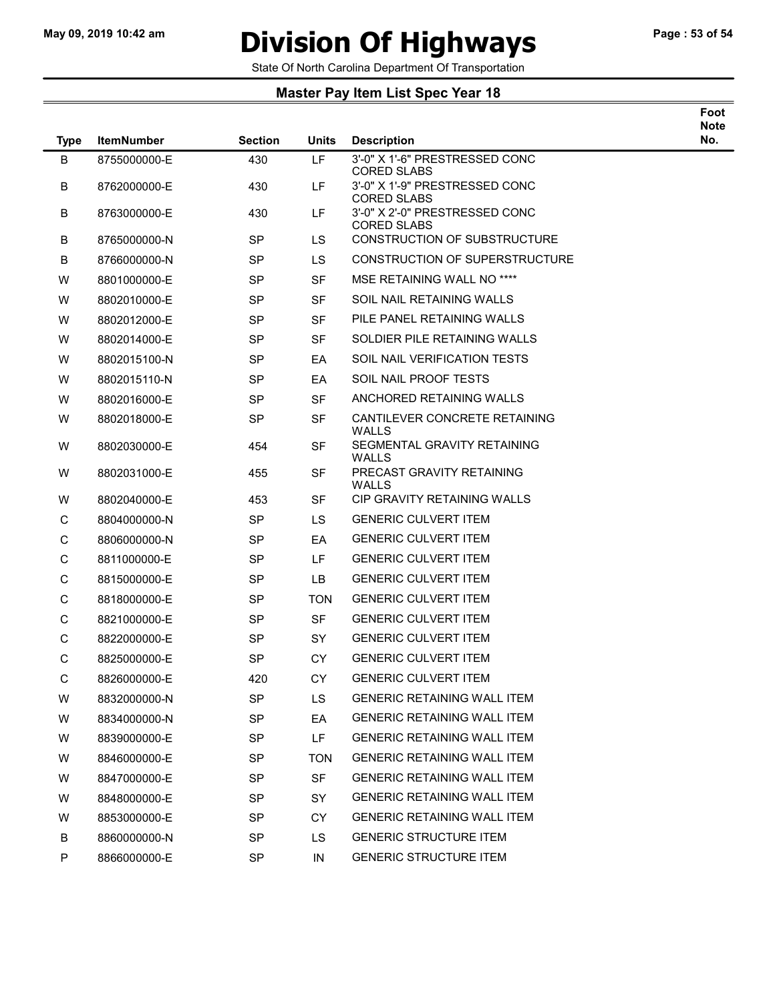$\overline{\phantom{0}}$ 

## May 09, 2019 10:42 am **Division Of Highways** Page : 53 of 54

Foot

State Of North Carolina Department Of Transportation

| <b>Type</b> | <b>ItemNumber</b> | <b>Section</b> | Units      | <b>Description</b>                                   | <b>Note</b><br>No. |
|-------------|-------------------|----------------|------------|------------------------------------------------------|--------------------|
| B           | 8755000000-E      | 430            | LF         | 3'-0" X 1'-6" PRESTRESSED CONC<br><b>CORED SLABS</b> |                    |
| B           | 8762000000-E      | 430            | LF         | 3'-0" X 1'-9" PRESTRESSED CONC<br><b>CORED SLABS</b> |                    |
| B           | 8763000000-E      | 430            | LF         | 3'-0" X 2'-0" PRESTRESSED CONC<br><b>CORED SLABS</b> |                    |
| B           | 8765000000-N      | <b>SP</b>      | <b>LS</b>  | <b>CONSTRUCTION OF SUBSTRUCTURE</b>                  |                    |
| B           | 8766000000-N      | SP             | LS         | CONSTRUCTION OF SUPERSTRUCTURE                       |                    |
| W           | 8801000000-E      | <b>SP</b>      | <b>SF</b>  | MSE RETAINING WALL NO ****                           |                    |
| W           | 8802010000-E      | SP             | SF         | SOIL NAIL RETAINING WALLS                            |                    |
| W           | 8802012000-E      | <b>SP</b>      | <b>SF</b>  | PILE PANEL RETAINING WALLS                           |                    |
| W           | 8802014000-E      | SP             | SF         | SOLDIER PILE RETAINING WALLS                         |                    |
| W           | 8802015100-N      | <b>SP</b>      | EA         | SOIL NAIL VERIFICATION TESTS                         |                    |
| W           | 8802015110-N      | SP             | EA         | SOIL NAIL PROOF TESTS                                |                    |
| W           | 8802016000-E      | <b>SP</b>      | SF         | ANCHORED RETAINING WALLS                             |                    |
| W           | 8802018000-E      | <b>SP</b>      | <b>SF</b>  | CANTILEVER CONCRETE RETAINING<br>WALLS               |                    |
| W           | 8802030000-E      | 454            | SF         | SEGMENTAL GRAVITY RETAINING<br>WALLS                 |                    |
| W           | 8802031000-E      | 455            | <b>SF</b>  | PRECAST GRAVITY RETAINING<br>WALLS                   |                    |
| W           | 8802040000-E      | 453            | <b>SF</b>  | CIP GRAVITY RETAINING WALLS                          |                    |
| C           | 8804000000-N      | <b>SP</b>      | <b>LS</b>  | <b>GENERIC CULVERT ITEM</b>                          |                    |
| C           | 8806000000-N      | SP             | EA         | <b>GENERIC CULVERT ITEM</b>                          |                    |
| C           | 8811000000-E      | SP             | LF         | <b>GENERIC CULVERT ITEM</b>                          |                    |
| C           | 8815000000-E      | <b>SP</b>      | <b>LB</b>  | <b>GENERIC CULVERT ITEM</b>                          |                    |
| C           | 8818000000-E      | SP             | TON        | <b>GENERIC CULVERT ITEM</b>                          |                    |
| C           | 8821000000-E      | SP             | <b>SF</b>  | <b>GENERIC CULVERT ITEM</b>                          |                    |
| C           | 8822000000-E      | SP             | <b>SY</b>  | <b>GENERIC CULVERT ITEM</b>                          |                    |
| C           | 8825000000-E      | SP             | <b>CY</b>  | <b>GENERIC CULVERT ITEM</b>                          |                    |
| C           | 8826000000-E      | 420            | <b>CY</b>  | <b>GENERIC CULVERT ITEM</b>                          |                    |
| W           | 8832000000-N      | <b>SP</b>      | LS         | <b>GENERIC RETAINING WALL ITEM</b>                   |                    |
| W           | 8834000000-N      | <b>SP</b>      | EA         | <b>GENERIC RETAINING WALL ITEM</b>                   |                    |
| W           | 8839000000-E      | <b>SP</b>      | LF.        | <b>GENERIC RETAINING WALL ITEM</b>                   |                    |
| W           | 8846000000-E      | <b>SP</b>      | <b>TON</b> | <b>GENERIC RETAINING WALL ITEM</b>                   |                    |
| W           | 8847000000-E      | SP             | <b>SF</b>  | <b>GENERIC RETAINING WALL ITEM</b>                   |                    |
| W           | 8848000000-E      | <b>SP</b>      | SY         | <b>GENERIC RETAINING WALL ITEM</b>                   |                    |
| W           | 8853000000-E      | <b>SP</b>      | CY.        | <b>GENERIC RETAINING WALL ITEM</b>                   |                    |
| B           | 8860000000-N      | <b>SP</b>      | LS.        | <b>GENERIC STRUCTURE ITEM</b>                        |                    |
| P           | 8866000000-E      | SP             | IN         | <b>GENERIC STRUCTURE ITEM</b>                        |                    |